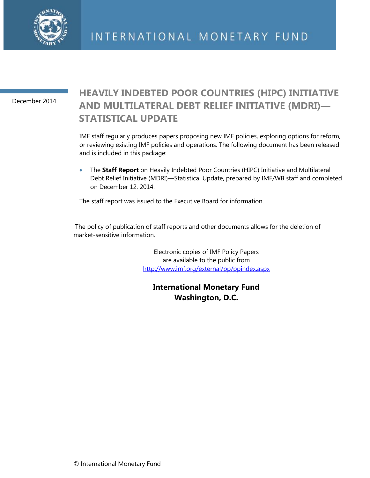

December 2014

## **HEAVILY INDEBTED POOR COUNTRIES (HIPC) INITIATIVE AND MULTILATERAL DEBT RELIEF INITIATIVE (MDRI)— STATISTICAL UPDATE**

IMF staff regularly produces papers proposing new IMF policies, exploring options for reform, or reviewing existing IMF policies and operations. The following document has been released and is included in this package:

 The **Staff Report** on Heavily Indebted Poor Countries (HIPC) Initiative and Multilateral Debt Relief Initiative (MDRI)—Statistical Update, prepared by IMF/WB staff and completed on December 12, 2014.

The staff report was issued to the Executive Board for information.

The policy of publication of staff reports and other documents allows for the deletion of market-sensitive information.

> Electronic copies of IMF Policy Papers are available to the public from <http://www.imf.org/external/pp/ppindex.aspx>

**International Monetary Fund Washington, D.C.**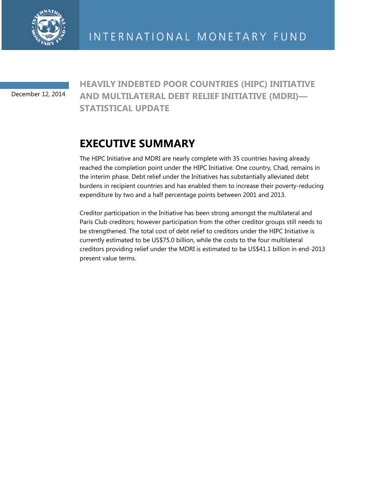

December 12, 2014

**HEAVILY INDEBTED POOR COUNTRIES (HIPC) INITIATIVE AND MULTILATERAL DEBT RELIEF INITIATIVE (MDRI)— STATISTICAL UPDATE** 

# **EXECUTIVE SUMMARY**

The HIPC Initiative and MDRI are nearly complete with 35 countries having already reached the completion point under the HIPC Initiative. One country, Chad, remains in the interim phase. Debt relief under the Initiatives has substantially alleviated debt burdens in recipient countries and has enabled them to increase their poverty-reducing expenditure by two and a half percentage points between 2001 and 2013.

Creditor participation in the Initiative has been strong amongst the multilateral and Paris Club creditors; however participation from the other creditor groups still needs to be strengthened. The total cost of debt relief to creditors under the HIPC Initiative is currently estimated to be US\$75.0 billion, while the costs to the four multilateral creditors providing relief under the MDRI is estimated to be US\$41.1 billion in end-2013 present value terms.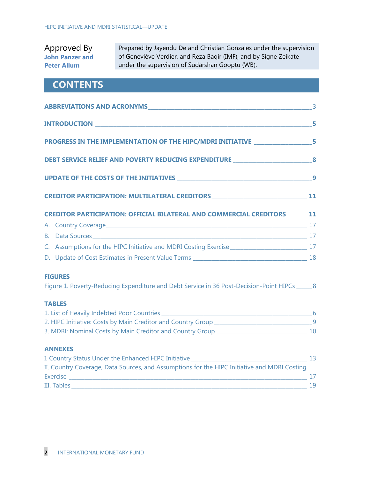### Approved By **John Panzer and Peter Allum**

Prepared by Jayendu De and Christian Gonzales under the supervision of Geneviève Verdier, and Reza Baqir (IMF), and by Signe Zeikate under the supervision of Sudarshan Gooptu (WB).

## **CONTENTS**

| ABBREVIATIONS AND ACRONYMS AND ACRONIC CONTRACT AND ACCOUNTS AND ACCOUNTS AND ACCOUNTS AND ACCOUNTS AND ACCOUNTS AND ACCOUNTS AND ACCOUNTS AND ACCOUNTS AND ACCOUNTS AND ACCOUNTS AND ACCOUNTS AND ACCOUNTS AND ACCOUNTS AND A |    |
|--------------------------------------------------------------------------------------------------------------------------------------------------------------------------------------------------------------------------------|----|
|                                                                                                                                                                                                                                | 5  |
| PROGRESS IN THE IMPLEMENTATION OF THE HIPC/MDRI INITIATIVE ______________________5                                                                                                                                             |    |
| DEBT SERVICE RELIEF AND POVERTY REDUCING EXPENDITURE 88                                                                                                                                                                        |    |
|                                                                                                                                                                                                                                |    |
| CREDITOR PARTICIPATION: MULTILATERAL CREDITORS __________________________________ 11                                                                                                                                           |    |
| <b>CREDITOR PARTICIPATION: OFFICIAL BILATERAL AND COMMERCIAL CREDITORS 11</b>                                                                                                                                                  |    |
|                                                                                                                                                                                                                                |    |
| B. Data Sources and the contract of the contract of the contract of the contract of the contract of the contract of the contract of the contract of the contract of the contract of the contract of the contract of the contra |    |
|                                                                                                                                                                                                                                |    |
|                                                                                                                                                                                                                                |    |
| <b>FIGURES</b><br>Figure 1. Poverty-Reducing Expenditure and Debt Service in 36 Post-Decision-Point HIPCs _____ 8                                                                                                              |    |
| <b>TABLES</b>                                                                                                                                                                                                                  |    |
|                                                                                                                                                                                                                                |    |
|                                                                                                                                                                                                                                |    |
|                                                                                                                                                                                                                                |    |
| <b>ANNEXES</b>                                                                                                                                                                                                                 |    |
|                                                                                                                                                                                                                                |    |
| II. Country Coverage, Data Sources, and Assumptions for the HIPC Initiative and MDRI Costing                                                                                                                                   |    |
|                                                                                                                                                                                                                                |    |
| III. Tables                                                                                                                                                                                                                    | 19 |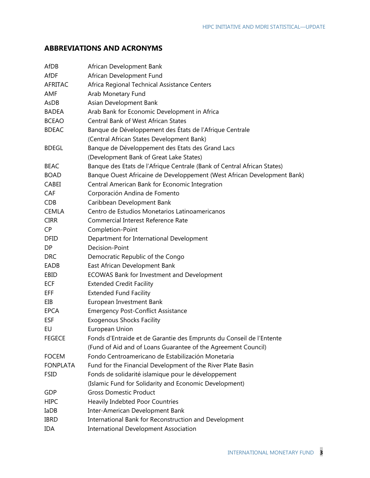## **ABBREVIATIONS AND ACRONYMS**

| AfDB            | African Development Bank                                                |
|-----------------|-------------------------------------------------------------------------|
| <b>AfDF</b>     | African Development Fund                                                |
| <b>AFRITAC</b>  | Africa Regional Technical Assistance Centers                            |
| AMF             | Arab Monetary Fund                                                      |
| AsDB            | Asian Development Bank                                                  |
| <b>BADEA</b>    | Arab Bank for Economic Development in Africa                            |
| <b>BCEAO</b>    | <b>Central Bank of West African States</b>                              |
| <b>BDEAC</b>    | Banque de Développement des États de l'Afrique Centrale                 |
|                 | (Central African States Development Bank)                               |
| <b>BDEGL</b>    | Banque de Développement des Etats des Grand Lacs                        |
|                 | (Development Bank of Great Lake States)                                 |
| <b>BEAC</b>     | Banque des Etats de l'Afrique Centrale (Bank of Central African States) |
| <b>BOAD</b>     | Banque Ouest Africaine de Developpement (West African Development Bank) |
| CABEI           | Central American Bank for Economic Integration                          |
| <b>CAF</b>      | Corporación Andina de Fomento                                           |
| <b>CDB</b>      | Caribbean Development Bank                                              |
| <b>CEMLA</b>    | Centro de Estudios Monetarios Latinoamericanos                          |
| <b>CIRR</b>     | Commercial Interest Reference Rate                                      |
| <b>CP</b>       | Completion-Point                                                        |
| <b>DFID</b>     | Department for International Development                                |
| DP              | Decision-Point                                                          |
| <b>DRC</b>      | Democratic Republic of the Congo                                        |
| EADB            | East African Development Bank                                           |
| EBID            | ECOWAS Bank for Investment and Development                              |
| <b>ECF</b>      | <b>Extended Credit Facility</b>                                         |
| EFF             | <b>Extended Fund Facility</b>                                           |
| EIB             | European Investment Bank                                                |
| <b>EPCA</b>     | <b>Emergency Post-Conflict Assistance</b>                               |
| <b>ESF</b>      | <b>Exogenous Shocks Facility</b>                                        |
| EU              | European Union                                                          |
| <b>FEGECE</b>   | Fonds d'Entraide et de Garantie des Emprunts du Conseil de l'Entente    |
|                 | (Fund of Aid and of Loans Guarantee of the Agreement Council)           |
| <b>FOCEM</b>    | Fondo Centroamericano de Estabilización Monetaria                       |
| <b>FONPLATA</b> | Fund for the Financial Development of the River Plate Basin             |
| <b>FSID</b>     | Fonds de solidarité islamique pour le développement                     |
|                 | (Islamic Fund for Solidarity and Economic Development)                  |
| GDP             | <b>Gross Domestic Product</b>                                           |
| <b>HIPC</b>     | Heavily Indebted Poor Countries                                         |
| IaDB            | Inter-American Development Bank                                         |
| <b>IBRD</b>     | International Bank for Reconstruction and Development                   |
| <b>IDA</b>      | <b>International Development Association</b>                            |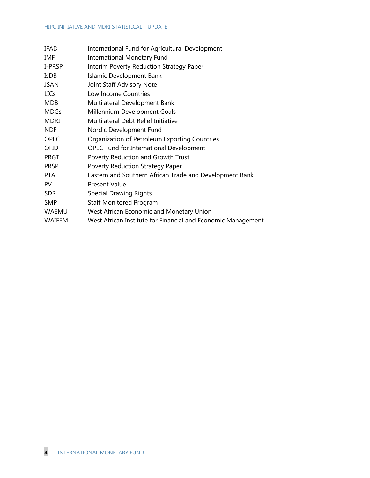#### HIPC INITIATIVE AND MDRI STATISTICAL—UPDATE

| IFAD          | International Fund for Agricultural Development              |
|---------------|--------------------------------------------------------------|
| IMF           | <b>International Monetary Fund</b>                           |
| I-PRSP        | Interim Poverty Reduction Strategy Paper                     |
| <b>IsDB</b>   | Islamic Development Bank                                     |
| <b>JSAN</b>   | Joint Staff Advisory Note                                    |
| <b>LICs</b>   | Low Income Countries                                         |
| <b>MDB</b>    | Multilateral Development Bank                                |
| <b>MDGs</b>   | Millennium Development Goals                                 |
| <b>MDRI</b>   | Multilateral Debt Relief Initiative                          |
| <b>NDF</b>    | Nordic Development Fund                                      |
| <b>OPEC</b>   | Organization of Petroleum Exporting Countries                |
| OFID          | <b>OPEC Fund for International Development</b>               |
| <b>PRGT</b>   | Poverty Reduction and Growth Trust                           |
| <b>PRSP</b>   | Poverty Reduction Strategy Paper                             |
| <b>PTA</b>    | Eastern and Southern African Trade and Development Bank      |
| PV            | <b>Present Value</b>                                         |
| <b>SDR</b>    | <b>Special Drawing Rights</b>                                |
| <b>SMP</b>    | <b>Staff Monitored Program</b>                               |
| <b>WAEMU</b>  | West African Economic and Monetary Union                     |
| <b>WAIFEM</b> | West African Institute for Financial and Economic Management |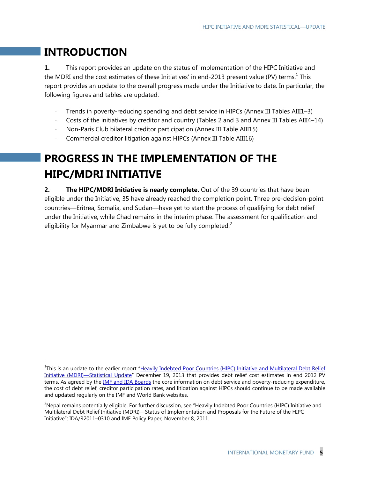## **INTRODUCTION**

-

**1.** This report provides an update on the status of implementation of the HIPC Initiative and the MDRI and the cost estimates of these Initiatives' in end-2013 present value (PV) terms.<sup>1</sup> This report provides an update to the overall progress made under the Initiative to date. In particular, the following figures and tables are updated:

- Trends in poverty-reducing spending and debt service in HIPCs (Annex III Tables AIII1–3)
- Costs of the initiatives by creditor and country (Tables 2 and 3 and Annex III Tables AIII4–14)
- Non-Paris Club bilateral creditor participation (Annex III Table AIII15)
- Commercial creditor litigation against HIPCs (Annex III Table AIII16)

# **PROGRESS IN THE IMPLEMENTATION OF THE HIPC/MDRI INITIATIVE**

**2. The HIPC/MDRI Initiative is nearly complete.** Out of the 39 countries that have been eligible under the Initiative, 35 have already reached the completion point. Three pre-decision-point countries—Eritrea, Somalia, and Sudan—have yet to start the process of qualifying for debt relief under the Initiative, while Chad remains in the interim phase. The assessment for qualification and eligibility for Myanmar and Zimbabwe is yet to be fully completed.<sup>2</sup>

<sup>&</sup>lt;sup>1</sup>This is an update to the earlier report "Heavily Indebted Poor Countries (HIPC) Initiative and Multilateral Debt Relief Initiative (MDRI)—Statistical Update" December 19, 2013 that provides debt relief cost estimates in end 2012 PV terms. As agreed by the **IMF and IDA Boards** the core information on debt service and poverty-reducing expenditure, the cost of debt relief, creditor participation rates, and litigation against HIPCs should continue to be made available and updated regularly on the IMF and World Bank websites.

 $2$ Nepal remains potentially eligible. For further discussion, see "Heavily Indebted Poor Countries (HIPC) Initiative and Multilateral Debt Relief Initiative (MDRI)—Status of Implementation and Proposals for the Future of the HIPC Initiative"; IDA/R2011–0310 and IMF Policy Paper; November 8, 2011.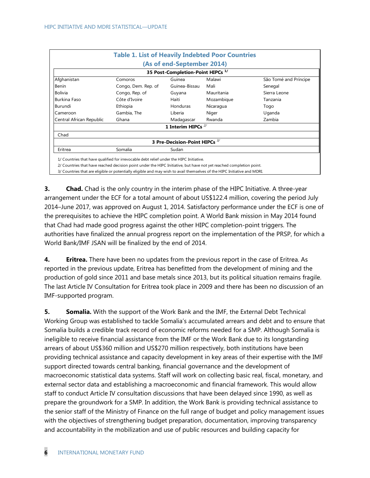|                                              | <b>Table 1. List of Heavily Indebted Poor Countries</b> |                               |            |                       |  |  |  |  |  |  |
|----------------------------------------------|---------------------------------------------------------|-------------------------------|------------|-----------------------|--|--|--|--|--|--|
|                                              |                                                         | (As of end-September 2014)    |            |                       |  |  |  |  |  |  |
| 35 Post-Completion-Point HIPCs <sup>1/</sup> |                                                         |                               |            |                       |  |  |  |  |  |  |
| Afghanistan                                  | Comoros                                                 | Guinea                        | Malawi     | São Tomé and Príncipe |  |  |  |  |  |  |
| Benin                                        | Congo, Dem. Rep. of                                     | Guinea-Bissau                 | Mali       | Senegal               |  |  |  |  |  |  |
| <b>Bolivia</b>                               | Congo, Rep. of                                          | Guyana                        | Mauritania | Sierra Leone          |  |  |  |  |  |  |
| <b>Burkina Faso</b>                          | Côte d'Ivoire                                           | Haiti                         | Mozambique | Tanzania              |  |  |  |  |  |  |
| Burundi                                      | Ethiopia                                                | Honduras                      | Nicaragua  | Togo                  |  |  |  |  |  |  |
| Cameroon                                     | Gambia, The                                             | Liberia                       | Niger      | Uganda                |  |  |  |  |  |  |
| Central African Republic                     | Ghana                                                   | Madagascar                    | Rwanda     | Zambia                |  |  |  |  |  |  |
|                                              |                                                         | 1 Interim HIPCs $^{2/}$       |            |                       |  |  |  |  |  |  |
| Chad                                         |                                                         |                               |            |                       |  |  |  |  |  |  |
|                                              |                                                         | 3 Pre-Decision-Point HIPCs 3/ |            |                       |  |  |  |  |  |  |
| Eritrea                                      | Somalia                                                 | Sudan                         |            |                       |  |  |  |  |  |  |

**3. Chad.** Chad is the only country in the interim phase of the HIPC Initiative. A three-year arrangement under the ECF for a total amount of about US\$122.4 million, covering the period July 2014–June 2017, was approved on August 1, 2014. Satisfactory performance under the ECF is one of the prerequisites to achieve the HIPC completion point. A World Bank mission in May 2014 found that Chad had made good progress against the other HIPC completion-point triggers. The authorities have finalized the annual progress report on the implementation of the PRSP, for which a World Bank/IMF JSAN will be finalized by the end of 2014.

**4. Eritrea.** There have been no updates from the previous report in the case of Eritrea. As reported in the previous update, Eritrea has benefitted from the development of mining and the production of gold since 2011 and base metals since 2013, but its political situation remains fragile. The last Article IV Consultation for Eritrea took place in 2009 and there has been no discussion of an IMF-supported program.

**5.** Somalia. With the support of the Work Bank and the IMF, the External Debt Technical Working Group was established to tackle Somalia's accumulated arrears and debt and to ensure that Somalia builds a credible track record of economic reforms needed for a SMP. Although Somalia is ineligible to receive financial assistance from the IMF or the Work Bank due to its longstanding arrears of about US\$360 million and US\$270 million respectively, both institutions have been providing technical assistance and capacity development in key areas of their expertise with the IMF support directed towards central banking, financial governance and the development of macroeconomic statistical data systems. Staff will work on collecting basic real, fiscal, monetary, and external sector data and establishing a macroeconomic and financial framework. This would allow staff to conduct Article IV consultation discussions that have been delayed since 1990, as well as prepare the groundwork for a SMP. In addition, the Work Bank is providing technical assistance to the senior staff of the Ministry of Finance on the full range of budget and policy management issues with the objectives of strengthening budget preparation, documentation, improving transparency and accountability in the mobilization and use of public resources and building capacity for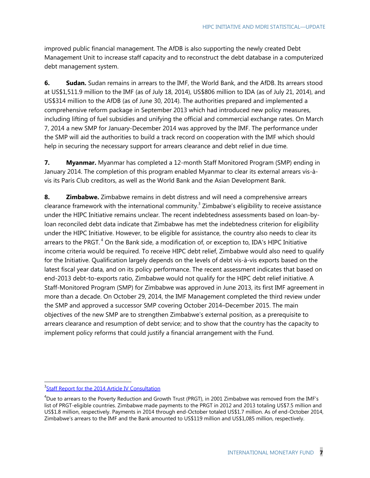improved public financial management. The AfDB is also supporting the newly created Debt Management Unit to increase staff capacity and to reconstruct the debt database in a computerized debt management system.

**6.** Sudan. Sudan remains in arrears to the IMF, the World Bank, and the AfDB. Its arrears stood at US\$1,511.9 million to the IMF (as of July 18, 2014), US\$806 million to IDA (as of July 21, 2014), and US\$314 million to the AfDB (as of June 30, 2014). The authorities prepared and implemented a comprehensive reform package in September 2013 which had introduced new policy measures, including lifting of fuel subsidies and unifying the official and commercial exchange rates. On March 7, 2014 a new SMP for January-December 2014 was approved by the IMF. The performance under the SMP will aid the authorities to build a track record on cooperation with the IMF which should help in securing the necessary support for arrears clearance and debt relief in due time.

**7. Myanmar.** Myanmar has completed a 12-month Staff Monitored Program (SMP) ending in January 2014. The completion of this program enabled Myanmar to clear its external arrears vis-àvis its Paris Club creditors, as well as the World Bank and the Asian Development Bank.

**8. Zimbabwe.** Zimbabwe remains in debt distress and will need a comprehensive arrears clearance framework with the international community.<sup>3</sup> Zimbabwe's eligibility to receive assistance under the HIPC Initiative remains unclear. The recent indebtedness assessments based on loan-byloan reconciled debt data indicate that Zimbabwe has met the indebtedness criterion for eligibility under the HIPC Initiative. However, to be eligible for assistance, the country also needs to clear its arrears to the PRGT.<sup>4</sup> On the Bank side, a modification of, or exception to, IDA's HIPC Initiative income criteria would be required. To receive HIPC debt relief, Zimbabwe would also need to qualify for the Initiative. Qualification largely depends on the levels of debt vis-à-vis exports based on the latest fiscal year data, and on its policy performance. The recent assessment indicates that based on end-2013 debt-to-exports ratio, Zimbabwe would not qualify for the HIPC debt relief initiative. A Staff-Monitored Program (SMP) for Zimbabwe was approved in June 2013, its first IMF agreement in more than a decade. On October 29, 2014, the IMF Management completed the third review under the SMP and approved a successor SMP covering October 2014–December 2015. The main objectives of the new SMP are to strengthen Zimbabwe's external position, as a prerequisite to arrears clearance and resumption of debt service; and to show that the country has the capacity to implement policy reforms that could justify a financial arrangement with the Fund.

-

<sup>&</sup>lt;sup>3</sup>Staff Report for the 2014 Article IV Consultation

<sup>&</sup>lt;sup>4</sup>Due to arrears to the Poverty Reduction and Growth Trust (PRGT), in 2001 Zimbabwe was removed from the IMF's list of PRGT-eligible countries. Zimbabwe made payments to the PRGT in 2012 and 2013 totaling US\$7.5 million and US\$1.8 million, respectively. Payments in 2014 through end-October totaled US\$1.7 million. As of end-October 2014, Zimbabwe's arrears to the IMF and the Bank amounted to US\$119 million and US\$1,085 million, respectively.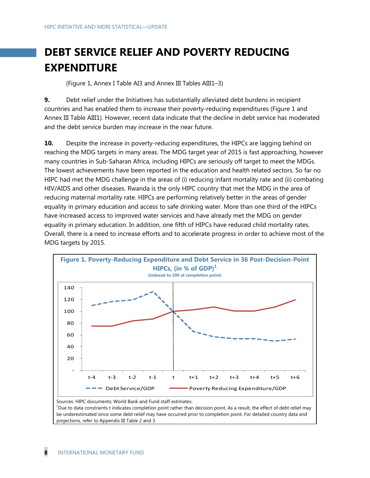# **DEBT SERVICE RELIEF AND POVERTY REDUCING EXPENDITURE**

(Figure 1, Annex I Table AI3 and Annex III Tables AIII1–3)

**9.** Debt relief under the Initiatives has substantially alleviated debt burdens in recipient countries and has enabled them to increase their poverty-reducing expenditures (Figure 1 and Annex III Table AIII1). However, recent data indicate that the decline in debt service has moderated and the debt service burden may increase in the near future.

**10.** Despite the increase in poverty-reducing expenditures, the HIPCs are lagging behind on reaching the MDG targets in many areas. The MDG target year of 2015 is fast approaching, however many countries in Sub-Saharan Africa, including HIPCs are seriously off target to meet the MDGs. The lowest achievements have been reported in the education and health related sectors. So far no HIPC had met the MDG challenge in the areas of (i) reducing infant mortality rate and (ii) combating HIV/AIDS and other diseases. Rwanda is the only HIPC country that met the MDG in the area of reducing maternal mortality rate. HIPCs are performing relatively better in the areas of gender equality in primary education and access to safe drinking water. More than one third of the HIPCs have increased access to improved water services and have already met the MDG on gender equality in primary education. In addition, one fifth of HIPCs have reduced child mortality rates. Overall, there is a need to increase efforts and to accelerate progress in order to achieve most of the MDG targets by 2015.



Sources: HIPC documents; World Bank and Fund staff estimates. <sup>1</sup>Due to data constraints t indicates completion point rather than decision point. As a result, the effect of debt relief may be underestimated since some debt relief may have occurred prior to completion point. For detailed country data and projections, refer to Appendix III Table 2 and 3.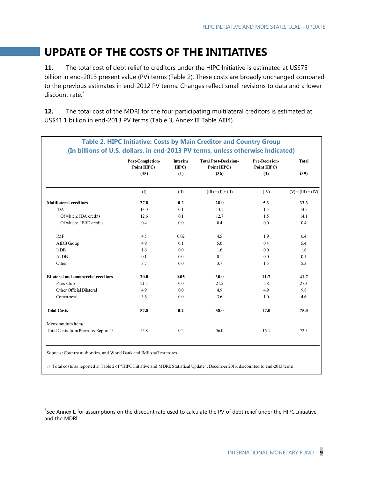# **UPDATE OF THE COSTS OF THE INITIATIVES**

**11.** The total cost of debt relief to creditors under the HIPC Initiative is estimated at US\$75 billion in end-2013 present value (PV) terms (Table 2). These costs are broadly unchanged compared to the previous estimates in end-2012 PV terms. Changes reflect small revisions to data and a lower discount rate.<sup>5</sup>

**12.** The total cost of the MDRI for the four participating multilateral creditors is estimated at US\$41.1 billion in end-2013 PV terms (Table 3, Annex III Table AIII4).

|                                           | Post-Completion-<br><b>Point HIPCs</b> | <b>Interim</b><br><b>HIPCs</b> | <b>Total Post-Decision-</b><br><b>Point HIPCs</b> | <b>Pre-Decision-</b><br><b>Point HIPCs</b> | <b>Total</b>         |
|-------------------------------------------|----------------------------------------|--------------------------------|---------------------------------------------------|--------------------------------------------|----------------------|
|                                           | (35)                                   | (1)                            | (36)                                              | (3)                                        | (39)                 |
|                                           | (1)                                    | (II)                           | $(III) = (I) + (II)$                              | (IV)                                       | $(V) = (III) + (IV)$ |
| <b>Multilateral creditors</b>             | 27.8                                   | 0.2                            | 28.0                                              | 5.3                                        | 33.3                 |
| <b>IDA</b>                                | 13.0                                   | 0.1                            | 13.1                                              | 1.5                                        | 14.5                 |
| Of which: IDA credits                     | 12.6                                   | 0.1                            | 12.7                                              | 1.5                                        | 14.1                 |
| Of which: IBRD credits                    | 0.4                                    | 0.0                            | 0.4                                               | 0.0                                        | 0.4                  |
| <b>IMF</b>                                | 4.5                                    | 0.02                           | 4.5                                               | 1.9                                        | 6.4                  |
| AfDB Group                                | 4.9                                    | 0.1                            | 5.0                                               | 0.4                                        | 5.4                  |
| IaDB                                      | 1.6                                    | 0.0                            | 1.6                                               | 0.0                                        | 1.6                  |
| AsDB                                      | 0.1                                    | 0.0                            | 0.1                                               | 0.0                                        | 0.1                  |
| Other                                     | 3.7                                    | 0.0                            | 3.7                                               | 1.5                                        | 5.3                  |
| <b>Bilateral and commercial creditors</b> | 30.0                                   | 0.05                           | 30.0                                              | 11.7                                       | 41.7                 |
| Paris Club                                | 21.5                                   | 0.0                            | 21.5                                              | 5.8                                        | 27.3                 |
| Other Official Bilateral                  | 4.9                                    | 0.0                            | 4.9                                               | 4.9                                        | 9.8                  |
| Commercial                                | 3.6                                    | 0.0                            | 3.6                                               | 1.0                                        | 4.6                  |
| <b>Total Costs</b>                        | 57.8                                   | 0.2                            | 58.0                                              | 17.0                                       | 75.0                 |
| Memorandum Items                          |                                        |                                |                                                   |                                            |                      |
| Total Costs from Previous Report 1/       | 55.8                                   | 0.2                            | 56.0                                              | 16.4                                       | 72.5                 |

Sources: Country authorities, and World Bank and IMF staff estimates.

-

1/ Total costs as reported in Table 2 of "HIPC Initiative and MDRI: Statistical Update", December 2013, discounted to end-2013 terms.

<sup>&</sup>lt;sup>5</sup>See Annex II for assumptions on the discount rate used to calculate the PV of debt relief under the HIPC Initiative and the MDRI.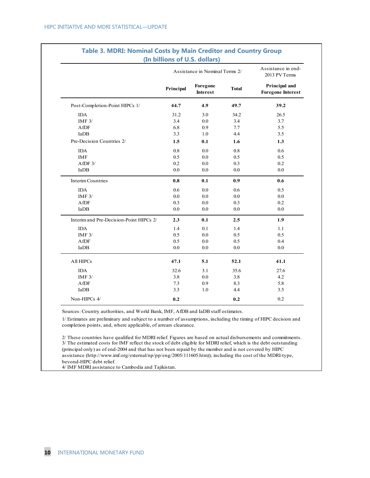|                                         |           | Assistance in Nominal Terms 2/ |              | Assistance in end-<br>2013 PV Terms       |
|-----------------------------------------|-----------|--------------------------------|--------------|-------------------------------------------|
|                                         | Principal | Foregone<br><b>Interest</b>    | <b>Total</b> | Principal and<br><b>Foregone Interest</b> |
| Post-Completion-Point HIPCs 1/          | 44.7      | 4.9                            | 49.7         | 39.2                                      |
| <b>IDA</b>                              | 31.2      | 3.0                            | 34.2         | 26.5                                      |
| IMF $3/$                                | 3.4       | 0.0                            | 3.4          | 3.7                                       |
| AfDF                                    | 6.8       | 0.9                            | 7.7          | 5.5                                       |
| IaDB                                    | 3.3       | 1.0                            | 4.4          | 3.5                                       |
| Pre-Decision Countries 2/               | 1.5       | 0.1                            | 1.6          | 1.3                                       |
| <b>IDA</b>                              | 0.8       | 0.0                            | 0.8          | 0.6                                       |
| <b>IMF</b>                              | 0.5       | 0.0                            | 0.5          | 0.5                                       |
| $A$ f $DF$ $3/$                         | 0.2       | 0.0                            | 0.3          | 0.2                                       |
| IaDB                                    | 0.0       | 0.0                            | 0.0          | 0.0                                       |
| <b>Interim Countries</b>                | 0.8       | 0.1                            | 0.9          | 0.6                                       |
| <b>IDA</b>                              | 0.6       | 0.0                            | 0.6          | 0.5                                       |
| IMF $3/$                                | $0.0\,$   | $0.0\,$                        | 0.0          | 0.0                                       |
| AfDF                                    | 0.3       | 0.0                            | 0.3          | 0.2                                       |
| IaDB                                    | 0.0       | 0.0                            | 0.0          | 0.0                                       |
| Interim and Pre-Decision-Point HIPCs 2/ | 2.3       | 0.1                            | 2.5          | 1.9                                       |
| <b>IDA</b>                              | 1.4       | 0.1                            | 1.4          | 1.1                                       |
| IMF $3/$                                | 0.5       | 0.0                            | 0.5          | 0.5                                       |
| AfDF                                    | 0.5       | 0.0                            | 0.5          | 0.4                                       |
| IaDB                                    | $0.0\,$   | 0.0                            | 0.0          | 0.0                                       |
| All HIPCs                               | 47.1      | 5.1                            | 52.1         | 41.1                                      |
| <b>IDA</b>                              | 32.6      | 3.1                            | 35.6         | 27.6                                      |
| IMF $3/$                                | 3.8       | 0.0                            | 3.8          | 4.2                                       |
| AfDF                                    | 7.3       | 0.9                            | 8.3          | 5.8                                       |
| IaDB                                    | 3.3       | 1.0                            | 4.4          | 3.5                                       |
| Non-HIPCs 4/                            | 0.2       |                                | 0.2          | 0.2                                       |

# **Table 3. MDRI: Nominal Costs by Main Creditor and Country Group**

Sources: Country authorities, and World Bank, IMF, AfDB and IaDB staff estimates.

1/ Estimates are preliminary and subject to a number of assumptions, including the timing of HIPC decision and completion points, and, where applicable, of arrears clearance.

2/ These countries have qualified for MDRI relief. Figures are based on actual disbursements and commitments. 3/ The estimated costs for IMF reflect the stock of debt eligible for MDRI relief, which is the debt outstanding (principal only) as of end-2004 and that has not been repaid by the member and is not covered by HIPC assistance (http://www.imf.org/external/np/pp/eng/2005/111605.htm)); including the cost of the MDRI-type, beyond-HIPC debt relief.

4/ IMF MDRI assistance to Cambodia and Tajikistan.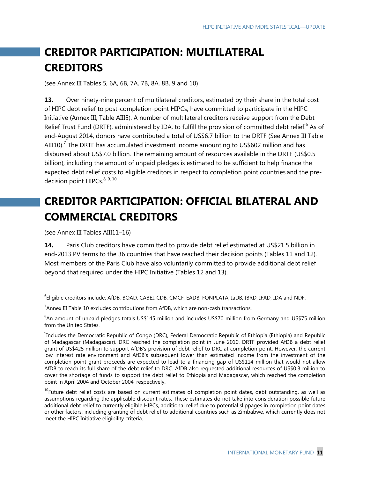# **CREDITOR PARTICIPATION: MULTILATERAL CREDITORS**

(see Annex III Tables 5, 6A, 6B, 7A, 7B, 8A, 8B, 9 and 10)

**13.** Over ninety-nine percent of multilateral creditors, estimated by their share in the total cost of HIPC debt relief to post-completion-point HIPCs, have committed to participate in the HIPC Initiative (Annex III, Table AIII5). A number of multilateral creditors receive support from the Debt Relief Trust Fund (DRTF), administered by IDA, to fulfill the provision of committed debt relief.<sup>6</sup> As of end-August 2014, donors have contributed a total of US\$6.7 billion to the DRTF (See Annex III Table AIII10).<sup>7</sup> The DRTF has accumulated investment income amounting to US\$602 million and has disbursed about US\$7.0 billion. The remaining amount of resources available in the DRTF (US\$0.5 billion), including the amount of unpaid pledges is estimated to be sufficient to help finance the expected debt relief costs to eligible creditors in respect to completion point countries and the predecision point  $HIPCs$ <sup>8, 9, 10</sup>

# **CREDITOR PARTICIPATION: OFFICIAL BILATERAL AND COMMERCIAL CREDITORS**

(see Annex III Tables AIII11–16)

-

14. Paris Club creditors have committed to provide debt relief estimated at US\$21.5 billion in end-2013 PV terms to the 36 countries that have reached their decision points (Tables 11 and 12). Most members of the Paris Club have also voluntarily committed to provide additional debt relief beyond that required under the HIPC Initiative (Tables 12 and 13).

<sup>&</sup>lt;sup>6</sup>Eligible creditors include: AfDB, BOAD, CABEI, CDB, CMCF, EADB, FONPLATA, IaDB, IBRD, IFAD, IDA and NDF.

 $^7$ Annex III Table 10 excludes contributions from AfDB, which are non-cash transactions.

<sup>&</sup>lt;sup>8</sup>An amount of unpaid pledges totals US\$145 million and includes US\$70 million from Germany and US\$75 million from the United States.

<sup>9</sup> Includes the Democratic Republic of Congo (DRC), Federal Democratic Republic of Ethiopia (Ethiopia) and Republic of Madagascar (Madagascar). DRC reached the completion point in June 2010. DRTF provided AfDB a debt relief grant of US\$425 million to support AfDB's provision of debt relief to DRC at completion point. However, the current low interest rate environment and AfDB's subsequent lower than estimated income from the investment of the completion point grant proceeds are expected to lead to a financing gap of US\$114 million that would not allow AfDB to reach its full share of the debt relief to DRC. AfDB also requested additional resources of US\$0.3 million to cover the shortage of funds to support the debt relief to Ethiopia and Madagascar, which reached the completion point in April 2004 and October 2004, respectively.

<sup>&</sup>lt;sup>10</sup>Future debt relief costs are based on current estimates of completion point dates, debt outstanding, as well as assumptions regarding the applicable discount rates. These estimates do not take into consideration possible future additional debt relief to currently eligible HIPCs, additional relief due to potential slippages in completion point dates or other factors, including granting of debt relief to additional countries such as Zimbabwe, which currently does not meet the HIPC Initiative eligibility criteria.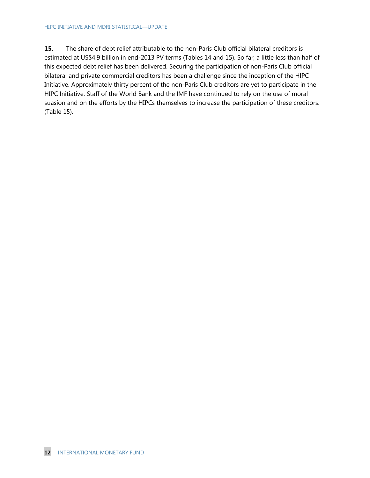#### HIPC INITIATIVE AND MDRI STATISTICAL—UPDATE

**15.** The share of debt relief attributable to the non-Paris Club official bilateral creditors is estimated at US\$4.9 billion in end-2013 PV terms (Tables 14 and 15). So far, a little less than half of this expected debt relief has been delivered. Securing the participation of non-Paris Club official bilateral and private commercial creditors has been a challenge since the inception of the HIPC Initiative. Approximately thirty percent of the non-Paris Club creditors are yet to participate in the HIPC Initiative. Staff of the World Bank and the IMF have continued to rely on the use of moral suasion and on the efforts by the HIPCs themselves to increase the participation of these creditors. (Table 15).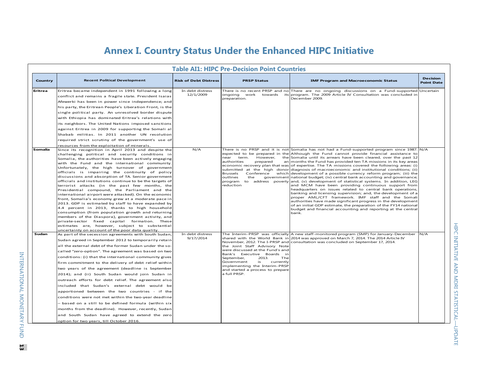## **Annex I. Country Status Under the Enhanced HIPC Initiative**

|         |                                                                                                                                                                                                                                                                                                                                                                                                                                                                                                                                                                                                                                                                                                                                                                                                                                                                                                                                                                                                                                        |                               | <b>Table AI1: HIPC Pre-Decision Point Countries</b>                                                                                                                                                                                                 |                                                                                                                                                                                                                                                                                                                                                                                                                                                                                                                                                                                                                                                                                                                                                                                                                                                                                                                                                                                                                                                                                                                                                                                                                               |                                      |
|---------|----------------------------------------------------------------------------------------------------------------------------------------------------------------------------------------------------------------------------------------------------------------------------------------------------------------------------------------------------------------------------------------------------------------------------------------------------------------------------------------------------------------------------------------------------------------------------------------------------------------------------------------------------------------------------------------------------------------------------------------------------------------------------------------------------------------------------------------------------------------------------------------------------------------------------------------------------------------------------------------------------------------------------------------|-------------------------------|-----------------------------------------------------------------------------------------------------------------------------------------------------------------------------------------------------------------------------------------------------|-------------------------------------------------------------------------------------------------------------------------------------------------------------------------------------------------------------------------------------------------------------------------------------------------------------------------------------------------------------------------------------------------------------------------------------------------------------------------------------------------------------------------------------------------------------------------------------------------------------------------------------------------------------------------------------------------------------------------------------------------------------------------------------------------------------------------------------------------------------------------------------------------------------------------------------------------------------------------------------------------------------------------------------------------------------------------------------------------------------------------------------------------------------------------------------------------------------------------------|--------------------------------------|
| Country | <b>Recent Political Development</b>                                                                                                                                                                                                                                                                                                                                                                                                                                                                                                                                                                                                                                                                                                                                                                                                                                                                                                                                                                                                    | <b>Risk of Debt Distress</b>  | <b>PRSP Status</b>                                                                                                                                                                                                                                  | <b>IMF Program and Macroeconomic Status</b>                                                                                                                                                                                                                                                                                                                                                                                                                                                                                                                                                                                                                                                                                                                                                                                                                                                                                                                                                                                                                                                                                                                                                                                   | <b>Decision</b><br><b>Point Date</b> |
| Eritrea | Eritrea became independent in 1991 following a long<br>conflict and remains a fragile state. President Isaias<br>Afewerki has been in power since independence; and<br>his party, the Eritrean People's Liberation Front, is the<br>single political party. An unresolved border dispute<br>with Ethiopia has dominated Eritrea's relations with<br>its neighbors. The United Nations imposed sanctions<br>against Eritrea in 2009 for supporting the Somali al<br>Shabab militias. In 2011 another UN resolution<br>required strict scrutiny of the government's use of<br>resources from the exploitation of minerals.                                                                                                                                                                                                                                                                                                                                                                                                               | In debt distress<br>12/1/2009 | preparation.                                                                                                                                                                                                                                        | There is no recent PRSP and no There are no ongoing discussions on a Fund-supported<br>ongoing work towards its program. The 2009 Article IV Consultation was concluded in<br>December 2009.                                                                                                                                                                                                                                                                                                                                                                                                                                                                                                                                                                                                                                                                                                                                                                                                                                                                                                                                                                                                                                  | Uncertain                            |
| Somalia | Since its recognition in April 2013 and despite the<br>challenging political and security conditions in<br>Somalia, the authorities have been actively engaging<br>with the Fund and the international community.<br>Unfortunately, the high turnover of government<br>officials is impairing the continuity of policy<br>discussions and absorption of TA. Senior government<br>officials and institutions continue to be the targets of<br>terrorist attacks (in the past few months, the<br>Presidential compound, the Parliament and the<br>international airport were attacked). On the economic<br>front, Somalia's economy grew at a moderate pace in<br>2013. GDP is estimated by staff to have expanded by<br>4.4 percent in 2013, thanks to high household<br>consumption (from population growth and returning<br>members of the Diaspora), government activity, and<br>private-sector fixed capital formation. These<br>estimates are, however, subject to substantial<br>uncertainty on account of the poor data quality. | N/A                           | However,<br>near<br>term.<br>prepared<br>authorities<br>Conference<br>Brussels<br>outlines<br>the<br>program<br>reduction                                                                                                                           | There is no PRSP and it is not Somalia has not had a Fund-supported program since 1987. N/A<br>expected to be prepared in the Although the Fund cannot provide financial assistance to<br>the Somalia until its arrears have been cleared, over the past 12<br>an months the Fund has provided ten TA missions in its key areas<br>economic recovery plan that was of expertise. The TA missions covered the following areas: (i)<br>submitted at the high donor diagnosis of macroeconomic and institutional conditions; (ii)<br>which development of a possible currency reform program; (iii) the<br>government national budget; (iv) central bank accounting and governance;<br>to address poverty and, (v) development of statistical systems. In addition, LEG<br>and MCM have been providing continuous support from<br>headquarters on issues related to central bank operations,<br>banking and licensing supervision; and, the development of a<br>proper AML/CFT framework. IMF staff and the Somali<br>authorities have made significant progress in the development<br>of an initial GDP estimate, the preparation of the FY14 national<br>budget and financial accounting and reporting at the central<br>bank. |                                      |
| Sudan   | As part of the secession agreements with South Sudan,<br>Sudan agreed in September 2012 to temporarily retain<br>all the external debt of the former Sudan under the so-<br>called "zero-option". The agreement was based on two<br>conditions: (i) that the international community gives<br>firm commitment to the delivery of debt relief within<br>two years of the agreement (deadline is September<br>2014); and (ii) South Sudan would join Sudan in<br>outreach efforts for debt relief. The agreement also<br>included that Sudan's external debt would be<br>apportioned between the two countries - if the<br>conditions were not met within the two-year deadline<br>- based on a still to be defined formula (within six<br>months from the deadline). However, recently, Sudan<br>and South Sudan have agreed to extend the zero<br>option for two years, till October 2016.                                                                                                                                             | In debt distress<br>9/17/2014 | the Joint Staff Advisory Note<br>were discussed at the Fund's and<br>Bank's Executive Boards in<br>The<br>September,<br>2013.<br>Government<br>is<br>currently<br>implementing the Interim-PRSP<br>and started a process to prepare<br>a full PRSP. | The Interim-PRSP was officially A new staff-monitored program (SMP) for January-December<br>shared with the World Bank in 2014 was approved on March 7, 2014. The 2014 Article IV<br>November, 2012. The I-PRSP and consultation was concluded on September 17, 2014.                                                                                                                                                                                                                                                                                                                                                                                                                                                                                                                                                                                                                                                                                                                                                                                                                                                                                                                                                         | N/A                                  |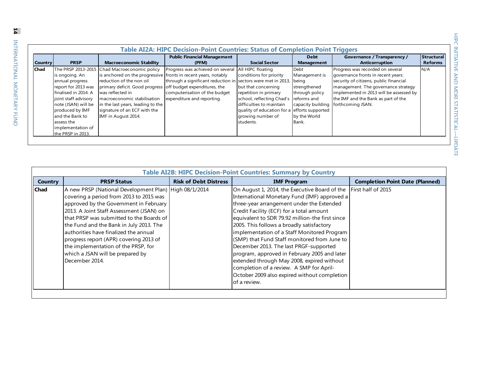| <b>Country</b> | <b>PRSP</b>                                                                                                                                                           | <b>Macroeconomic Stability</b>                                                                                                                                                                                                                                                                           | <b>Public Financial Management</b><br>(PFM)                                                                                 | <b>Social Sector</b>                                                                                                                                                                                  | <b>Debt</b><br><b>Management</b>                                                                             | <b>Governance / Transparency /</b><br><b>Anticorruption</b>                                                                                                                                                                | Structural<br><b>Reforms</b> |
|----------------|-----------------------------------------------------------------------------------------------------------------------------------------------------------------------|----------------------------------------------------------------------------------------------------------------------------------------------------------------------------------------------------------------------------------------------------------------------------------------------------------|-----------------------------------------------------------------------------------------------------------------------------|-------------------------------------------------------------------------------------------------------------------------------------------------------------------------------------------------------|--------------------------------------------------------------------------------------------------------------|----------------------------------------------------------------------------------------------------------------------------------------------------------------------------------------------------------------------------|------------------------------|
| Chad           |                                                                                                                                                                       | The PRSP 2013-2015 Chad Macroeconomic policy                                                                                                                                                                                                                                                             | Progress was achieved on several                                                                                            | All HIPC floating                                                                                                                                                                                     | Debt                                                                                                         | Progress was recorded on several                                                                                                                                                                                           | N/A                          |
|                | is ongoing. An<br>annual progress<br>report for 2013 was<br>finalised in 2014. A<br>joint staff advisory<br>note (JSAN) will be<br>produced by IMF<br>and the Bank to | is anchored on the progressive fronts in recent years, notably<br>reduction of the non oil<br>primary deficit. Good progress off budget expenditures, the<br>was reflected in<br>macroeconomic stabilisation<br>in the last years, leading to the<br>signature of an ECF with the<br>IMF in August 2014. | through a significant reduction in sectors were met in 2013,<br>computerisation of the budget<br>expenditure and reporting. | conditions for priority<br>but that concerning<br>repetition in primary<br>school, reflecting Chad's<br>difficulties to maintain<br>quality of education for a efforts supported<br>growing number of | Management is<br>being<br>strengthened<br>through policy<br>reforms and<br>capacity building<br>by the World | governance fronts in recent years:<br>security of citizens, public financial<br>management. The governance strategy<br>implemented in 2013 will be assessed by<br>the IMF and the Bank as part of the<br>forthcoming JSAN. |                              |
|                | assess the<br>implementation of<br>the PRSP in 2013.                                                                                                                  |                                                                                                                                                                                                                                                                                                          |                                                                                                                             | students.                                                                                                                                                                                             | Bank.                                                                                                        |                                                                                                                                                                                                                            |                              |

|                | <b>Table AI2B: HIPC Decision-Point Countries: Summary by Country</b>                                                                                                                                                                                                                                                                                                                                                                                          |                              |                                                                                                                                                                                                                                                                                                                                                                                                                                                                                                                                                                                                                                           |                                        |  |  |  |  |  |  |  |  |  |
|----------------|---------------------------------------------------------------------------------------------------------------------------------------------------------------------------------------------------------------------------------------------------------------------------------------------------------------------------------------------------------------------------------------------------------------------------------------------------------------|------------------------------|-------------------------------------------------------------------------------------------------------------------------------------------------------------------------------------------------------------------------------------------------------------------------------------------------------------------------------------------------------------------------------------------------------------------------------------------------------------------------------------------------------------------------------------------------------------------------------------------------------------------------------------------|----------------------------------------|--|--|--|--|--|--|--|--|--|
| <b>Country</b> | <b>PRSP Status</b>                                                                                                                                                                                                                                                                                                                                                                                                                                            | <b>Risk of Debt Distress</b> | <b>IMF Program</b>                                                                                                                                                                                                                                                                                                                                                                                                                                                                                                                                                                                                                        | <b>Completion Point Date (Planned)</b> |  |  |  |  |  |  |  |  |  |
| <b>Chad</b>    | A new PRSP (National Development Plan) High 08/1/2014<br>covering a period from 2013 to 2015 was<br>approved by the Government in February<br>2013. A Joint Staff Assessment (JSAN) on<br>that PRSP was submitted to the Boards of<br>the Fund and the Bank in July 2013. The<br>authorities have finalized the annual<br>progress report (APR) covering 2013 of<br>the implementation of the PRSP, for<br>which a JSAN will be prepared by<br>December 2014. |                              | On August 1, 2014, the Executive Board of the<br>International Monetary Fund (IMF) approved a<br>three-year arrangement under the Extended<br>Credit Facility (ECF) for a total amount<br>equivalent to SDR 79.92 million-the first since<br>2005. This follows a broadly satisfactory<br>implementation of a Staff Monitored Program<br>(SMP) that Fund Staff monitored from June to<br>December 2013. The last PRGF-supported<br>program, approved in February 2005 and later<br>extended through May 2008, expired without<br>completion of a review. A SMP for April-<br>October 2009 also expired without completion<br>of a review. | First half of 2015                     |  |  |  |  |  |  |  |  |  |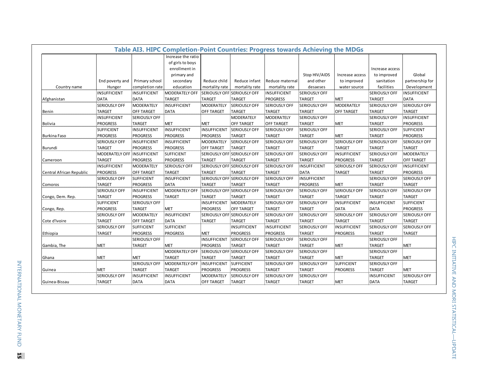|                          |                             |                      | Table AI3. HIPC Completion-Point Countries: Progress towards Achieving the MDGs |                     |                             |                      |                      |                      |                      |                      |
|--------------------------|-----------------------------|----------------------|---------------------------------------------------------------------------------|---------------------|-----------------------------|----------------------|----------------------|----------------------|----------------------|----------------------|
|                          |                             |                      | Increase the ratio                                                              |                     |                             |                      |                      |                      |                      |                      |
|                          |                             |                      | of girls to boys                                                                |                     |                             |                      |                      |                      |                      |                      |
|                          |                             |                      | enrollment in                                                                   |                     |                             |                      |                      |                      | Increase access      |                      |
|                          |                             |                      | primary and                                                                     |                     |                             |                      | Stop HIV/AIDS        | Increase access      | to improved          | Global               |
|                          | End poverty and             | Primary school       | secondary                                                                       | Reduce child        | Reduce infant               | Reduce maternal      | and other            | to improved          | sanitation           | partnership for      |
| Country name             | Hunger                      | completion rate      | education                                                                       | mortality rate      | mortality rate              | mortality rate       | desaeses             | water source         | facilities           | Development          |
|                          | <b>INSUFFICIENT</b>         | <b>INSUFFICIENT</b>  | MODERATELY OFF                                                                  |                     | SERIOUSLY OFF SERIOUSLY OFF | INSUFFICIENT         | <b>SERIOUSLY OFF</b> |                      | <b>SERIOUSLY OFF</b> | <b>INSUFFICIENT</b>  |
| Afghanistan              | <b>DATA</b>                 | DATA                 | <b>TARGET</b>                                                                   | <b>TARGET</b>       | <b>TARGET</b>               | <b>PROGRESS</b>      | <b>TARGET</b>        | MET                  | TARGET               | <b>DATA</b>          |
|                          | <b>SERIOUSLY OFF</b>        | MODERATELY           | <b>INSUFFICIENT</b>                                                             | <b>MODERATELY</b>   | <b>SERIOUSLY OFF</b>        | <b>SERIOUSLY OFF</b> | <b>SERIOUSLY OFF</b> | MODERATELY           | <b>SERIOUSLY OFF</b> | SERIOUSLY OFF        |
| Benin                    | <b>TARGET</b>               | <b>OFF TARGET</b>    | <b>DATA</b>                                                                     | <b>OFF TARGET</b>   | <b>TARGET</b>               | <b>TARGET</b>        | <b>TARGET</b>        | <b>OFF TARGET</b>    | <b>TARGET</b>        | <b>TARGET</b>        |
|                          | <b>INSUFFICIENT</b>         | <b>SERIOUSLY OFF</b> |                                                                                 |                     | <b>MODERATELY</b>           | MODERATELY           | <b>SERIOUSLY OFF</b> |                      | <b>SERIOUSLY OFF</b> | <b>INSUFFICIENT</b>  |
| <b>Bolivia</b>           | <b>PROGRESS</b>             | TARGET               | <b>MET</b>                                                                      | <b>MET</b>          | <b>OFF TARGET</b>           | <b>OFF TARGET</b>    | <b>TARGET</b>        | MET                  | TARGET               | <b>PROGRESS</b>      |
|                          | <b>SUFFICIENT</b>           | INSUFFICIENT         | <b>INSUFFICIENT</b>                                                             | <b>INSUFFICIENT</b> | <b>SERIOUSLY OFF</b>        | <b>SERIOUSLY OFF</b> | <b>SERIOUSLY OFF</b> |                      | <b>SERIOUSLY OFF</b> | <b>SUFFICIENT</b>    |
| <b>Burkina Faso</b>      | <b>PROGRESS</b>             | <b>PROGRESS</b>      | <b>PROGRESS</b>                                                                 | <b>PROGRESS</b>     | <b>TARGET</b>               | <b>TARGET</b>        | <b>TARGET</b>        | MET                  | TARGET               | <b>PROGRESS</b>      |
|                          | <b>SERIOUSLY OFF</b>        | <b>INSUFFICIENT</b>  | <b>INSUFFICIENT</b>                                                             | <b>MODERATELY</b>   | <b>SERIOUSLY OFF</b>        | <b>SERIOUSLY OFF</b> | <b>SERIOUSLY OFF</b> | <b>SERIOUSLY OFF</b> | <b>SERIOUSLY OFF</b> | SERIOUSLY OFF        |
| Burundi                  | <b>TARGET</b>               | PROGRESS             | <b>PROGRESS</b>                                                                 | <b>OFF TARGET</b>   | <b>TARGET</b>               | <b>TARGET</b>        | <b>TARGET</b>        | TARGET               | <b>TARGET</b>        | <b>TARGET</b>        |
|                          | MODERATELY OFF INSUFFICIENT |                      | <b>SUFFICIENT</b>                                                               |                     | SERIOUSLY OFF SERIOUSLY OFF | <b>SERIOUSLY OFF</b> | <b>SERIOUSLY OFF</b> | INSUFFICIENT         | <b>SERIOUSLY OFF</b> | <b>MODERATELY</b>    |
| Cameroon                 | <b>TARGET</b>               | PROGRESS             | <b>PROGRESS</b>                                                                 | <b>TARGET</b>       | <b>TARGET</b>               | <b>TARGET</b>        | <b>TARGET</b>        | PROGRESS             | <b>TARGET</b>        | OFF TARGET           |
|                          | INSUFFICIENT                | <b>MODERATELY</b>    | <b>SERIOUSLY OFF</b>                                                            |                     | SERIOUSLY OFF SERIOUSLY OFF | <b>SERIOUSLY OFF</b> | <b>INSUFFICIENT</b>  | <b>SERIOUSLY OFF</b> | <b>SERIOUSLY OFF</b> | INSUFFICIENT         |
| Central African Republic | PROGRESS                    | <b>OFF TARGET</b>    | TARGET                                                                          | <b>TARGET</b>       | <b>TARGET</b>               | <b>TARGET</b>        | <b>DATA</b>          | TARGET               | TARGET               | <b>PROGRESS</b>      |
|                          | <b>SERIOUSLY OFF</b>        | SUFFICIENT           | <b>INSUFFICIENT</b>                                                             |                     | SERIOUSLY OFF SERIOUSLY OFF | <b>SERIOUSLY OFF</b> | <b>INSUFFICIENT</b>  |                      | <b>SERIOUSLY OFF</b> | SERIOUSLY OFF        |
| Comoros                  | <b>TARGET</b>               | PROGRESS             | <b>DATA</b>                                                                     | <b>TARGET</b>       | <b>TARGET</b>               | <b>TARGET</b>        | <b>PROGRESS</b>      | MET                  | TARGET               | <b>TARGET</b>        |
|                          | <b>SERIOUSLY OFF</b>        | INSUFFICIENT         | MODERATELY OFF                                                                  |                     | SERIOUSLY OFF SERIOUSLY OFF | <b>SERIOUSLY OFF</b> | <b>SERIOUSLY OFF</b> | <b>SERIOUSLY OFF</b> | <b>SERIOUSLY OFF</b> | <b>SERIOUSLY OFF</b> |
| Congo, Dem. Rep.         | TARGET                      | <b>PROGRESS</b>      | <b>TARGET</b>                                                                   | <b>TARGET</b>       | <b>TARGET</b>               | <b>TARGET</b>        | <b>TARGET</b>        | TARGET               | TARGET               | <b>TARGET</b>        |
|                          | <b>SUFFICIENT</b>           | <b>SERIOUSLY OFF</b> |                                                                                 | <b>INSUFFICIENT</b> | <b>MODERATELY</b>           | <b>SERIOUSLY OFF</b> | <b>SERIOUSLY OFF</b> | INSUFFICIENT         | <b>INSUFFICIENT</b>  | <b>SUFFICIENT</b>    |
| Congo, Rep.              | <b>PROGRESS</b>             | <b>TARGET</b>        | <b>MET</b>                                                                      | <b>PROGRESS</b>     | <b>OFF TARGET</b>           | <b>TARGET</b>        | <b>TARGET</b>        | DATA                 | <b>DATA</b>          | <b>PROGRESS</b>      |
|                          | <b>SERIOUSLY OFF</b>        | MODERATELY           | <b>INSUFFICIENT</b>                                                             |                     | SERIOUSLY OFF SERIOUSLY OFF | <b>SERIOUSLY OFF</b> | <b>SERIOUSLY OFF</b> | <b>SERIOUSLY OFF</b> | <b>SERIOUSLY OFF</b> | <b>SERIOUSLY OFF</b> |
| Cote d'Ivoire            | <b>TARGET</b>               | <b>OFF TARGET</b>    | DATA                                                                            | <b>TARGET</b>       | <b>TARGET</b>               | <b>TARGET</b>        | <b>TARGET</b>        | TARGET               | TARGET               | <b>TARGET</b>        |
|                          | <b>SERIOUSLY OFF</b>        | SUFFICIENT           | <b>SUFFICIENT</b>                                                               |                     | <b>INSUFFICIENT</b>         | INSUFFICIENT         | <b>SERIOUSLY OFF</b> | INSUFFICIENT         | <b>SERIOUSLY OFF</b> | SERIOUSLY OFF        |
| Ethiopia                 | TARGET                      | PROGRESS             | <b>PROGRESS</b>                                                                 | <b>MET</b>          | <b>PROGRESS</b>             | <b>PROGRESS</b>      | <b>TARGET</b>        | PROGRESS             | TARGET               | TARGET               |
|                          |                             | <b>SERIOUSLY OFF</b> |                                                                                 | <b>INSUFFICIENT</b> | <b>SERIOUSLY OFF</b>        | <b>SERIOUSLY OFF</b> | <b>SERIOUSLY OFF</b> |                      | <b>SERIOUSLY OFF</b> |                      |
| Gambia, The              | MET                         | <b>TARGET</b>        | <b>MET</b>                                                                      | <b>PROGRESS</b>     | <b>TARGET</b>               | <b>TARGET</b>        | <b>TARGET</b>        | MET                  | <b>TARGET</b>        | <b>MET</b>           |
|                          |                             |                      | MODERATELY OFF                                                                  |                     | SERIOUSLY OFF SERIOUSLY OFF | <b>SERIOUSLY OFF</b> | <b>SERIOUSLY OFF</b> |                      | <b>SERIOUSLY OFF</b> |                      |
| Ghana                    | MET                         | <b>MET</b>           | TARGET                                                                          | <b>TARGET</b>       | <b>TARGET</b>               | <b>TARGET</b>        | <b>TARGET</b>        | MET                  | <b>TARGET</b>        | <b>MET</b>           |
|                          |                             | <b>SERIOUSLY OFF</b> | MODERATELY OFF                                                                  | INSUFFICIENT        | <b>SUFFICIENT</b>           | <b>SERIOUSLY OFF</b> | <b>SERIOUSLY OFF</b> | SUFFICIENT           | <b>SERIOUSLY OFF</b> |                      |
| Guinea                   | <b>MET</b>                  | TARGET               | TARGET                                                                          | <b>PROGRESS</b>     | <b>PROGRESS</b>             | <b>TARGET</b>        | <b>TARGET</b>        | <b>PROGRESS</b>      | <b>TARGET</b>        | <b>MET</b>           |
|                          | <b>SERIOUSLY OFF</b>        | INSUFFICIENT         | <b>INSUFFICIENT</b>                                                             | MODERATELY          | <b>SERIOUSLY OFF</b>        | <b>SERIOUSLY OFF</b> | <b>SERIOUSLY OFF</b> |                      | <b>INSUFFICIENT</b>  | SERIOUSLY OFF        |
| Guinea-Bissau            | TARGET                      | DATA                 | DATA                                                                            | <b>OFF TARGET</b>   | <b>TARGET</b>               | TARGET               | <b>TARGET</b>        | MET                  | <b>DATA</b>          | TARGET               |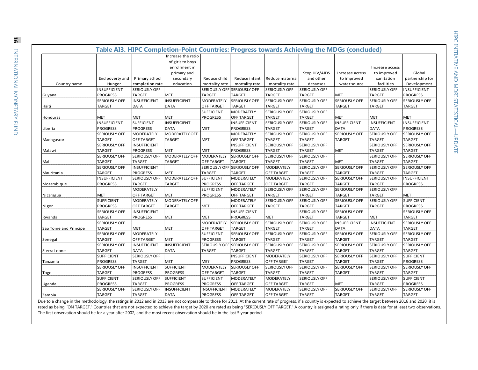|                       |                      |                      | Table AI3. HIPC Completion-Point Countries: Progress towards Achieving the MDGs (concluded) |                             |                             |                      |                      |                                |                           |                      |
|-----------------------|----------------------|----------------------|---------------------------------------------------------------------------------------------|-----------------------------|-----------------------------|----------------------|----------------------|--------------------------------|---------------------------|----------------------|
|                       |                      |                      | Increase the ratio                                                                          |                             |                             |                      |                      |                                |                           |                      |
|                       |                      |                      | of girls to boys                                                                            |                             |                             |                      |                      |                                |                           |                      |
|                       |                      |                      | enrollment in                                                                               |                             |                             |                      |                      |                                | Increase access           |                      |
|                       |                      |                      |                                                                                             |                             |                             |                      | Stop HIV/AIDS        |                                |                           | Global               |
|                       | End poverty and      | Primary school       | primary and                                                                                 | Reduce child                | Reduce infant               | Reduce maternal      | and other            | Increase access<br>to improved | to improved<br>sanitation | partnership for      |
| Country name          | Hunger               | completion rate      | secondary<br>education                                                                      | mortality rate              | mortality rate              | mortality rate       | desaeses             | water source                   | facilities                | Development          |
|                       | INSUFFICIENT         | SERIOUSLY OFF        |                                                                                             |                             | SERIOUSLY OFF SERIOUSLY OFF | SERIOUSLY OFF        | <b>SERIOUSLY OFF</b> |                                | <b>SERIOUSLY OFF</b>      | <b>INSUFFICIENT</b>  |
| Guyana                | <b>PROGRESS</b>      | <b>TARGET</b>        | <b>MET</b>                                                                                  | <b>TARGET</b>               | <b>TARGET</b>               | <b>TARGET</b>        | <b>TARGET</b>        | <b>MET</b>                     | <b>TARGET</b>             | <b>PROGRESS</b>      |
|                       | SERIOUSLY OFF        | <b>INSUFFICIENT</b>  | <b>INSUFFICIENT</b>                                                                         | MODERATELY                  | <b>SERIOUSLY OFF</b>        | <b>SERIOUSLY OFF</b> | <b>SERIOUSLY OFF</b> | <b>SERIOUSLY OFF</b>           | <b>SERIOUSLY OFF</b>      | <b>SERIOUSLY OFF</b> |
| Haiti                 | <b>TARGET</b>        | <b>DATA</b>          | <b>DATA</b>                                                                                 | <b>OFF TARGET</b>           | <b>TARGET</b>               | TARGET               | <b>TARGET</b>        | <b>TARGET</b>                  | <b>TARGET</b>             | <b>TARGET</b>        |
|                       |                      |                      |                                                                                             | <b>SUFFICIENT</b>           | MODERATELY                  | <b>SERIOUSLY OFF</b> | <b>SERIOUSLY OFF</b> |                                |                           |                      |
| Honduras              | <b>MET</b>           | <b>MET</b>           | <b>MET</b>                                                                                  | <b>PROGRESS</b>             | <b>OFF TARGET</b>           | <b>TARGET</b>        | <b>TARGET</b>        | <b>MET</b>                     | <b>MET</b>                | MET                  |
|                       | <b>INSUFFICIENT</b>  | <b>SUFFICIENT</b>    | <b>INSUFFICIENT</b>                                                                         |                             | <b>INSUFFICIENT</b>         | <b>SERIOUSLY OFF</b> | <b>SERIOUSLY OFF</b> | <b>INSUFFICIENT</b>            | <b>INSUFFICIENT</b>       | INSUFFICIENT         |
| Liberia               | <b>PROGRESS</b>      | <b>PROGRESS</b>      | <b>DATA</b>                                                                                 | <b>MET</b>                  | <b>PROGRESS</b>             | <b>TARGET</b>        | <b>TARGET</b>        | <b>DATA</b>                    | <b>DATA</b>               | <b>PROGRESS</b>      |
|                       | SERIOUSLY OFF        | <b>MODERATELY</b>    | MODERATELY OFF                                                                              |                             | MODERATELY                  | <b>SERIOUSLY OFF</b> | <b>SERIOUSLY OFF</b> | <b>SERIOUSLY OFF</b>           | <b>SERIOUSLY OFF</b>      | <b>SERIOUSLY OFF</b> |
| Madagascar            | <b>TARGET</b>        | <b>OFF TARGET</b>    | <b>TARGET</b>                                                                               | <b>MET</b>                  | <b>OFF TARGET</b>           | <b>TARGET</b>        | <b>TARGET</b>        | <b>TARGET</b>                  | <b>TARGET</b>             | <b>TARGET</b>        |
|                       | SERIOUSLY OFF        | <b>INSUFFICIENT</b>  |                                                                                             |                             | INSUFFICIENT                | <b>SERIOUSLY OFF</b> | <b>SERIOUSLY OFF</b> |                                | <b>SERIOUSLY OFF</b>      | <b>SERIOUSLY OFF</b> |
| Malawi                | <b>TARGET</b>        | <b>PROGRESS</b>      | <b>MET</b>                                                                                  | <b>MET</b>                  | <b>PROGRESS</b>             | <b>TARGET</b>        | <b>TARGET</b>        | <b>MET</b>                     | <b>TARGET</b>             | <b>TARGET</b>        |
|                       | <b>SERIOUSLY OFF</b> | <b>SERIOUSLY OFF</b> | MODERATELY OFF                                                                              | <b>MODERATELY</b>           | <b>SERIOUSLY OFF</b>        | <b>SERIOUSLY OFF</b> | <b>SERIOUSLY OFF</b> |                                | <b>SERIOUSLY OFF</b>      | <b>SERIOUSLY OFF</b> |
| Mali                  | <b>TARGET</b>        | <b>TARGET</b>        | <b>TARGET</b>                                                                               | <b>OFF TARGET</b>           | <b>TARGET</b>               | <b>TARGET</b>        | <b>TARGET</b>        | <b>MET</b>                     | <b>TARGET</b>             | <b>TARGET</b>        |
|                       | SERIOUSLY OFF        | <b>INSUFFICIENT</b>  |                                                                                             | SERIOUSLY OFF SERIOUSLY OFF |                             | <b>MODERATELY</b>    | <b>SERIOUSLY OFF</b> | <b>SERIOUSLY OFF</b>           | <b>SERIOUSLY OFF</b>      | <b>SERIOUSLY OFF</b> |
| Mauritania            | <b>TARGET</b>        | <b>PROGRESS</b>      | <b>MET</b>                                                                                  | TARGET                      | <b>TARGET</b>               | <b>OFF TARGET</b>    | <b>TARGET</b>        | <b>TARGET</b>                  | <b>TARGET</b>             | <b>TARGET</b>        |
|                       | INSUFFICIENT         | <b>SERIOUSLY OFF</b> | MODERATELY OFF                                                                              | SUFFICIENT                  | MODERATELY                  | <b>MODERATELY</b>    | <b>SERIOUSLY OFF</b> | <b>SERIOUSLY OFF</b>           | <b>SERIOUSLY OFF</b>      | <b>INSUFFICIENT</b>  |
| Mozambique            | <b>PROGRESS</b>      | <b>TARGET</b>        | <b>TARGET</b>                                                                               | <b>PROGRESS</b>             | <b>OFF TARGET</b>           | <b>OFF TARGET</b>    | <b>TARGET</b>        | <b>TARGET</b>                  | <b>TARGET</b>             | <b>PROGRESS</b>      |
|                       |                      | <b>MODERATELY</b>    |                                                                                             | <b>SUFFICIENT</b>           | MODERATELY                  | <b>SERIOUSLY OFF</b> | <b>SERIOUSLY OFF</b> | <b>SERIOUSLY OFF</b>           | <b>SERIOUSLY OFF</b>      |                      |
| Nicaragua             | <b>MET</b>           | <b>OFF TARGET</b>    | <b>MET</b>                                                                                  | <b>PROGRESS</b>             | <b>OFF TARGET</b>           | <b>TARGET</b>        | <b>TARGET</b>        | <b>TARGET</b>                  | <b>TARGET</b>             | <b>MET</b>           |
|                       | <b>SUFFICIENT</b>    | <b>MODERATELY</b>    | MODERATELY OFF                                                                              |                             | MODERATELY                  | <b>SERIOUSLY OFF</b> | <b>SERIOUSLY OFF</b> | <b>SERIOUSLY OFF</b>           | <b>SERIOUSLY OFF</b>      | <b>SUFFICIENT</b>    |
| Niger                 | <b>PROGRESS</b>      | OFF TARGET           | TARGET                                                                                      | <b>MET</b>                  | <b>OFF TARGET</b>           | <b>TARGET</b>        | <b>TARGET</b>        | <b>TARGET</b>                  | <b>TARGET</b>             | <b>PROGRESS</b>      |
|                       | <b>SERIOUSLY OFF</b> | <b>INSUFFICIENT</b>  |                                                                                             |                             | INSUFFICIENT                |                      | <b>SERIOUSLY OFF</b> | <b>SERIOUSLY OFF</b>           |                           | <b>SERIOUSLY OFF</b> |
| Rwanda                | <b>TARGET</b>        | <b>PROGRESS</b>      | <b>MET</b>                                                                                  | <b>MET</b>                  | <b>PROGRESS</b>             | <b>MET</b>           | <b>TARGET</b>        | <b>TARGET</b>                  | <b>MET</b>                | <b>TARGET</b>        |
|                       | SERIOUSLY OFF        |                      |                                                                                             | <b>MODERATELY</b>           | <b>SERIOUSLY OFF</b>        | <b>SERIOUSLY OFF</b> | <b>SERIOUSLY OFF</b> | <b>INSUFFICIENT</b>            | <b>INSUFFICIENT</b>       | <b>SERIOUSLY OFF</b> |
| Sao Tome and Principe | <b>TARGET</b>        | MET                  | <b>MET</b>                                                                                  | <b>OFF TARGET</b>           | <b>TARGET</b>               | <b>TARGET</b>        | <b>TARGET</b>        | <b>DATA</b>                    | <b>DATA</b>               | <b>TARGET</b>        |
|                       | SERIOUSLY OFF        | <b>MODERATELY</b>    |                                                                                             | <b>SUFFICIENT</b>           | <b>SERIOUSLY OFF</b>        | <b>SERIOUSLY OFF</b> | <b>SERIOUSLY OFF</b> | <b>SERIOUSLY OFF</b>           | <b>SERIOUSLY OFF</b>      | <b>SERIOUSLY OFF</b> |
| Senegal               | <b>TARGET</b>        | <b>OFF TARGET</b>    | <b>MET</b>                                                                                  | <b>PROGRESS</b>             | <b>TARGET</b>               | <b>TARGET</b>        | <b>TARGET</b>        | <b>TARGET</b>                  | <b>TARGET</b>             | <b>TARGET</b>        |
|                       | SERIOUSLY OFF        | <b>INSUFFICIENT</b>  | <b>INSUFFICIENT</b>                                                                         |                             | SERIOUSLY OFF SERIOUSLY OFF | <b>SERIOUSLY OFF</b> | <b>SERIOUSLY OFF</b> | <b>SERIOUSLY OFF</b>           | <b>SERIOUSLY OFF</b>      | <b>SERIOUSLY OFF</b> |
| Sierra Leone          | <b>TARGET</b>        | DATA                 | <b>DATA</b>                                                                                 | <b>TARGET</b>               | <b>TARGET</b>               | <b>TARGET</b>        | <b>TARGET</b>        | <b>TARGET</b>                  | <b>TARGET</b>             | <b>TARGET</b>        |
|                       | <b>SUFFICIENT</b>    | <b>SERIOUSLY OFF</b> |                                                                                             |                             | INSUFFICIENT                | MODERATELY           | <b>SERIOUSLY OFF</b> | <b>SERIOUSLY OFF</b>           | <b>SERIOUSLY OFF</b>      | <b>SUFFICIENT</b>    |
| Tanzania              | <b>PROGRESS</b>      | <b>TARGET</b>        | <b>MET</b>                                                                                  | <b>MET</b>                  | <b>PROGRESS</b>             | <b>OFF TARGET</b>    | <b>TARGET</b>        | <b>TARGET</b>                  | <b>TARGET</b>             | <b>PROGRESS</b>      |
|                       | SERIOUSLY OFF        | <b>INSUFFICIENT</b>  | <b>SUFFICIENT</b>                                                                           | <b>MODERATELY</b>           | <b>SERIOUSLY OFF</b>        | <b>SERIOUSLY OFF</b> | <b>SERIOUSLY OFF</b> | <b>SERIOUSLY OFF</b>           | <b>SERIOUSLY OFF</b>      | <b>SERIOUSLY OFF</b> |
| Togo                  | <b>TARGET</b>        | <b>PROGRESS</b>      | <b>PROGRESS</b>                                                                             | <b>OFF TARGET</b>           | <b>TARGET</b>               | <b>TARGET</b>        | <b>TARGET</b>        | <b>TARGET</b>                  | <b>TARGET</b>             | <b>TARGET</b>        |
|                       | <b>SUFFICIENT</b>    | <b>SERIOUSLY OFF</b> | SUFFICIENT                                                                                  | <b>SUFFICIENT</b>           | MODERATELY                  | <b>MODERATELY</b>    | <b>SERIOUSLY OFF</b> |                                | <b>SERIOUSLY OFF</b>      | <b>SUFFICIENT</b>    |
| Uganda                | <b>PROGRESS</b>      | <b>TARGET</b>        | <b>PROGRESS</b>                                                                             | <b>PROGRESS</b>             | OFF TARGET                  | <b>OFF TARGET</b>    | <b>TARGET</b>        | <b>MET</b>                     | <b>TARGET</b>             | <b>PROGRESS</b>      |
|                       | SERIOUSLY OFF        | <b>SERIOUSLY OFF</b> | <b>INSUFFICIENT</b>                                                                         | <b>INSUFFICIENT</b>         | MODERATELY                  | MODERATELY           | <b>SERIOUSLY OFF</b> | <b>SERIOUSLY OFF</b>           | <b>SERIOUSLY OFF</b>      | <b>SERIOUSLY OFF</b> |
| Zambia                | <b>TARGET</b>        | <b>TARGET</b>        | <b>DATA</b>                                                                                 | <b>PROGRESS</b>             | <b>OFF TARGET</b>           | <b>OFF TARGET</b>    | <b>TARGET</b>        | <b>TARGET</b>                  | <b>TARGET</b>             | <b>TARGET</b>        |

Due to a change in the methodology, the ratings in 2012 and in 2013 are not comparable to those for 2011. At the current rate of progress, if a country is expected to achieve the target between 2016 and 2020, it is rated as being "ON TARGET." Countries that are not expected to achieve the target by 2020 are rated as being "SERIOUSLY OFF TARGET." A country is assigned a rating only if there is data for at least two observations. The first observation should be for a year after 2002, and the most recent observation should be in the last 5 year period.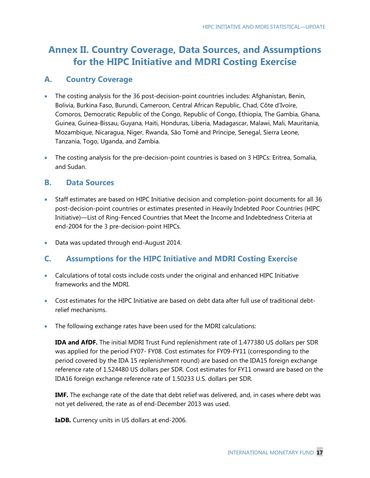## **Annex II. Country Coverage, Data Sources, and Assumptions for the HIPC Initiative and MDRI Costing Exercise**

### **A. Country Coverage**

- The costing analysis for the 36 post-decision-point countries includes: Afghanistan, Benin, Bolivia, Burkina Faso, Burundi, Cameroon, Central African Republic, Chad, Côte d'Ivoire, Comoros, Democratic Republic of the Congo, Republic of Congo, Ethiopia, The Gambia, Ghana, Guinea, Guinea-Bissau, Guyana, Haiti, Honduras, Liberia, Madagascar, Malawi, Mali, Mauritania, Mozambique, Nicaragua, Niger, Rwanda, São Tomé and Príncipe, Senegal, Sierra Leone, Tanzania, Togo, Uganda, and Zambia.
- The costing analysis for the pre-decision-point countries is based on 3 HIPCs: Eritrea, Somalia, and Sudan.

### **B. Data Sources**

- Staff estimates are based on HIPC Initiative decision and completion-point documents for all 36 post-decision-point countries or estimates presented in Heavily Indebted Poor Countries (HIPC Initiative)—List of Ring-Fenced Countries that Meet the Income and Indebtedness Criteria at end-2004 for the 3 pre-decision-point HIPCs.
- Data was updated through end-August 2014.

### **C. Assumptions for the HIPC Initiative and MDRI Costing Exercise**

- Calculations of total costs include costs under the original and enhanced HIPC Initiative frameworks and the MDRI.
- Cost estimates for the HIPC Initiative are based on debt data after full use of traditional debtrelief mechanisms.
- The following exchange rates have been used for the MDRI calculations:

**IDA and AfDF.** The initial MDRI Trust Fund replenishment rate of 1.477380 US dollars per SDR was applied for the period FY07- FY08. Cost estimates for FY09-FY11 (corresponding to the period covered by the IDA 15 replenishment round) are based on the IDA15 foreign exchange reference rate of 1.524480 US dollars per SDR. Cost estimates for FY11 onward are based on the IDA16 foreign exchange reference rate of 1.50233 U.S. dollars per SDR.

**IMF.** The exchange rate of the date that debt relief was delivered, and, in cases where debt was not yet delivered, the rate as of end-December 2013 was used.

**IaDB.** Currency units in US dollars at end-2006.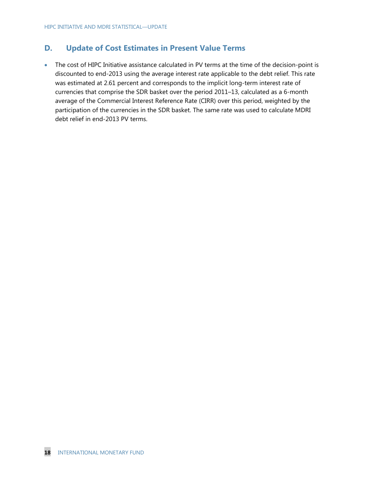## **D. Update of Cost Estimates in Present Value Terms**

 The cost of HIPC Initiative assistance calculated in PV terms at the time of the decision-point is discounted to end-2013 using the average interest rate applicable to the debt relief. This rate was estimated at 2.61 percent and corresponds to the implicit long-term interest rate of currencies that comprise the SDR basket over the period 2011–13, calculated as a 6-month average of the Commercial Interest Reference Rate (CIRR) over this period, weighted by the participation of the currencies in the SDR basket. The same rate was used to calculate MDRI debt relief in end-2013 PV terms.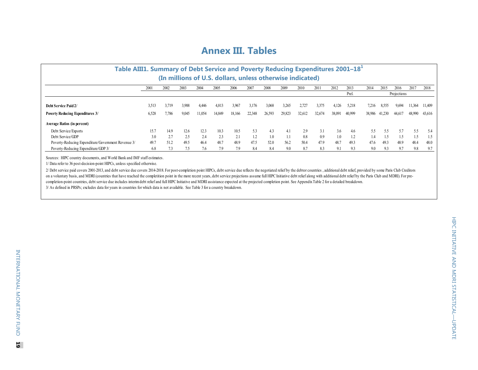## **Annex III. Tables**

| Table AIII1. Summary of Debt Service and Poverty Reducing Expenditures 2001-18 <sup>+</sup> |       |       |       |        |        |        |        |        |        |        |        |        |        |        |        |        |        |        |
|---------------------------------------------------------------------------------------------|-------|-------|-------|--------|--------|--------|--------|--------|--------|--------|--------|--------|--------|--------|--------|--------|--------|--------|
| (In millions of U.S. dollars, unless otherwise indicated)                                   |       |       |       |        |        |        |        |        |        |        |        |        |        |        |        |        |        |        |
|                                                                                             | 2001  | 2002  | 2003  | 2004   | 2005   | 2006   | 2007   | 2008   | 2009   | 2010   | 2011   | 2012   | 2013   | 2014   | 2015   | 2016   | 2017   | 2018   |
| Prel.<br>Projections                                                                        |       |       |       |        |        |        |        |        |        |        |        |        |        |        |        |        |        |        |
| Debt Service Paid 2/                                                                        | 3,513 | 3,719 | 3.988 | 4,446  | 4,813  | 3,967  | 3,176  | 3.068  | 3.265  | 2.727  | 3,375  | 4,126  | 5,218  | 7,216  | 8,555  | 9,694  | 11,364 | 11,409 |
| <b>Poverty Reducing Expenditures 3/</b>                                                     | 6,528 | 7,786 | 9.045 | 11,054 | 14,849 | 18,166 | 22,348 | 26,593 | 29,823 | 32,612 | 32,674 | 38,091 | 40,999 | 38,986 | 41,230 | 44,617 | 48,990 | 43,616 |
| <b>Average Ratios (in percent)</b>                                                          |       |       |       |        |        |        |        |        |        |        |        |        |        |        |        |        |        |        |
| Debt Service/Exports                                                                        | 15.7  | 14.9  | 12.6  | 12.3   | 10.3   | 10.5   | 5.3    | 4.3    | 4.1    | 2.9    |        | 3.6    | 4.6    | 5.5    | 5.5    | 5.7    | 5.5    | 5.4    |
| Debt Service/GDP                                                                            | 3.0   | 2.7   | 2.5   | 2.4    | 2.3    | 2.1    | 1.2    | 1.0    | 1.1    | 0.8    | 0.9    | 1.0    | 1.2    | 14     | 1.5    | . 5    | . 5    | 1.5    |
| Poverty-Reducing Expenditure/Government Revenue 3/                                          | 49.7  | 51.2  | 49.5  | 46.4   | 48.7   | 48.9   | 47.5   | 520    | 562    | 50.4   | 47.9   | 48.7   | 493    | 47.6   | 49.3   | 48.9   | 48.4   | 48.0   |
| Poverty-Reducing Expenditure/GDP 3/                                                         | 6.8   | 7.3   |       | 7.6    | 7.9    | 7.9    | 8.4    | 8.4    | 9.0    | 8.7    | 8.3    | 9.1    |        | 9.0    | 9.3    | 9.7    | 9.8    | 9.7    |

Sources: HIPC country documents, and World Bank and IMF staff estimates.

1/ Data refer to 36 post-decision-point HIPCs, unless specified otherwise.

3/ As defined in PRSPs; excludes data for years in countries for which data is not available. See Table 3 for a country breakdown. 2/ Debt service paid covers 2001-2013, and debt service due covers 2014-2018. For post-completion point HIPCs, debt service due reflects the negotiated relief by the debtor countries, additional debt relief, provided by so on a voluntary basis, and MDRI (countries that have reached the completition point in the more recent years, debt service projections assume full HIPC Initiative debt relief along with additional debt relief by the Paris C completion-point countries, debt service due includes interim debt relief and full HIPC Initiative and MDRI assistance expected at the projected completion point. See Appendix Table 2 for a detailed breakdown.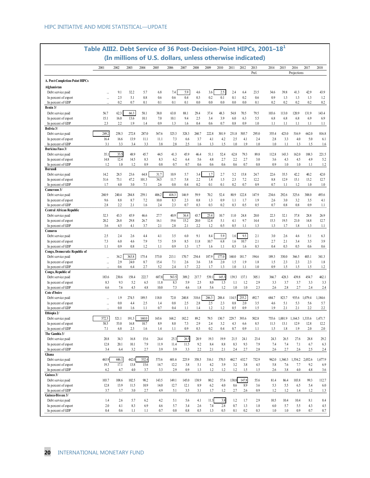|                                               | Table AIII2. Debt Service of 36 Post-Decision-Point HIPCs, 2001-18 <sup>1</sup> |             |             |             |                                                           |             |             |             |             |            |            |            |            |            |            |                |                 |            |
|-----------------------------------------------|---------------------------------------------------------------------------------|-------------|-------------|-------------|-----------------------------------------------------------|-------------|-------------|-------------|-------------|------------|------------|------------|------------|------------|------------|----------------|-----------------|------------|
|                                               |                                                                                 |             |             |             | (In millions of U.S. dollars, unless otherwise indicated) |             |             |             |             |            |            |            |            |            |            |                |                 |            |
|                                               | 2001                                                                            | 2002        | 2003        | 2004        | 2005                                                      | 2006        | 2007        | 2008        | 2009        | 2010       | 2011       | 2012       | 2013       | 2014       | 2015       | 2016           | 2017            | 2018       |
|                                               |                                                                                 |             |             |             |                                                           |             |             |             |             |            |            |            | Prel.      |            |            | Projections    |                 |            |
| A. Post-Completion-Point HIPCs<br>Afghanistan |                                                                                 |             |             |             |                                                           |             |             |             |             |            |            |            |            |            |            |                |                 |            |
| Debt service paid                             |                                                                                 | 9.1         | 32.2        | 5.7         | 6.8                                                       | 7.4         | 5.9         | 4.6         | 3.6         | 2.5        | 2.4        | 6.4        | 23.5       | 34.6       | 39.8       | 41.3           | 42.9            | 43.9       |
| In percent of export                          | $\ddotsc$                                                                       | 2.5         | 5.1         | 0.8         | 0.6                                                       | 0.6         | 0.4         | 0.3         | 0.2         | 0.1        | 0.1        | 0.2        | 0.6        | 0.9        | 1.3        | 1.3            | 1.3             | 1.2        |
| In percent of GDP                             |                                                                                 | 0.2         | 0.7         | 0.1         | 0.1                                                       | 0.1         | 0.1         | 0.0         | 0.0         | 0.0        | 0.0        | 0.0        | 0.1        | 0.2        | 0.2        | 0.2            | 0.2             | 0.2        |
| Benin 3/                                      |                                                                                 |             |             |             |                                                           |             |             |             |             |            |            |            |            |            |            |                |                 |            |
| Debt service paid                             | 56.7                                                                            | 62.3        | 66.3        | 58.1        | 38.0                                                      | 63.0        | 88.1        | 29.4        | 37.4        | 48.3       | 54.8       | 70.5       | 79.5       | 103.6      | 113.0      | 120.9          | 131.9           | 143.4      |
| In percent of export                          | 15.1                                                                            | 16.0        | 13.6        | 10.1        | 7.0                                                       | 10.1        | 9.4         | 2.5         | 3.4         | 3.9        | 6.0        | 6.3        | 5.5        | 6.8        | 6.8        | 6.8            | 6.9             | 6.9        |
| In percent of GDP<br>Bolivia 3/               | 2.3                                                                             | 2.2         | 1.9         | 1.4         | 0.9                                                       | 1.3         | 1.6         | 0.4         | 0.6         | 0.7        | 0.8        | 0.9        | 1.0        | $1.1\,$    | 1.1        | 1.1            | 1.1             | 1.1        |
| Debt service paid                             | 249.2                                                                           | 258.3       | 272.8       | 287.0       | 367.6                                                     | 325.3       | 328.3       | 260.7       | 222.8       | 301.9      | 231.8      | 505.7      | 295.0      | 355.4      | 423.0      | 516.9          | 662.0           | 816.8      |
| In percent of export                          | 16.4                                                                            | 16.6        | 13.9        | 11.1        | 11.1                                                      | 7.3         | 6.6         | 3.7         | 4.1         | 4.2        | 2.5        | 4.1        | 2.4        | 2.8        | 3.3        | 4.0            | 5.0             | 6.1        |
| In percent of GDP                             | 3.1                                                                             | 3.3         | 3.4         | 3.3         | 3.8                                                       | 2.8         | 2.5         | 1.6         | 1.3         | 1.5        | 1.0        | 1.9        | 1.0        | 1.0        | 1.1        | 1.3            | 1.5             | 1.6        |
| Burkina Faso 3/                               |                                                                                 |             |             |             |                                                           |             |             |             |             |            |            |            |            |            |            |                |                 |            |
| Debt service paid                             | 35.                                                                             | 33.5        | 48.9        | 45.7        | 44.5                                                      | 41.3        | 45.9        | 46.4        | 51.1        | 52.4       | 62.8       | 79.3       | 89.8       | 112.8      | 143.3      | 162.0          | 188.3           | 221.5      |
| In percent of export<br>In percent of GDP     | 14.8<br>1.2                                                                     | 12.4        | 14.5<br>1.2 | 8.3<br>0.9  | 8.3<br>0.8                                                | 6.2<br>0.7  | 6.4<br>0.7  | 5.6<br>0.6  | 4.8<br>0.6  | 2.7<br>0.6 | 2.2<br>0.6 | 2.7<br>0.7 | 3.0<br>0.8 | 3.6<br>0.9 | 4.3<br>1.0 | 4.5<br>1.0     | 4.9<br>1.1      | 5.2        |
| Burundi                                       |                                                                                 | 1.0         |             |             |                                                           |             |             |             |             |            |            |            |            |            |            |                |                 | 1.2        |
| Debt service paid                             | 14.2                                                                            | 28.5        | 23.6        | 64.8        | 31.7                                                      | 10.9        | 5.7         | 3.4         | 1.7         | 2.7        | 5.2        | 15.8       | 24.7       | 22.6       | 35.5       | 42.2           | 40.2            | 42.0       |
| In percent of export                          | 31.6                                                                            | 73.1        | 47.2        | 101.3       | 34.5                                                      | 11.7        | 5.8         | 2.2         | 1.4         | 1.5        | 2.3        | 7.2        | 12.2       | 8.8        | 12.9       | 15.1           | 13.2            | 12.7       |
| In percent of GDP                             | 1.7                                                                             | 4.0         | 3.0         | 7.1         | 2.6                                                       | 0.8         | 0.4         | 0.2         | 0.1         | 0.1        | 0.2        | 0.7        | 0.9        | 0.7        | 1.1        | 1.2            | 1.0             | 1.0        |
| Cameroon 3/                                   |                                                                                 |             |             |             |                                                           |             |             |             |             |            |            |            |            |            |            |                |                 |            |
| Debt service paid                             | 260.9                                                                           | 240.4       | 284.8       | 259.1       | 406.2                                                     | 418.3       | 146.9       | 59.9        | 70.2        | 52.4       | 80.9       | 122.8      | 147.9      | 234.6      | 292.6      | 325.6          | 388.0           | 493.6      |
| In percent of export<br>In percent of GDP     | 9.6<br>2.8                                                                      | 8.8<br>2.2  | 8.7<br>2.1  | 7.2<br>1.6  | 10.0<br>2.4                                               | 8.3<br>2.3  | 2.3<br>0.7  | 0.8<br>0.3  | 1.3<br>0.3  | 0.9<br>0.2 | 1.1<br>0.3 | 1.7<br>0.5 | 1.9<br>0.5 | 2.6<br>0.7 | 3.0<br>0.8 | 3.2<br>0.8     | 3.5<br>0.9      | 4.1<br>1.1 |
| <b>Central African Republic</b>               |                                                                                 |             |             |             |                                                           |             |             |             |             |            |            |            |            |            |            |                |                 |            |
| Debt service paid                             | 32.3                                                                            | 43.3        | 45.9        | 46.6        | 27.7                                                      | 40.9        | 36.4        | 43.7        | 23.4        | 10.7       | 11.0       | 24.8       | 20.0       | 22.3       | 32.1       | 37.8           | 28.8            | 26.9       |
| In percent of export                          | 20.2                                                                            | 26.8        | 29.8        | 26.7        | 16.1                                                      | 19.6        | 15.2        | 20.0        | 12.4        | 5.1        | 4.1        | 9.7        | 14.4       | 15.3       | 19.5       | 21.0           | 14.8            | 12.7       |
| In percent of GDP                             | 3.6                                                                             | 4.5         | 4.1         | 3.7         | 2.1                                                       | 2.8         | 2.1         | 2.2         | 1.2         | 0.5        | 0.5        | 1.1        | 1.3        | 1.3        | 1.7        | 1.8            | 1.3             | 1.1        |
| Comoros                                       |                                                                                 |             |             |             |                                                           |             |             |             |             | 5.9        |            | 9.5        |            |            |            |                |                 |            |
| Debt service paid<br>In percent of export     | 2.5<br>7.3                                                                      | 2.4<br>6.0  | 2.6<br>4.6  | 4.4<br>7.9  | 4.1<br>7.5                                                | 3.5<br>5.9  | 6.0<br>8.5  | 9.1<br>11.8 | 8.4<br>10.7 | 6.8        | 1.6<br>1.6 | 10.7       | 2.1<br>2.1 | 3.0<br>2.7 | 2.6<br>2.1 | 4.6<br>3.4     | 5.1<br>3.5      | 6.3<br>3.9 |
| In percent of GDP                             | 1.1                                                                             | 0.9         | 0.8         | 1.2         | 1.1                                                       | 0.9         | 1.3         | 1.7         | 1.6         | 1.1        | 0.3        | 1.6        | 0.3        | 0.4        | 0.3        | 0.5            | 0.6             | $0.6\,$    |
| Congo, Democratic Republic of                 |                                                                                 |             |             |             |                                                           |             |             |             |             |            |            |            |            |            |            |                |                 |            |
| Debt service paid                             |                                                                                 | 34.2        | 363.8       | 175.4       | 373.0                                                     | 213.1       | 170.7       | 254.4       | 187.9       | 177.0      | 160.0      | 181.7      | 194.6      | 189.3      | 330.0      | 366.5          | 403.1           | 341.3      |
| In percent of export                          |                                                                                 | 2.9         | 24.0        | 8.7         | 15.4                                                      | 7.1         | 2.6         | 3.6         | 3.8         | 2.0        | 1.5        | 1.9        | 1.8        | 1.5        | 2.3        | 2.3            | 2.3             | 1.8        |
| In percent of GDP                             |                                                                                 | 0.6         | 6.4         | 2.7         | 5.2                                                       | 2.4         | 1.7         | 2.2         | 1.7         | 1.3        | 1.0        | 1.1        | 1.0        | 0.9        | 1.5        | 1.5            | 1.5             | 1.2        |
| Congo, Republic of<br>Debt service paid       | 183.6                                                                           | 230.6       | 158.4       | 222.7       | 607.8                                                     | 563.5       | 389.2       | 217.7       | 539.1       | 145.3      | 139.3      | 137.1      | 305.1      | 366.7      | 428.3      | 439.8          | 454.7           | 462.1      |
| In percent of export                          | 8.3                                                                             | 9.3         | 5.2         | 6.5         | 11.8                                                      | 8.3         | 5.9         | 2.5         | 8.0         | 1.5        | 1.1        | 1.2        | 2.9        | 3.3        | 3.7        | 3.7            | 3.3             | 3.3        |
| In percent of GDP                             | 6.6                                                                             | 7.6         | 4.5         | 4.8         | 10.0                                                      | 7.3         | 4.6         | 1.8         | 5.6         | 1.2        | 1.0        | 1.0        | 2.3        | 2.6        | 2.8        | 2.7            | 2.4             | 2.4        |
| Cote d'Ivoire                                 |                                                                                 |             |             |             |                                                           |             |             |             |             |            |            |            |            |            |            |                |                 |            |
| Debt service paid                             |                                                                                 | 1.9         | 274.5       | 189.5       | 118.0                                                     | 72.0        | 240.8       | 318.6       | 286.3       | 288.4      | 114.5      | 255.2      | 492.7      | 684.7      | 823.7      | 935.6          | 1,079.4         | 1,184.6    |
| In percent of export                          |                                                                                 | 0.0         | 4.4         | 2.5         | 1.4                                                       | 0.8         | 2.5         | 2.8         | 2.5         | 2.3        | 0.8        | 2.0        | 3.5        | 4.6        | 5.1        | 5.3            | 5.6             | 5.7        |
| In percent of GDP<br>Ethiopia 2/              |                                                                                 | 0.0         | 1.6         | 1.1         | 0.7                                                       | 0.4         | 1.1         | 1.4         | 1.2         | 1.2        | 0.5        | 0.9        | 1.5        | 1.9        | 2.1        | 2.1            | 2.2             | 2.2        |
| Debt service paid                             | 572.3                                                                           | 521.1       | 191.3       | 160.0       | 165.6                                                     | 168.2       | 182.2       | 89.2        | 79.5        | 130.7      | 229.7      | 393.6      | 502.8      | 755.6      | 1,001.9    | 1,164.5        | 1,333.6         | 1,471.7    |
| In percent of export                          | 58.5                                                                            | 53.0        | 16.8        | 10.7        | 8.9                                                       | 8.0         | 7.3         | 2.9         | 2.4         | 3.2        | 4.3        | 6.6        | 8.5        | 11.3       | 13.1       | 12.9           | 12.8            | 12.2       |
| In percent of GDP                             | 7.1                                                                             | 6.8         | 2.3         | 1.6         | 1.4                                                       | 1.1         | 0.9         | 0.3         | 0.2         | 0.4        | 0.7        | 0.9        | 1.1        | 1.5        | 1.8        | 1.9            | 2.0             | 2.0        |
| The Gambia 3/                                 |                                                                                 |             |             |             |                                                           |             |             |             |             |            |            |            |            |            |            |                |                 |            |
| Debt service paid                             | 20.8                                                                            | 34.3        | 16.8        | 15.6        | 24.4                                                      | 25.3        | 26.5        | 20.9        | 19.3        | 19.9       | 21.5       | 24.1       | 23.4       | 24.3       | 26.5       | 27.6           | 28.8            | 29.2       |
| In percent of export<br>In percent of GDP     | 12.8<br>3.4                                                                     | 20.1<br>6.4 | 10.1<br>3.2 | 7.9<br>2.7  | 11.9<br>3.9                                               | 11.4<br>3.9 | 11.5<br>3.3 | 9.2<br>2.2  | 8.4<br>2.1  | 8.8<br>2.1 | 8.3<br>2.4 | 9.3<br>2.7 | 7.9<br>2.8 | 7.4<br>2.6 | 7.4<br>2.7 | $7.1\,$<br>2.6 | 6.7<br>2.5      | 6.3<br>2.4 |
| Ghana                                         |                                                                                 |             |             |             |                                                           |             |             |             |             |            |            |            |            |            |            |                |                 |            |
| Debt service paid                             | 463.9                                                                           | 446.1       | 442.0       | 532.4       | 573.6                                                     | 601.6       | 225.9       | 358.5       | 316.1       | 370.5      | 462.7      | 632.7      | 732.9      | 962.0      | 1,360.3    |                | 1,554.2 2,052.6 | 1,677.9    |
| In percent of export                          | 19.3                                                                            | 17.1        | 13.8        | 15.6        | 14.7                                                      | 12.2        | 3.8         | 5.1         | 4.2         | 3.9        | 3.2        | 3.8        | 4.5        | 5.8        | 7.6        | 7.7            | 9.2             | 6.9        |
| In percent of GDP                             | 6.2                                                                             | 4.7         | 4.0         | 3.7         | 3.3                                                       | 2.9         | 0.9         | 1.3         | 1.2         | 1.2        | 1.2        | 1.5        | 1.5        | 2.6        | 3.8        | 4.0            | 4.8             | 3.6        |
| Guinea 3/                                     |                                                                                 |             |             |             |                                                           |             |             |             |             |            |            |            |            |            |            |                |                 |            |
| Debt service paid                             | 103.7                                                                           | 108.6       | 102.5       | 98.2        | 143.5                                                     | 149.1       | 145.0       | 138.9       | 80.2        | 57.6       | 138.8      | 147.8      | 55.6       | 81.4       | 86.4       | 103.8          | 99.3            | 112.7      |
| In percent of export<br>In percent of GDP     | 12.8<br>3.7                                                                     | 13.9<br>3.7 | 11.5<br>3.0 | 10.9<br>2.7 | 14.0<br>4.9                                               | 12.7<br>5.1 | 12.1<br>3.5 | 8.9<br>3.1  | 6.2<br>1.7  | 4.0<br>1.2 | 8.6<br>2.7 | 8.9<br>2.6 | 3.6<br>0.9 | 5.3<br>1.2 | 5.5<br>1.2 | 6.5<br>1.4     | 5.4<br>1.2      | 6.0<br>1.3 |
| Guinea-Bissau 3/                              |                                                                                 |             |             |             |                                                           |             |             |             |             |            |            |            |            |            |            |                |                 |            |
| Debt service paid                             | 1.4                                                                             | 2.6         | 5.7         | 6.2         | 4.2                                                       | 5.1         | 5.6         | 4.1         | 11.3        | 3.8        | 1.2        | 1.7        | 2.9        | 10.5       | 10.4       | 10.4           | 8.1             | 8.4        |
| In percent of export                          | 2.0                                                                             | 4.1         | 8.3         | 6.9         | 4.6                                                       | 5.7         | 3.4         | 2.6         | 7.4         | 2.8        | 0.7        | 1.3        | 1.8        | 6.0        | 5.7        | 5.5            | 4.3             | 4.5        |
| In percent of GDP                             | 0.4                                                                             | 0.6         | 1.1         | 1.1         | 0.7                                                       | 0.8         | 0.8         | 0.5         | 1.3         | 0.5        | 0.1        | 0.2        | 0.3        | 1.0        | 1.0        | 0.9            | 0.7             | 0.7        |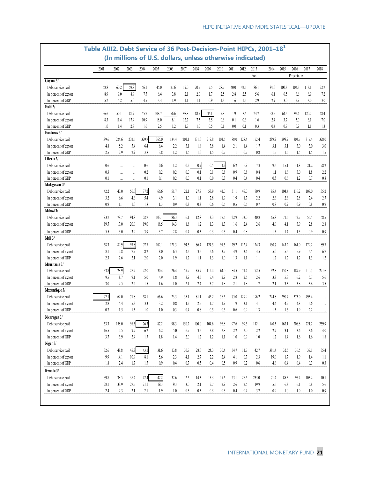|                      | Table AIII2. Debt Service of 36 Post-Decision-Point HIPCs, 2001-18 <sup>1</sup> |           |           |       | (In millions of U.S. dollars, unless otherwise indicated) |         |         |         |       |       |         |       |         |       |         |             |         |         |
|----------------------|---------------------------------------------------------------------------------|-----------|-----------|-------|-----------------------------------------------------------|---------|---------|---------|-------|-------|---------|-------|---------|-------|---------|-------------|---------|---------|
|                      | 2001                                                                            | 2002      | 2003      | 2004  | 2005                                                      | 2006    | 2007    | 2008    | 2009  | 2010  | 2011    | 2012  | 2013    | 2014  | 2015    | 2016        | 2017    | 2018    |
|                      |                                                                                 |           |           |       |                                                           |         |         |         |       |       |         |       | Prel.   |       |         | Projections |         |         |
| Guyana 3/            |                                                                                 |           |           |       |                                                           |         |         |         |       |       |         |       |         |       |         |             |         |         |
| Debt service paid    | 58.8                                                                            | 60.2      | 59.8      | 56.1  | 45.0                                                      | 27.6    | 19.0    | 20.5    | 17.5  | 28.7  | 40.0    | 42.5  | 86.1    | 91.0  | 100.3   | 104.3       | 113.1   | 122.7   |
| In percent of export | 8.9                                                                             | 9.0       | 8.9       | 7.5   | 6.4                                                       | 3.8     | 2.1     | 2.0     | 1.7   | 2.5   | 2.8     | 2.5   | 5.6     | 6.1   | 6.5     | 6.6         | 6.9     | 7.2     |
| In percent of GDP    | 5.2                                                                             | 5.2       | 5.0       | 4.5   | 3.4                                                       | 1.9     | 1.1     | 1.1     | 0.9   | 1.3   | 1.6     | 1.5   | 2.9     | 29    | 3.0     | 2.9         | 3.0     | 3.0     |
| Haiti 2/             |                                                                                 |           |           |       |                                                           |         |         |         |       |       |         |       |         |       |         |             |         |         |
| Debt service paid    | 36.6                                                                            | 50.1      | 81.9      | 55.7  | 108.7                                                     | 56.6    | 98.8    | 68.5    | 36.1  | 5.8   | 1.9     | 8.6   | 24.7    | 38.5  | 64.5    | 92.4        | 120.7   | 148.4   |
| In percent of export | 8.3                                                                             | 11.4      | 17.4      | 10.9  | 18.0                                                      | 8.1     | 12.7    | 7.5     | 3.5   | 0.6   | 0.1     | 0.6   | 1.6     | 2.4   | 3.7     | 5.0         | 6.1     | 7.0     |
| In percent of GDP    | 1.0                                                                             | 1.4       | 2.8       | 1.6   | 2.5                                                       | 1.2     | 1.7     | 1.0     | 0.5   | 0.1   | $0.0\,$ | 0.1   | 0.3     | 0.4   | 0.7     | 0.9         | $1.1\,$ | 1.3     |
| Honduras 3/          |                                                                                 |           |           |       |                                                           |         |         |         |       |       |         |       |         |       |         |             |         |         |
| Debt service paid    | 189.6                                                                           | 224.6     | 232.6     | 329.7 | 365.0                                                     | 134.4   | 201.1   | 131.0   | 219.8 | 104.5 | 188.0   | 128.4 | 152.4   | 289.9 | 299.2   | 304.7       | 317.4   | 328.0   |
| In percent of export | 4.8                                                                             | 5.2       | 5.4       | 6.4   | 6.4                                                       | 2.2     | 3.1     | 1.8     | 3.8   | 1.4   | 2.1     | 1.4   | 1.7     | 3.1   | 3.1     | 3.0         | 3.0     | 3.0     |
| In percent of GDP    | 2.5                                                                             | 2.9       | 2.9       | 3.8   | 3.8                                                       | 1.2     | $1.6\,$ | 1.0     | 1.5   | 0.7   | 1.1     | 0.7   | 0.8     | 1.5   | 1.5     | 1.5         | 1.5     | 1.5     |
| Liberia 2/           |                                                                                 |           |           |       |                                                           |         |         |         |       |       |         |       |         |       |         |             |         |         |
| Debt service paid    | 0.6                                                                             |           |           | 0.6   | 0.6                                                       | 1.2     | 0.2     | $0.7\,$ | 0.5   | 4.2   | 6.2     | 6.9   | 7.3     | 9.6   | 15.1    | 31.8        | 21.2    | 28.2    |
| In percent of export | 0.3                                                                             | $\ddotsc$ | $\ddotsc$ | 0.2   | 0.2                                                       | 0.2     | $0.0\,$ | 0.1     | 0.1   | 0.8   | 0.9     | 0.8   | 0.8     | 1.1   | 1.6     | 3.0         | 1.8     | 2.2     |
| In percent of GDP    | 0.1                                                                             |           | $\ddotsc$ | 0.1   | 0.1                                                       | 0.2     | 0.0     | 0.1     | 0.0   | 0.3   | 0.4     | 0.4   | 0.4     | 0.5   | 0.6     | 1.2         | 0.7     | 0.8     |
| Madagascar 3/        |                                                                                 |           |           |       |                                                           |         |         |         |       |       |         |       |         |       |         |             |         |         |
| Debt service paid    | 42.2                                                                            | 47.0      | 56.6      | 77.2  | 66.6                                                      | 51.7    | 22.1    | 27.7    | 53.9  | 41.0  | 51.1    | 49.0  | 70.9    | 95.4  | 104.4   | 116.2       | 108.0   | 135.2   |
| In percent of export | 3.2                                                                             | 6.6       | 4.6       | 5.4   | 4.9                                                       | 3.1     | 1.0     | 1.1     | 2.8   | 1.9   | 1.9     | 1.7   | 2.2     | 2.6   | 2.6     | 2.8         | 2.4     | 2.7     |
| In percent of GDP    | 0.9                                                                             | 1.1       | 1.0       | 1.8   | 1.3                                                       | 0.9     | 0.3     | 0.3     | 0.6   | 0.5   | 0.5     | 0.5   | 0.7     | 0.8   | 0.9     | 0.9         | 0.8     | 0.9     |
| Malawi 3/            |                                                                                 |           |           |       |                                                           |         |         |         |       |       |         |       |         |       |         |             |         |         |
| Debt service paid    | 93.7                                                                            | 78.7      | 94.8      | 102.7 | 103.1                                                     | 86.3    | 16.1    | 12.8    | 13.3  | 17.5  | 22.9    | 33.0  | 40.8    | 65.8  | 71.5    | 72.7        | 55.4    | 58.5    |
| In percent of export | 19.5                                                                            | 17.0      | 20.0      | 19.0  | 18.5                                                      | 14.3    | 1.8     | 1.2     | 1.3   | 1.3   | 1.6     | 2.4   | 2.6     | 4.0   | 4.1     | 3.9         | 2.8     | 2.8     |
| In percent of GDP    | 5.5                                                                             | 3.0       | 3.9       | 3.9   | 3.7                                                       | 2.8     | 0.4     | 0.3     | 0.3   | 0.3   | 0.4     | 0.8   | $1.1\,$ | 1.5   | 1.4     | 1.3         | 0.9     | 0.9     |
| Mali 3/              |                                                                                 |           |           |       |                                                           |         |         |         |       |       |         |       |         |       |         |             |         |         |
| Debt service paid    | 68.3                                                                            | 89.9      | 97.8      | 107.7 | 102.1                                                     | 121.3   | 94.5    | 86.4    | 124.5 | 91.5  | 129.2   | 112.4 | 124.3   | 130.7 | 143.2   | 161.0       | 179.2   | 189.7   |
| In percent of export | 8.1                                                                             | 7.8       | 7.9       | 8.2   | 8.0                                                       | 6.3     | 4.5     | 3.6     | 5.6   | 3.7   | 4.9     | 3.4   | 4.5     | 5.0   | 5.5     | 5.9         | 6.5     | 6.7     |
| In percent of GDP    | 2.3                                                                             | 2.6       | 2.1       | 2.0   | 2.0                                                       | 1.9     | $1.2\,$ | 1.1     | 1.3   | 1.0   | 1.3     | 1.1   | 1.1     | 1.2   | 1.2     | 1.2         | 1.3     | 1.2     |
| Mauritania 3/        |                                                                                 |           |           |       |                                                           |         |         |         |       |       |         |       |         |       |         |             |         |         |
| Debt service paid    | 33.8                                                                            | 28.9      | 28.9      | 22.0  | 30.4                                                      | 26.4    | 57.9    | 85.9    | 112.4 | 64.0  | 84.5    | 71.4  | 72.5    | 92.8  | 150.8   | 189.9       | 210.7   | 221.6   |
| In percent of export | 9.5                                                                             | 8.7       | 9.1       | 5.0   | 4.9                                                       | 1.8     | 3.9     | 4.5     | 7.4   | 2.9   | 2.8     | 2.5   | 2.6     | 3.3   | 5.3     | 6.2         | 5.7     | 5.6     |
| In percent of GDP    | 3.0                                                                             | 2.5       | 2.2       | 1.5   | 1.6                                                       | 1.0     | 2.1     | 2.4     | 3.7   | 1.8   | 2.1     | 1.8   | 1.7     | 2.1   | 3.3     | 3.8         | 3.8     | 3.5     |
| Mozambique 3/        |                                                                                 |           |           |       |                                                           |         |         |         |       |       |         |       |         |       |         |             |         |         |
| Debt service paid    | 27.1                                                                            | 62.0      | 71.8      | 58.1  | 66.6                                                      | 23.3    | 35.1    | 81.1    | 46.2  | 56.6  | 75.0    | 129.9 | 196.2   | 244.8 | 290.7   | 373.0       | 493.4   |         |
| In percent of export | 2.8                                                                             | 5.4       | 5.3       | 3.3   | 3.2                                                       | 0.8     | 1.2     | 2.5     | 1.7   | 1.9   | 1.9     | 3.1   | 4.1     | 4.4   | 4.2     | 4.8         | 5.6     |         |
| In percent of GDP    | 0.7                                                                             | 1.5       | 1.5       | 1.0   | 1.0                                                       | 0.3     | 0.4     | 0.8     | 0.5   | 0.6   | 0.6     | 0.9   | 1.3     | 1.5   | 1.6     | 1.9         | 2.2     |         |
| Nicaragua 3/         |                                                                                 |           |           |       |                                                           |         |         |         |       |       |         |       |         |       |         |             |         |         |
| Debt service paid    | 153.3                                                                           | 158.0     | 98.3      | 76.3  | 87.2                                                      | 98.3    | 150.2   | 100.0   | 104.6 | 96.8  | 97.6    | 99.3  | 112.1   | 140.5 | 167.1   | 208.8       | 221.2   | 259.9   |
| In percent of export | 16.5                                                                            | 17.5      | 9.7       | 6.2   | 6.2                                                       | 5.0     | 6.7     | 3.6     | 3.8   | 2.8   | 2.2     | $2.0$ | 2.2     | 2.7   | 3.1     | 3.6         | 3.6     | 4.0     |
| In percent of GDP    | 3.7                                                                             | 3.9       | $2.4\,$   | 1.7   | 1.8                                                       | $1.4\,$ | 2.0     | 1.2     | 1.2   | 1.1   | $1.0\,$ | 0.9   | $1.0\,$ | 1.2   | 1.4     | 1.6         | 1.6     | $1.8\,$ |
| Niger 3/             |                                                                                 |           |           |       |                                                           |         |         |         |       |       |         |       |         |       |         |             |         |         |
|                      |                                                                                 |           |           |       |                                                           |         |         |         |       |       |         |       |         |       |         |             |         |         |
| Debt service paid    | 32.6                                                                            | 48.8      | 45.3      | 43.1  | 31.6                                                      | 13.8    | 30.7    | 28.0    | 24.3  | 30.4  | 54.7    | 11.7  | 42.7    | 381.4 | 32.5    | 36.5        | 37.1    | 35.4    |
| In percent of export | 9.9                                                                             | 14.1      | 10.9      | 8.1   | 5.6                                                       | $2.3\,$ | 4.1     | 2.7     | 2.2   | 2.4   | 4.1     | 0.7   | 2.3     | 19.0  | 1.7     | 1.9         | 1.4     | 1.1     |
| In percent of GDP    | $1.8\,$                                                                         | 2.4       | 1.7       | 1.5   | 0.9                                                       | $0.4\,$ | 0.7     | 0.5     | 0.4   | 0.5   | 0.9     | 0.2   | $0.6\,$ | 4.6   | 0.4     | 0.4         | 0.3     | 0.3     |
| Rwanda 3/            |                                                                                 |           |           |       |                                                           |         |         |         |       |       |         |       |         |       |         |             |         |         |
| Debt service paid    | 39.8                                                                            | 38.5      | 38.4      | 42.4  | 47.2                                                      | 32.6    | 12.6    | 14.3    | 15.3  | 17.6  | 23.1    | 26.5  | 233.0   | 71.4  | 85.5    | 96.4        | 103.2   | 110.1   |
| In percent of export | 28.1                                                                            | 33.9      | 27.5      | 21.1  | 19.3                                                      | 93      | 3.0     | 2.1     | 2.7   | 2.9   | 2.6     | 2.6   | 19.9    | 5.6   | 6.3     | 6.1         | 5.8     | 5.6     |
| In percent of GDP    | 2.4                                                                             | 2.3       | 2.1       | 2.1   | 1.9                                                       | $1.0\,$ | 0.3     | 0.3     | 0.3   | 0.3   | $0.4\,$ | 0.4   | 3.2     | 0.9   | $1.0\,$ | $1.0\,$     | 1.0     | $0.9\,$ |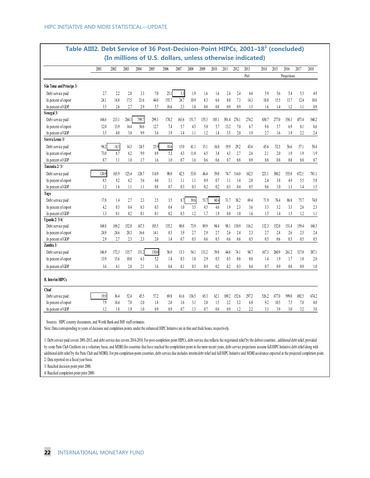|                          | 2001  | 2002  | 2003  | 2004  | 2005  | 2006  | 2007  | 2008  | 2009  | 2010  | 2011  | 2012  | 2013  | 2014  | 2015  | 2016        | 2017  | 2018  |
|--------------------------|-------|-------|-------|-------|-------|-------|-------|-------|-------|-------|-------|-------|-------|-------|-------|-------------|-------|-------|
|                          |       |       |       |       |       |       |       |       |       |       |       |       | Prel. |       |       | Projections |       |       |
| São Tome and Principe 3/ |       |       |       |       |       |       |       |       |       |       |       |       |       |       |       |             |       |       |
| Debt service paid        | 2.7   | 2.2   | 2.8   | 3.3   | 7.0   | 25.1  | 3.3   | 1.9   | 1.6   | 1.6   | 2.4   | 2.4   | 4.6   | 5.9   | 5.6   | 5.4         | 53    | 4.9   |
| In percent of export     | 24.1  | 14.8  | 17.5  | 21.6  | 44.0  | 155.7 | 24.7  | 10.9  | 8.3   | 6.6   | 8.0   | 7.3   | 14.3  | 18.0  | 15.5  | 13.7        | 12.4  | 10.6  |
| In percent of GDP        | 3.5   | 2.6   | 2.7   | 29    | 5.7   | 18.6  | 2.3   | 1.0   | 0.8   | 0.8   | 0.9   | 0.9   | 1.5   | 1.6   | 1.4   | 1.2         | 1.1   | 0.9   |
| Senegal 3/               |       |       |       |       |       |       |       |       |       |       |       |       |       |       |       |             |       |       |
| Debt service paid        | 168.6 | 213.1 | 264.1 | 799.7 | 299.3 | 178.2 | 163.6 | 151.7 | 155.3 | 185.1 | 501.4 | 276.1 | 274.2 | 430.7 | 277.0 | 356.3       | 457.4 | 540.2 |
| In percent of export     | 12.0  | 13.9  | 14.4  | 36.6  | 12.7  | 7.4   | 5.7   | 4.3   | 5.0   | 5.7   | 13.2  | 7.0   | 6.7   | 9.6   | 5.7   | 6.9         | 8.1   | 8.6   |
| In percent of GDP        | 3.5   | 4.0   | 3.8   | 9.9   | 3.4   | 1.9   | 1.4   | 1.1   | 1.2   | 1.4   | 3.5   | 2.0   | 1.9   | 2.7   | 1.6   | 1.9         | 2.2   | 2.4   |
| Sierra Leone 3/          |       |       |       |       |       |       |       |       |       |       |       |       |       |       |       |             |       |       |
| Debt service paid        | 94.2  | 14.3  | 14.3  | 24.5  | 25.9  | 18.6  | 15.0  | 41.1  | 15.1  | 16.0  | 19.9  | 29.2  | 43.6  | 45.6  | 52.3  | 56.6        | 57.1  | 58.4  |
| In percent of export     | 73.0  | 8.7   | 6.2   | 9.9   | 8.9   | 5.2   | 4.3   | 11.0  | 4.5   | 3.8   | 4.3   | 2.7   | 2.6   | 2.1   | 2.0   | 1.9         | 1.9   | 1.9   |
| In percent of GDP        | 8.7   | 1.1   | 1.0   | 1.7   | 1.6   | 1.0   | 0.7   | 1.6   | 0.6   | 0.6   | 0.7   | 0.8   | 0.9   | 0.8   | 0.8   | 0.8         | 0.8   | 0.7   |
| Tanzania 2/3/            |       |       |       |       |       |       |       |       |       |       |       |       |       |       |       |             |       |       |
| Debt service paid        | 120.9 | 165.9 | 125.4 | 128.7 | 114.9 | 98.0  | 42.5  | 53.0  | 46.4  | 39.0  | 74.7  | 114.0 | 162.5 | 221.1 | 380.2 | 535.8       | 672.1 | 781.1 |
| In percent of export     | 8.5   | 9.2   | 6.2   | 5.6   | 4.0   | 3.1   | 1.1   | 1.1   | 0.9   | 0.7   | 1.1   | 1.4   | 2.0   | 2.4   | 3.8   | 4.9         | 5.5   | 5.8   |
| In percent of GDP        | 1.2   | 1.6   | 1.1   | 1.1   | 0.8   | 0.7   | 0.3   | 0.3   | 0.2   | 0.2   | 0.3   | 0.4   | 0.5   | 0.6   | 1.0   | 1.3         | 1.4   | 1.5   |
| Togo                     |       |       |       |       |       |       |       |       |       |       |       |       |       |       |       |             |       |       |
| Debt service paid        | 17.8  | 1.4   | 2.7   | 23    | 2.5   | 3.5   | 8.7   | 39.6  | 53.7  | 60.4  | 31.7  | 38.2  | 69.4  | 71.9  | 76.4  | 86.8        | 75.7  | 74.8  |
| In percent of export     | 4.2   | 0.3   | 0.4   | 0.3   | 0.3   | 0.4   | 1.0   | 3.5   | 4.5   | 4.6   | 1.9   | 2.3   | 3.6   | 3.3   | 3.2   | 3.3         | 2.6   | 2.3   |
| In percent of GDP        | 1.3   | 0.1   | 0.2   | 0.1   | 0.1   | 0.2   | 0.3   | 1.2   | 1.7   | 1.9   | 0.8   | 1.0   | 1.6   | 1.5   | 1.4   | 1.5         | 1.2   | 1.1   |
| <b>Uganda 2/3/4/</b>     |       |       |       |       |       |       |       |       |       |       |       |       |       |       |       |             |       |       |
| Debt service paid        | 168.8 | 169.2 | 152.0 | 167.5 | 185.5 | 135.2 | 80.8  | 73.9  | 89.9  | 94.4  | 98.1  | 110.9 | 116.2 | 132.3 | 152.0 | 151.4       | 159.4 | 168.3 |
| In percent of export     | 24.9  | 24.6  | 20.3  | 16.6  | 14.1  | 8.5   | 3.9   | 2.7   | 2.9   | 2.7   | 2.6   | 2.4   | 2.3   | 2.7   | 2.8   | 2.6         | 2.5   | 2.4   |
| In percent of GDP        | 2.9   | 2.7   | 2.3   | 2.3   | 2.0   | 1.4   | 0.7   | 0.5   | 0.6   | 0.5   | 0.6   | 0.6   | 0.5   | 0.5   | 0.6   | 0.5         | 0.5   | 0.5   |
| Zambia 3/                |       |       |       |       |       |       |       |       |       |       |       |       |       |       |       |             |       |       |
| Debt service paid        | 146.9 | 172.3 | 135.7 | 131.2 | 130.0 | 56.9  | 13.3  | 54.1  | 131.2 | 39.8  | 44.8  | 74.1  | 94.7  | 167.3 | 260.9 | 261.2       | 317.0 | 387.1 |
| In percent of export     | 13.9  | 15.6  | 10.8  | 6.3   | 5.2   | 1.4   | 0.3   | 1.0   | 2.9   | 0.5   | 0.5   | 0.8   | 0.8   | 1.4   | 1.9   | 1.7         | 1.8   | 2.0   |
| In percent of GDP        | 3.6   | 4.1   | 2.8   | 2.1   | 1.6   | 0.4   | 0.1   | 0.3   | 0.9   | 0.2   | 0.2   | 0.3   | 0.4   | 0.7   | 0.9   | 0.8         | 0.9   | 1.0   |
| <b>B.</b> Interim HIPCs  |       |       |       |       |       |       |       |       |       |       |       |       |       |       |       |             |       |       |
| Chad                     |       |       |       |       |       |       |       |       |       |       |       |       |       |       |       |             |       |       |
| Debt service paid        | 19.9  | 36.4  | 52.4  | 45.5  | 57.2  | 69.8  | 61.6  | 136.5 | 65.3  | 62.1  | 109.2 | 152.6 | 297.2 | 526.2 | 677.0 | 599.0       | 692.5 | 674.2 |
| In percent of export     | 7.9   | 14.4  | 7.8   | 2.0   | 1.8   | 2.0   | 1.6   | 3.1   | 2.0   | 1.5   | 2.2   | 3.2   | 6.8   | 9.2   | 10.5  | 7.5         | 7.8   | 8.0   |
| In percent of GDP        | 1.2   | 1.8   | 1.9   | 1.0   | 0.9   | 0.9   | 0.7   | 1.3   | 0.7   | 0.6   | 0.9   | 1.2   | 2.2   | 3.3   | 3.9   | 3.0         | 3.2   | 3.0   |

# **Table AIII2. Debt Service of 36 Post-Decision-Point HIPCs, 2001–18<sup>1</sup> (concluded)**

Sources: HIPC country documents, and World Bank and IMF staff estin

Note: Data corresponding to years of decision and completion points under the enhanced HIPC Initiative are in thin and thick boxes, respectively.

1/ Debt service paid covers 2001-2013, and debt service due covers 2014-2018. For post-completion point HIPCs, debt service due reflects the negotiated relief by the debtor countries , additional debt relief, provided by some Paris Club Creditors on a voluntary basis, and MDRI (for countries that have reached the completition point in the more recent years, debt service projections assume full HIPC Initiative debt relief along with additional debt relief by the Paris Club and MDRI). For pre-completion-point countries, debt service due includes interim debt relief and full HIPC Initiative and MDRI assistance expected at the projected completion point. 2/ Data reported on a fiscal year basis.

3/ Reached decision point prior 2000.

4/ Reached completion point prior 2000.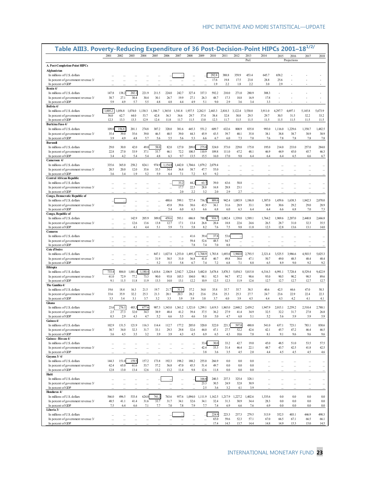| Table AIII3. Poverty-Reducing Expenditure of 36 Post-Decision-Point HIPCs 2001-18 <sup>1/2/</sup> | 2001                 | 2002           | 2003            | 2004            | 2005            | 2006            | 2007            | 2008            | 2009            | 2010            | 2011            | 2012            | 2013            | 2014            | 2015            | 2016            | 2017            | 2018            |
|---------------------------------------------------------------------------------------------------|----------------------|----------------|-----------------|-----------------|-----------------|-----------------|-----------------|-----------------|-----------------|-----------------|-----------------|-----------------|-----------------|-----------------|-----------------|-----------------|-----------------|-----------------|
|                                                                                                   |                      |                |                 |                 |                 |                 |                 |                 |                 |                 |                 |                 | Prel.           |                 |                 | Projections     |                 |                 |
| A. Post-Completion-Point HIPCs                                                                    |                      |                |                 |                 |                 |                 |                 |                 |                 |                 |                 |                 |                 |                 |                 |                 |                 |                 |
| Afghanistan                                                                                       |                      |                |                 |                 |                 |                 |                 |                 |                 |                 |                 |                 |                 |                 |                 |                 |                 |                 |
| In millions of U.S. dollars                                                                       |                      |                |                 |                 |                 |                 |                 |                 |                 | 292.8           | 388.8           | 359.9           | 453.4           | 645.7           | 658.2           |                 |                 |                 |
| In percent of government revenue 3/<br>In percent of GDP                                          |                      |                |                 |                 |                 |                 |                 |                 |                 | 17.6<br>1.9     | 19.8<br>2.2     | 17.5<br>1.8     | 23.0<br>2.2     | 28.8<br>3.0     | 25.6<br>2.9     |                 |                 |                 |
| Benin 4/                                                                                          |                      |                |                 |                 |                 |                 |                 |                 |                 |                 |                 |                 |                 |                 |                 |                 |                 |                 |
| In millions of U.S. dollars                                                                       | 147.8                | 138.2          | 202.1           | 221.9           | 211.5           | 224.0           | 242.7           | 327.4           | 337.3           | 592.2           | 210.0           | 271.0           | 280.9           | 308.3           |                 |                 |                 |                 |
| In percent of government revenue 3/                                                               | 38.7                 | 27.1           | 30.4            | 30.4            | 30.1            | 26.7            | 19.9            | 27.1            | 26.3            | 48.7            | 17.3            | 18.8            | 16.9            | 17.8            |                 |                 |                 |                 |
| In percent of GDP                                                                                 | 5.9                  | 4.9            | 5.7             | 5.5             | 4.8             | 4.8             | 4.4             | 4.9             | 5.1             | 9.0             | 2.9             | 3.6             | 3.4             | 3.3             |                 |                 |                 |                 |
| Bolivia 4/                                                                                        |                      |                |                 |                 |                 |                 |                 |                 |                 |                 |                 |                 |                 |                 |                 |                 |                 |                 |
| In millions of U.S. dollars<br>In percent of government revenue 3/                                | ,005.2<br>56.0       | ,056.8<br>62.7 | 1,074.0<br>64.0 | 1,130.3<br>53.7 | 1,186.7<br>42.8 | 1,365.0<br>36.3 | 1,541.8<br>34.6 | 1,937.5<br>29.7 | 2,262.5<br>37.4 | 2,443.3<br>38.4 | 2,810.3<br>32.8 | 3,122.4<br>30.8 | 3,530.0<br>29.5 | 3,911.0<br>29.7 | 4,297.7<br>30.5 | 4,697.1<br>31.5 | 5,145.8<br>32.2 | 5,673.9<br>33.2 |
| In percent of GDP                                                                                 | 12.3                 | 13.3           | 13.3            | 12.9            | 12.4            | 11.8            | 11.7            | 11.5            | 13.0            | 12.3            | 11.7            | 11.5            | 11.5            | 11.5            | 11.5            | 11.5            | 11.5            | 11.5            |
| Burkina Faso 4/                                                                                   |                      |                |                 |                 |                 |                 |                 |                 |                 |                 |                 |                 |                 |                 |                 |                 |                 |                 |
| In millions of U.S. dollars                                                                       | 109.                 | 156.8          | 201.1           | 274.8           | 307.2           | 320.0           | 381.6           | 445.3           | 551.2           | 609.7           | 632.6           | 800.9           | 835.0           | 993.0           | 1,116.0         | 1,229.6         | 1,350.7         | 1,482.5         |
| In percent of government revenue 3/                                                               | 35.4                 | 39.0           | 35.6            | 39.0            | 46.5            | 40.5            | 39.0            | 44.3            | 45.9            | 43.5            | 39.7            | 40.1            | 35.8            | 38.1            | 38.8            | 38.7            | 38.9            | 38.9            |
| In percent of GDP<br><b>Burundi</b>                                                               | 3.9                  | 4.9            | 4.8             | 5.7             | 5.6             | 5.5             | 5.6             | 5.3             | 6.6             | 6.7             | 6.0             | 7.3             | 7.0             | 7.6             | 7.8             | 7.8             | 7.8             | 7.8             |
| In millions of U.S. dollars                                                                       | 29.0                 | 30.0           | 42.0            | 49.0            | 58.0            | 82.0            | 127.0           | 209.0           | 275.0           | 324.0           | 373.0           | 229.0           | 175.0           | 195.0           | 214.0           | 233.0           | 257.0           | 284.0           |
| In percent of government revenue 3/                                                               | 22.8                 | 27.0           | 33.9            | 37.1            | 33.7            | 46.1            | 72.2            | 100.5           | 110.9           | 109.8           | 111.0           | 67.2            | 48.1            | 46.9            | 44.9            | 45.0            | 45.7            | 46.3            |
| In percent of GDP                                                                                 | 3.4                  | 4.2            | 5.4             | 5.4             | 4.8             | 6.3             | 9.7             | 13.5            | 15.5            | 16.0            | 17.0            | 9.8             | 6.4             | 6.4             | 6.4             | 6.5             | 6.6             | 6.7             |
| Cameroon 4/                                                                                       |                      |                |                 |                 |                 |                 |                 |                 |                 |                 |                 |                 |                 |                 |                 |                 |                 |                 |
| In millions of U.S. dollars                                                                       | 335.6                | 365.0          | 258.2           | 824.1           | 974.9           | 1,154.8         | 1,442.0         | 1,704.6         | 1,879.2         | 2,079.4         |                 |                 |                 |                 |                 |                 |                 |                 |
| In percent of government revenue 3/<br>In percent of GDP                                          | 20.5<br>3.6          | 20.0<br>3.4    | 12.0<br>1.9     | 35.6<br>5.2     | 35.5<br>5.9     | 34.4<br>6.4     | 36.8<br>7.1     | 38.7<br>7.2     | 47.7<br>8.5     | 55.0<br>9.2     |                 |                 |                 |                 |                 |                 |                 |                 |
| <b>Central African Republic</b>                                                                   |                      |                |                 |                 |                 |                 |                 |                 |                 |                 |                 |                 |                 |                 |                 |                 |                 |                 |
| In millions of U.S. dollars                                                                       |                      |                |                 |                 | $\ddotsc$       |                 | 33.2            | 44.2            | 63.7            | 39.0            | 63.6            | 58.8            |                 |                 |                 |                 |                 |                 |
| In percent of government revenue 3/                                                               |                      |                |                 |                 | ă.              |                 | 17.7            | 22.5            | 28.8            | 16.8            | 28.8            | 23.1            |                 |                 |                 |                 |                 |                 |
| In percent of GDP                                                                                 |                      |                |                 |                 |                 |                 | 2.0             | 2.2             | 3.2             | 2.0             | 2.9             | 2.7             |                 |                 |                 |                 |                 |                 |
| Congo, Democratic Republic of                                                                     |                      |                |                 |                 |                 |                 |                 |                 |                 |                 |                 |                 |                 |                 |                 |                 |                 |                 |
| In millions of U.S. dollars                                                                       |                      |                |                 |                 | $\cdots$        | 480.6           | 599.1           | 727.4<br>38.6   | 736.5           | 889.6           | 942.4           | 1,085.9<br>28.9 | 1,186.8         | 1,307.0         | 1,459.6<br>30.6 | 1,638.3         | 1,842.3         | 2,070.0<br>28.9 |
| In percent of government revenue 3/<br>In percent of GDP                                          | $\cdots$             | $\ddotsc$      |                 |                 | $\ddotsc$       | 45.8<br>5.4     | 39.6<br>6.0     | 6.3             | 43.5<br>6.6     | 36.1<br>6.8     | 31.6<br>6.0     | 6.3             | 33.1<br>6.4     | 30.9<br>6.4     | 6.6             | 29.2<br>6.8     | 29.0<br>7.0     | 7.3             |
| Congo, Republic of                                                                                |                      |                |                 |                 |                 |                 |                 |                 |                 |                 |                 |                 |                 |                 |                 |                 |                 |                 |
| In millions of U.S. dollars                                                                       |                      |                | 142.9           | 205.9           | 309.0           | 458.6           | 593.1           | 686.8           | 788.8           | 916.7           | ,082.4          | 1,339.0         | 1,589.1         | 1,764.2         | 1,969.6         | 2,207.0         | 2,440.8         | 2,666.8         |
| In percent of government revenue 3/                                                               |                      |                | 12.6            | 13.6            | 13.8            | 12.7            | 17.1            | 13.4            | 26.8            | 20.4            | 18.8            | 22.6            | 24.6            | 26.5            | 28.7            | 31.0            | 32.3            | 35.5            |
| In percent of GDP                                                                                 |                      |                | 4.1             | 4.4             | 5.1             | 5.9             | 7.1             | 5.8             | 8.2             | 7.6             | 7.5             | 9.8             | 11.8            | 12.3            | 12.8            | 13.6            | 13.1            | 14.0            |
| <b>Comoros</b><br>In millions of U.S. dollars                                                     |                      |                |                 |                 |                 |                 |                 | 41.6            | 39.4            | 37.8            | 53.6            |                 |                 |                 |                 |                 |                 |                 |
| In percent of government revenue 3/                                                               |                      |                |                 |                 | ă.              |                 | u.<br>Ц,        | 59.4            | 52.6            | 48.5            | 54.7            | ă.              |                 |                 |                 | ă,              | ă,<br>ă,        |                 |
| In percent of GDP                                                                                 |                      |                |                 |                 |                 |                 |                 | 7.8             | 7.4             | 7.0             | 8.8             |                 |                 |                 |                 |                 |                 |                 |
| Cote d'Ivoire                                                                                     |                      |                |                 |                 |                 |                 |                 |                 |                 |                 |                 |                 |                 |                 |                 |                 |                 |                 |
| In millions of U.S. dollars                                                                       |                      |                |                 |                 | 847.1           | 1,027.8         | 1,253.0         | 1,495.3         | 1,768.9         | 1,783.8         | 1,693.0         | .960.0          | 2,793.5         | 2,321.4         | 3,525.5         | 3,986.6         | 4,503.5         | 5,025.3         |
| In percent of government revenue 3/<br>In percent of GDP                                          |                      |                |                 |                 | 31.9<br>5.2     | 30.5<br>5.5     | 31.0<br>5.8     | 36.8<br>6.7     | 41.0<br>7.4     | 40.7<br>7.2     | 49.8<br>6.8     | 38.6<br>7.1     | 47.1<br>8.8     | 50.7<br>6.5     | 49.0<br>8.9     | 48.5<br>9.0     | 48.4<br>9.2     | 48.4<br>9.2     |
| Ethiopia                                                                                          |                      |                |                 |                 |                 |                 |                 |                 |                 |                 |                 |                 |                 |                 |                 |                 |                 |                 |
| In millions of U.S. dollars                                                                       | 733.4                | 884.0          | 1,001.4         | 1,180.4         | 1,618.6         | 2,106.9         | 2,542.7         | 3,224.4         | 3,482.0         | 3,678.4         | 3,870.3         | 5,054.3         | 5,815.8         | 6,316.3         | 6,991.1         | 7,728.4         | 8,529.4         | 9,422.9         |
| In percent of government revenue 3/                                                               | 61.0                 | 72.9           | 77.2            | 73.3            | 90.0            | 93.8            | 105.3           | 104.0           | 98.1            | 92.5            | 94.7            | 87.2            | 90.6            | 93.0            | 90.5            | 90.2            | 90.5            | 89.6            |
| In percent of GDP                                                                                 | 9.1                  | 11.5           | 11.8            | 11.9            | 13.3            | 14.0            | 13.1            | 12.2            | 10.9            | 12.5            | 12.3            | 11.9            | 12.6            | 12.7            | 12.7            | 12.7            | 12.7            | 12.7            |
| The Gambia 4/                                                                                     |                      |                |                 |                 |                 |                 |                 |                 |                 |                 |                 |                 |                 |                 |                 |                 |                 |                 |
| In millions of U.S. dollars<br>In percent of government revenue 3/                                | 19.6<br>33.6         | 18.4<br>35.9   | 16.3<br>32.2    | 21.5<br>25.3    | 19.7<br>21.3    | 21.7<br>20.1    | 31.1<br>20.3    | 37.2<br>28.2    | 34.0<br>23.6    | 35.8<br>25.6    | 35.7<br>25.3    | 35.7<br>25.3    | 38.5<br>27.7    | 40.6<br>24.7    | 42.5<br>23.6    | 44.6<br>22.9    | 47.0<br>22.4    | 50.3<br>22.3    |
| In percent of GDP                                                                                 | 3.3                  | 3.4            | 3.1             | 3.7             | 3.2             | 3.3             | 3.9             | 3.9             | 3.8             | 3.7             | 4.0             | 3.9             | 4.5             | 4.4             | 4.3             | 4.2             | 4.1             | 4.1             |
| Ghana                                                                                             |                      |                |                 |                 |                 |                 |                 |                 |                 |                 |                 |                 |                 |                 |                 |                 |                 |                 |
| In millions of U.S. dollars                                                                       | 23.6                 | 276.1          | 483.3           | 677.            | 907.3           | 1,343.0         | 1,361.2         | 1,321.0         | 1,299.1         | 1,619.3         | 1,865.0         | 2,848.2         | 2,439.2         | 1,947.9         | 2,015.1         | 2,259.2         | 2,510.4         | 2,788.1         |
| In percent of government revenue 3/                                                               | 2.5                  | 27.3           | 32.0            | 34.3            | 38.9            | 48.4            | 41.2            | 39.4            | 37.5            | 36.2            | 27.9            | 41.4            | 34.9            | 32.5            | 32.2            | 31.7            | 27.8            | 26.8            |
| In percent of GDP                                                                                 | 0.3                  | 2.9            | 4.3             | 4.7             | 5.2             | 6.6             | 5.5             | 4.6             | 5.0             | 5.0             | 4.7             | 6.8             | 5.1             | 5.2             | 5.6             | 5.9             | 5.9             | 5.9             |
| Guinea 4/<br>In millions of U.S. dollars                                                          | 102.9                | 131.5          | 121.9           | 116.3           | 114.4           | 112.7           | 177.2           | 205.0           | 320.0           | 322.0           | 221.3           | 597.0           | 480.8           | 541.0           | 637.1           | 723.1           | 783.1           | 830.6           |
| In percent of government revenue 3/                                                               | 30.7                 | 34.0           | 32.3            | 31.7            | 33.1            | 29.3            | 29.8            | 32.6            | 44.0            | 47.1            | 27.7            | 52.2            | 42.6            | 42.1            | 45.7            | 47.2            | 46.4            | 46.5            |
| In percent of GDP                                                                                 | 3.6                  | 4.5            | 3.5             | 3.2             | 3.9             | 3.9             | 4.3             | 4.5             | 6.9             | 6.5             | 4.3             | 10.6            | 7.8             | 8.1             | 9.1             | 9.6             | 9.6             | 9.6             |
| Guinea - Bissau 4/                                                                                |                      |                |                 |                 |                 |                 |                 |                 |                 |                 |                 |                 |                 |                 |                 |                 |                 |                 |
| In millions of U.S. dollars                                                                       | $\ddot{\phantom{a}}$ |                | Ц,              | Ω,              | à.              | ä,              | Ц,              | ă,              | 33.4            | 30.0            | 33.2            | 42.7            | 19.0            | 45.0            | 48.5            | 51.0            | 53.5            | 57.5            |
| In percent of government revenue 3/                                                               | $\ddot{\phantom{a}}$ |                |                 |                 |                 |                 |                 | Ω.              | 42.4            | 33.3            | 31.4            | 46.4            | 22.1            | 48.7            | 43.7            | 42.5            | 41.8            | 42.5            |
| In percent of GDP<br>Guyana 3/4/                                                                  |                      |                |                 |                 |                 |                 |                 |                 | 3.8             | 3.6             | 3.5             | 4.5             | 2.0             | 4.4             | 4.5             | 4.5             | 4.5             | 4.6             |
| In millions of U.S. dollars                                                                       | 144.3                | 151.0          | 159.5           | 157.2           | 173.8           | 192.3           | 198.2           | 188.2           | 255.0           | 266.9           | 0.0             | 0.0             | 0.0             | $\ddotsc$       | $\cdots$        | à.              | ă,              | $\cdots$        |
| In percent of government revenue 3/                                                               | 62.4                 | 65.0           | 61.6            | 53.7            | 57.2            | 56.8            | 47.0            | 45.5            | 51.4            | 49.7            | 0.0             | 0.0             | 0.0             |                 |                 | $\ddotsc$       |                 | $\ddotsc$       |
| In percent of GDP                                                                                 | 12.8                 | 13.0           | 13.4            | 12.6            | 13.2            | 13.2            | 11.4            | 9.8             | 12.6            | 11.8            | 0.0             | 0.0             | 0.0             |                 |                 |                 |                 |                 |
| Haiti                                                                                             |                      |                |                 |                 |                 |                 |                 |                 |                 |                 |                 |                 |                 |                 |                 |                 |                 |                 |
| In millions of U.S. dollars                                                                       |                      |                |                 |                 |                 |                 | à.              |                 | 166.6           | 240.3           | 237.3           | 325.4           | 328.1           |                 |                 | $\ddotsc$       |                 |                 |
| In percent of government revenue 3/                                                               | $\ddotsc$            |                |                 |                 | $\ddotsc$       | $\ddotsc$       |                 |                 | 23.3            | 30.5            | 24.9            | 32.8            | 30.9            |                 |                 | $\ddotsc$       | Щ,              | $\cdots$        |
| In percent of GDP<br>Honduras 4/                                                                  |                      |                |                 |                 |                 |                 |                 |                 | 2.5             | 3.6             | 3.2             | 4.1             | 3.9             |                 |                 |                 |                 |                 |
| In millions of U.S. dollars                                                                       | 566.0                | 496.5          | 533.4           | 624.0           | 741.2           | 763.6           | 957.6           | 1,094.0         | 1,111.9         | 1,162.5         | 1,217.9         | 1,227.2         | 1,402.6         | 1,335.6         | 0.0             | 0.0             | 0.0             | 0.0             |
| In percent of government revenue 3/                                                               | 48.5                 | 41.1           | 41.4            | 31.6            | 33.7            | 31.7            | 34.1            | 32.6            | 34.1            | 32.4            | 31.3            | 30.9            | 34.4            | 28.3            | 0.0             | 0.0             | 0.0             | $0.0\,$         |
| In percent of GDP                                                                                 | 7.5                  | 6.4            | 6.6             | 7.1             | 7.7             | 7.0             | 7.8             | 7.9             | 7.7             | 7.4             | 6.9             | 6.6             | 7.6             | 6.9             | 0.0             | 0.0             | 0.0             | 0.0             |
| Liberia 3/                                                                                        |                      |                |                 |                 |                 |                 |                 |                 |                 |                 |                 |                 |                 |                 |                 |                 |                 |                 |
| In millions of U.S. dollars                                                                       |                      |                |                 |                 |                 |                 |                 |                 |                 | 224.9           | 223.3           | 237.3           | 279.5           | 313.9           | 352.5           | 403.1           | 446.9           | 490.3           |
| In percent of government revenue 3/<br>In percent of GDP                                          |                      |                |                 |                 |                 |                 | $\cdots$        |                 |                 | 65.0<br>17.4    | 59.6<br>14.5    | 52.3<br>13.7    | 57.1<br>14.4    | 67.0<br>14.8    | 66.5<br>14.9    | 67.1<br>15.3    | 66.5<br>15.0    | 66.1<br>14.5    |
|                                                                                                   |                      |                |                 |                 |                 |                 |                 |                 |                 |                 |                 |                 |                 |                 |                 |                 |                 |                 |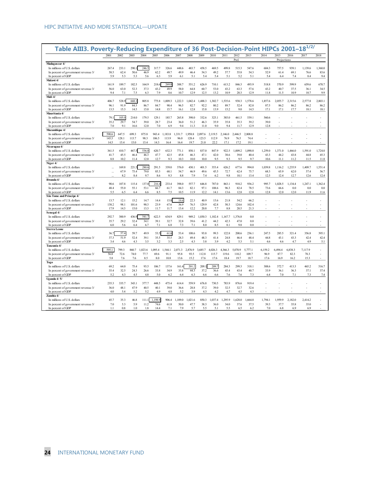| Table AIII3. Poverty-Reducing Expenditure of 36 Post-Decision-Point HIPCs 2001–18 <sup>1/2/</sup> | 2001        | 2002        | 2003        | 2004        | 2005    | 2006        | 2007        | 2008        | 2009        | 2010        | 2011        | 2012        | 2013        | 2014        | 2015        | 2016        | 2017        | 2018    |
|---------------------------------------------------------------------------------------------------|-------------|-------------|-------------|-------------|---------|-------------|-------------|-------------|-------------|-------------|-------------|-------------|-------------|-------------|-------------|-------------|-------------|---------|
|                                                                                                   |             |             |             |             |         |             |             |             |             |             |             | Prel.       |             |             | Projections |             |             |         |
| Madagascar 4/                                                                                     |             |             |             |             |         |             |             |             |             |             |             |             |             |             |             |             |             |         |
| In millions of U.S. dollars                                                                       | 267.4       | 233.1       | 290.        | 246.2       | 317.7   | 326.6       | 448.6       | 483.7       | 458.5       | 469.5       | 499.8       | 515.3       | 547.6       | 604.3       | 757.5       | 939.1       | 1,139.6     | 1,360.0 |
| In percent of government revenue 3/                                                               | 58.5        | 62.4        | 50.6        | 46.9        | 62.2    | 49.7        | 49.9        | 46.4        | 54.3        | 49.2        | 57.7        | 55.8        | 54.3        | 52.9        | 61.4        | 69.1        | 76.6        | 83.6    |
| In percent of GDP                                                                                 | 5.9         | 5.3         | 5.3         | 5.6         | 6.3     | 5.9         | 6.1         | 5.1         | 5.4         | 5.4         | 5.1         | 5.2         | 5.1         | 5.4         | 6.4         | 7.4         | 8.4         | 9.4     |
| Malawi 4/                                                                                         |             |             |             |             |         |             |             |             |             |             |             |             |             |             |             |             |             |         |
| In millions of U.S. dollars                                                                       | 161.9       | 189.7       | 182.5       | 164.9       | 218.6   | 269.0       | 388.7       | 551.2       | 626.9       | 710.1       | 613.2       | 846.3       | 493.9       | 518.8       | 570.9       | 599.9       | 659.6       | 670.7   |
| In percent of government revenue 3/                                                               | 56.0        | 63.0        | 52.3        | 37.3        | 43.2    | 49.9        | 58.0        | 64.8        | 60.7        | 53.0        | 43.2        | 63.3        | 57.6        | 43.2        | 40.7        | 37.5        | 36.1        | 34.5    |
| In percent of GDP                                                                                 | 9.4         | 7.1         | 7.5         | 6.3         | 7.9     | 8.6         | 10.7        | 12.9        | 12.5        | 13.2        | 10.9        | 20.3        | 12.9        | 11.8        | 11.5        | 10.9        | 10.7        | 9.9     |
| Mali 4/                                                                                           |             |             |             |             |         |             |             |             |             |             |             |             |             |             |             |             |             |         |
| In millions of U.S. dollars                                                                       | 406.7       | 528.9       | 668.1       | 805.8       | 775.8   | .009.3      | .222.3      | 1,042.4     | 1,488.3     | 1,302.7     | 1,535.6     | 938.3       | ,578.6      | 1,857.6     | 2,055.7     | 2,315.6     | 2,577.8     | 2,803.1 |
| In percent of government revenue 3/                                                               | 96.1        | 91.9        | 84.5        | 86.7        | 84.7    | 90.4        | 96.5        | 82.7        | 92.2        | 80.2        | 89.7        | 52.4        | 82.0        | 87.5        | 86.2        | 86.2        | 86.2        | 86.2    |
| In percent of GDP                                                                                 | 13.5        | 15.3        | 14.5        | 15.0        | 14.8    | 15.7        | 16.1        | 12.8        | 15.8        | 13.9        | 15.2        | 9.0         | 14.5        | 17.1        | 17.1        | 17.7        | 18.1        | 18.1    |
| Mauritania 4/                                                                                     |             |             |             |             |         |             |             |             |             |             |             |             |             |             |             |             |             |         |
| In millions of U.S. dollars                                                                       | 79.         | 105.0       | 214.0       | 179.5       | 129.1   | 185.7       | 265.8       | 398.0       | 332.6       | 325.1       | 385.0       | 461.5       | 539.1       | 560.6       |             |             |             |         |
| In percent of government revenue 3/                                                               | 35.2        | 29.7        | 54.7        | 39.0        | 28.7    | 23.4        | 36.0        | 51.2        | 46.3        | 35.9        | 35.8        | 35.3        | 39.2        | 39.0        |             |             |             |         |
| In percent of GDP                                                                                 | 7.0         | 9.1         | 16.6        | 12.0        | 7.0     | 6.9         | 9.4         | 11.3        | 11.0        | 9.0         | 9.4         | 11.7        | 12.9        | 12.8        |             |             |             |         |
| Mozambique 4/                                                                                     |             |             |             |             |         |             |             |             |             |             |             |             |             |             |             |             |             |         |
| In millions of U.S. dollars                                                                       | 590.6       | 647.5       | 699.3       | 875.8       | 943.4   | 1,183.8     | 1.331.7     | 1,958.8     | 2,097.6     | 2,119.5     | 2,146.0     | 2,446.5     | 2.808.8     |             |             |             |             |         |
| In percent of government revenue 3/                                                               | 145.5       | 128.1       | 113.7       | 98.3        | 106.5   | 113.9       | 96.0        | 128.4       | 123.5       | 112.9       | 76.9        | 76.5        | 74.4        |             |             |             |             |         |
| In percent of GDP                                                                                 | 14.5        | 15.4        | 15.0        | 15.4        | 14.3    | 16.4        | 16.4        | 19.7        | 21.0        | 22.2        | 17.1        | 17.2        | 19.1        |             |             |             |             |         |
| Nicaragua 4/                                                                                      |             |             |             |             |         |             |             |             |             |             |             |             |             |             |             |             |             |         |
| In millions of U.S. dollars                                                                       | 361.5       | 410.7       | 467.5       | 536.0       | 620.7   | 632.3       | 771.1       | 850.1       | 837.0       | 847.9       | 922.5       | 1,009.2     | 1,090.0     | 1,259.0     | 1,371.0     | 1,466.0     | 1,591.0     | 1,724.0 |
| In percent of government revenue 3/                                                               | 41.7        | 45.5        | 46.4        | 46.3        | 47.7    | 42.5        | 45.8        | 46.3        | 47.1        | 42.0        | 38.6        | 39.0        | 40.4        | 43.3        | 44.2        | 43.8        | 44.8        | 45.3    |
|                                                                                                   |             | 10.2        | 11.4        | 12.0        |         |             |             | 10.0        | 10.0        |             |             |             |             |             | 11.1        |             |             |         |
| In percent of GDP                                                                                 | 8.8         |             |             |             | 12.7    | 9.3         | 10.3        |             |             | 9.5         | 9.3         | 9.5         | 9.7         | 10.6        |             | 11.2        | 11.5        | 11.8    |
| Niger 4/                                                                                          |             |             |             |             |         |             |             |             |             |             |             |             |             |             |             |             |             |         |
| In millions of U.S. dollars                                                                       |             | 169.8       | 221.5       | 280.6       | 291.5   | 339.0       | 376.0       | 430.1       | 401.5       | 353.4       | 626.2       | 677.6       | 994.0       | 1.039.8     | 1,116.2     | 1.235.9     | 1,409.7     | 1.551.4 |
| In percent of government revenue 3/                                                               | ă.          | 67.9        | 75.4        | 79.0        | 85.3    | 68.1        | 54.7        | 46.9        | 49.6        | 45.5        | 72.7        | 62.4        | 75.7        | 68.3        | 65.9        | 62.0        | 57.4        | 56.7    |
| In percent of GDP                                                                                 |             | 8.2         | 8.4         | 9.7         | 8.6     | 9.3         | 8.8         | 7.9         | 7.4         | 6.2         | 9.8         | 10.1        | 13.4        | 12.5        | 12.4        | 12.7        | 12.6        | 12.4    |
| Rwanda 4/                                                                                         |             |             |             |             |         |             |             |             |             |             |             |             |             |             |             |             |             |         |
| In millions of U.S. dollars                                                                       | 90.6        | 107.8       | 115.4       | 137.0       | 216.4   | 233.4       | 398.0       | 557.7       | 646.8       | 787.0       | 863.1       | 910.2       | 936.2       | 995.7       | 1,028.5     | 1,134.4     | 1,247.1     | 1,362.4 |
| In percent of government revenue 3/                                                               | 48.4        | 55.0        | 55.1        | 53.1        | 66.7    | 61.7        | 84.3        | 82.1        | 97.1        | 108.6       | 96.3        | 82.4        | 78.5        | 73.6        | 66.6        | 0.0         | 0.0         | 0.0     |
| In percent of GDP                                                                                 | 5.5         | 6.5         | 6.4         | 6.6         | 8.5     | 7.5         | 10.5        | 11.9        | 12.2        | 14.1        | 13.6        | 12.8        | 12.8        | 12.8        | 12.0        | 12.0        | 11.9        | 11.6    |
| São Tome and Principe 4/                                                                          |             |             |             |             |         |             |             |             |             |             |             |             |             |             |             |             |             |         |
| In millions of U.S. dollars                                                                       | 13.7        | 12.1        | 15.2        | 14.7        | 14.4    | 15.8        | 19.4        | 22.3        | 40.9        | 15.6        | 21.8        | 54.2        | 66.2        |             |             |             |             |         |
| In percent of government revenue 3/                                                               | 138.2       | 98.1        | 101.6       | 90.3        | 23.9    | 67.6        | 36.9        | 76.5        | 129.9       | 42.8        | 50.3        | 124.6       | 102.4       |             |             |             |             |         |
| In percent of GDP                                                                                 | 17.9        | 14.3        | 15.0        | 13.3        | 11.7    | 11.7        | 13.4        | 12.2        | 20.8        | 7.7         | 8.8         | 20.5        | 21.3        |             |             |             |             |         |
| Senegal 4/                                                                                        |             |             |             |             |         |             |             |             |             |             |             |             |             |             |             |             |             |         |
| In millions of U.S. dollars                                                                       | 292.7       | 300.9       | 436.9       | 541.7       | 622.5   | 634.9       | 829.1       | 949.2       | 1,030.3     | 1,102.4     | 1,167.7     | 1,376.8     | 0.0         |             |             |             |             |         |
| In percent of government revenue 3/                                                               | 35.7        | 29.2        | 32.4        | 34.1        | 39.1    | 32.7        | 32.8        | 39.6        | 41.2        | 44.2        | 42.3        | 47.0        | 0.0         |             |             |             |             |         |
| In percent of GDP                                                                                 | 6.0         | 5.6         | 6.4         | 6.7         | 7.1     | 6.8         | 7.3         | 7.1         | 8.0         | 8.5         | 8.1         | 9.8         | 0.0         |             |             |             |             |         |
| <b>Sierra Leone</b>                                                                               |             |             |             |             |         |             |             |             |             |             |             |             |             |             |             |             |             |         |
| In millions of U.S. dollars                                                                       | 36.7        | 57.4        | 59.7        | 49.9        | 53.5    | 61.6        | 53.4        | 108.6       | 93.8        | 99.3        | 122.8       | 200.6       | 236.1       | 247.5       | 285.5       | 321.4       | 356.8       | 395.1   |
| In percent of government revenue 3/                                                               | 37.3        | 51.9        | 52.4        | 39.1        | 35.5    | 35.5        | 28.3        | 49.4        | 48.3        | 41.4        | 24.8        | 46.4        | 48.4        | 44.8        | 43.1        | 43.3        | 42.4        | 42.4    |
| In percent of GDP                                                                                 | 3.4         | 4.6         | 4.3         | 3.5         | 3.2     | 3.3         | 2.5         | 4.3         | 3.8         | 3.9         | 4.2         | 5.3         | 5.1         | 4.6         | 4.6         | 4.7         | 4.9         | 5.1     |
| Tanzania 4/                                                                                       |             |             |             |             |         |             |             |             |             |             |             |             |             |             |             |             |             |         |
| In millions of U.S. dollars                                                                       | 595.1       | 799.3       | 860.7       | 1,023.6     | 1,095.4 | 1,544.1     | 2,071.3     | 2,876.9     | 3,685.7     | 4,026.3     | 4,366.3     | 5,070.9     | 5,777.1     | 6,159.2     | 6,494.4     | 6,838.3     | 7,117.9     |         |
| In percent of government revenue 3/                                                               | 56.8        | 72.6        | 74.0        | 77.7        | 69.6    | 91.1        | 95.8        | 93.5        | 112.8       | 115.7       | 119.6       | 110.2       | 109.7       | 96.9        | 87.7        | 82.3        | 78.3        |         |
| In percent of GDP                                                                                 | 5.8         | 7.6         | 7.6         | 8.5         | 8.0     | 10.8        | 13.6        | 15.2        | 17.6        | 17.6        | 18.4        | 19.7        | 18.7        | 17.6        | 16.9        | 16.2        | 15.3        |         |
| Togo                                                                                              |             |             |             |             |         |             |             |             |             |             |             |             |             |             |             |             |             |         |
| In millions of U.S. dollars                                                                       | 69.2        | 64.0        | 75.4        | 93.5        | 106.7   | 137.6       |             | 201.2       | 209.1       | 209.7       | 284.3       | 299.3       | 318.1       | 308.6       | 372.7       | 413.3       | 465.2       | 516.7   |
|                                                                                                   |             |             |             |             |         |             | 161.4       |             |             |             |             |             |             |             |             |             |             | 37.4    |
| In percent of government revenue 3/                                                               | 35.4<br>5.2 | 32.5<br>4.3 | 24.3<br>4.5 | 26.6<br>4.8 | 33.8    | 34.9<br>6.2 | 35.8<br>6.4 | 44.3<br>6.3 | 37.2<br>6.6 | 36.6<br>6.6 | 45.4<br>7.6 | 43.4<br>7.6 | 40.7<br>7.3 | 33.9<br>6.4 | 36.1<br>7.0 | 36.3<br>7.1 | 37.1<br>7.3 |         |
| In percent of GDP                                                                                 |             |             |             |             | 5.0     |             |             |             |             |             |             |             |             |             |             |             |             | 7.4     |
| Uganda $4/5/$                                                                                     |             |             |             |             |         |             |             |             |             |             |             |             |             |             |             |             |             |         |
| In millions of U.S. dollars                                                                       | 235.3       | 335.7       | 343.1       | 377.7       | 448.5   | 475.4       | 614.4       | 559.9       | 676.8       | 730.5       | 783.9       | 876.6       | 919.4       |             |             |             |             |         |
| In percent of government revenue 3/                                                               | 36.0        | 48.1        | 47.9        | 40.5        | 40.1    | 39.0        | 36.6        | 28.8        | 37.2        | 39.0        | 32.5        | 32.7        | 32.6        |             |             |             |             |         |
| In percent of GDP                                                                                 | 4.0         | 5.4         | 5.2         | 5.2         | 4.9     | 4.8         | 5.2         | 3.9         | 4.3         | 4.2         | 4.7         | 4.5         | 4.3         |             |             |             |             |         |
| Zambia 4/                                                                                         |             |             |             |             |         |             |             |             |             |             |             |             |             |             |             |             |             |         |
|                                                                                                   | 45.7        | 35.3        | 46.8        | 111.1       | 1.198.9 | 906.4       | 1,109.0     | 1,021.6     | 850.3       | 1.037.4     | 1,295.9     | 1,628.0     | ,664.0      | 1.794.1     | 1.959.9     | 2,182.0     | 2.414.2     |         |
| In millions of U.S. dollars                                                                       |             |             |             |             |         |             |             |             |             |             |             |             |             |             |             |             |             |         |
| In percent of government revenue 3/                                                               | 7.0         | 5.3         | 5.9         | 11.2        | 74.6    | 61.8        | 50.0        | 47.7        | 38.3        | 36.0        | 34.0        | 37.6        | 37.5        | 39.3        | 37.7        | 35.8        | 35.0        |         |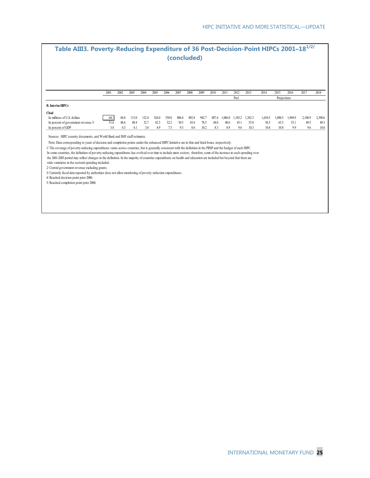|                                                                                                                                                                                                                                                                                                                                                                                                                                                                                                                                                                                                                                                                                                                                                                                                                                                                                                                                                                                  |      |      |       |       |       |       | (concluded) |       |       |       |         |         |         | Table AIII3. Poverty-Reducing Expenditure of 36 Post-Decision-Point HIPCs 2001-18 <sup>1/2/</sup> |             |         |         |         |
|----------------------------------------------------------------------------------------------------------------------------------------------------------------------------------------------------------------------------------------------------------------------------------------------------------------------------------------------------------------------------------------------------------------------------------------------------------------------------------------------------------------------------------------------------------------------------------------------------------------------------------------------------------------------------------------------------------------------------------------------------------------------------------------------------------------------------------------------------------------------------------------------------------------------------------------------------------------------------------|------|------|-------|-------|-------|-------|-------------|-------|-------|-------|---------|---------|---------|---------------------------------------------------------------------------------------------------|-------------|---------|---------|---------|
|                                                                                                                                                                                                                                                                                                                                                                                                                                                                                                                                                                                                                                                                                                                                                                                                                                                                                                                                                                                  | 2001 | 2002 | 2003  | 2004  | 2005  | 2006  | 2007        | 2008  | 2009  | 2010  | 2011    | 2012    | 2013    | 2014                                                                                              | 2015        | 2016    | 2017    | 2018    |
|                                                                                                                                                                                                                                                                                                                                                                                                                                                                                                                                                                                                                                                                                                                                                                                                                                                                                                                                                                                  |      |      |       |       |       |       |             |       |       |       |         | Prel    |         |                                                                                                   | Projections |         |         |         |
| <b>B.</b> Interim HIPCs                                                                                                                                                                                                                                                                                                                                                                                                                                                                                                                                                                                                                                                                                                                                                                                                                                                                                                                                                          |      |      |       |       |       |       |             |       |       |       |         |         |         |                                                                                                   |             |         |         |         |
| Chad                                                                                                                                                                                                                                                                                                                                                                                                                                                                                                                                                                                                                                                                                                                                                                                                                                                                                                                                                                             |      |      |       |       |       |       |             |       |       |       |         |         |         |                                                                                                   |             |         |         |         |
| In millions of U.S. dollars                                                                                                                                                                                                                                                                                                                                                                                                                                                                                                                                                                                                                                                                                                                                                                                                                                                                                                                                                      | 64.3 | 84.8 | 113.0 | 132.4 | 326.0 | 558.0 | 806.4       | 892.8 | 942.7 | 887.4 | 1,086.0 | 1,185.2 | 1,382.3 | 1,654.5                                                                                           | 1,890.5     | 1.969.9 | 2,100.9 | 2,390.6 |
| In percent of government revenue 3/                                                                                                                                                                                                                                                                                                                                                                                                                                                                                                                                                                                                                                                                                                                                                                                                                                                                                                                                              | 51.6 | 48.6 | 48.4  | 32.7  | 62.3  | 52.2  | 50.5        | 43.6  | 78.5  | 44.0  | 40.6    | 43.1    | 55.8    | 56.5                                                                                              | 63.3        | 53.1    | 49.5    | 49.3    |
| In percent of GDP                                                                                                                                                                                                                                                                                                                                                                                                                                                                                                                                                                                                                                                                                                                                                                                                                                                                                                                                                                | 3.8  | 4.3  | 4.1   | 3.0   | 4.9   | 7.5   | 9.3         | 8.6   | 10.2  | 8.3   | 8.9     | 9.6     | 10.3    | 10.4                                                                                              | 10.8        | 9.9     | 9.6     | 10.6    |
| Sources: HIPC country documents, and World Bank and IMF staff estimates.<br>Note: Data corresponding to years of decision and completion points under the enhanced HIPC Initiative are in thin and thick boxes, respectively.<br>1/ The coverage of poverty-reducing expenditures varies across countries, but is generally consistent with the definition in the PRSP and the budget of each HIPC.<br>In some countries, the definition of poverty-reducing expenditures has evolved over time to include more sectors; therefore, some of the increase in such spending over<br>the 2001-2003 period may reflect changes in the definition. In the majority of countries expenditures on health and education are included but beyond that there are<br>wide variations in the sectoral spending included.<br>2/ Central government revenue excluding grants.<br>3/ Currently fiscal data reported by authorities does not allow monitoring of poverty reduction expenditures. |      |      |       |       |       |       |             |       |       |       |         |         |         |                                                                                                   |             |         |         |         |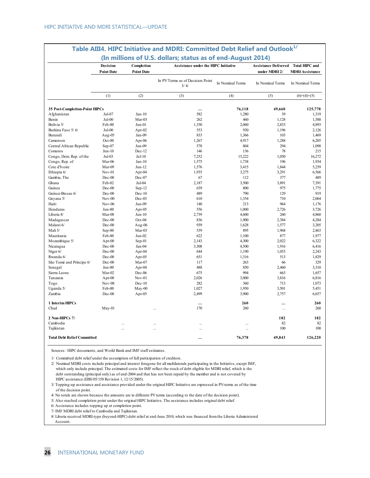|                                | Decision<br><b>Point Date</b> | Completion<br><b>Point Date</b> | Assistance under the HIPC Initiative     |                  | Assistance Delivered Total HIPC and<br>under MDRI 2/ | <b>MDRI Assistance</b> |
|--------------------------------|-------------------------------|---------------------------------|------------------------------------------|------------------|------------------------------------------------------|------------------------|
|                                |                               |                                 | In PV Terms as of Decision Point<br>3/4/ | In Nominal Terms | In Nominal Terms                                     | In Nominal Terms       |
|                                | (1)                           | (2)                             | (3)                                      | (4)              | (5)                                                  | $(6)=(4)+(5)$          |
| 35 Post-Completion-Point HIPCs |                               |                                 | $\cdots$                                 | 76,118           | 49,660                                               | 125,778                |
| Afghanistan                    | Jul-07                        | $Jan-10$                        | 582                                      | 1,280            | 39                                                   | 1,319                  |
| Benin                          | $Jul-00$                      | Mar-03                          | 262                                      | 460              | 1,128                                                | 1,588                  |
| Bolivia 5/                     | Feb-00                        | Jun-01                          | 1,330                                    | 2,060            | 2,833                                                | 4,893                  |
| Burkina Faso 5/6/              | $Jul-00$                      | Apr- $02$                       | 553                                      | 930              | 1,196                                                | 2,126                  |
| Burundi                        | Aug- $05$                     | Jan-09                          | 833                                      | 1,366            | 103                                                  | 1,469                  |
| Cameroon                       | $Oct-00$                      | Apr-06                          | 1,267                                    | 4,917            | 1,288                                                | 6,205                  |
| Central African Republic       | Sep-07                        | Jun-09                          | 578                                      | 804              | 294                                                  | 1,098                  |
| Comoros                        | $Jun-10$                      | Dec-12                          | 146                                      | 136              | 78                                                   | 215                    |
| Congo, Dem. Rep. of the        | $Jul-03$                      | Jul-10                          | 7,252                                    | 15,222           | 1,050                                                | 16,272                 |
| Congo, Rep. of                 | Mar-06                        | $Jan-10$                        | 1,575                                    | 1,738            | 196                                                  | 1,934                  |
| Cote d'Ivoire                  | Mar-09                        | $Jun-12$                        | 1,576                                    | 3,415            | 1,844                                                | 5,259                  |
| Ethiopia 6/                    | $Nov-01$                      | Apr-04                          | 1,935                                    | 3,275            | 3,291                                                | 6,566                  |
| Gambia, The                    | Dec-00                        | Dec-07                          | 67                                       | 112              | 377                                                  | 489                    |
| Ghana                          | Feb-02                        | Jul-04                          | 2,187                                    | 3,500            | 3,891                                                | 7,391                  |
| Guinea                         | $Dec-00$                      | $Sep-12$                        | 639                                      | 800              | 975                                                  | 1,775                  |
| Guinea-Bissau 6/               | Dec-00                        | $Dec-10$                        | 489                                      | 790              | 129                                                  | 919                    |
| Guyana 5/                      | $Nov-00$                      | Dec-03                          | 610                                      | 1,354            | 710                                                  | 2,064                  |
| Haiti                          | $Nov-06$                      | Jun-09                          | 140                                      | 213              | 964                                                  | 1,176                  |
| Honduras                       | Jun-00                        | Apr-05                          | 556                                      | 1,000            | 2,726                                                | 3,726                  |
| Liberia 8/                     | Mar-08                        | $Jun-10$                        | 2,739                                    | 4,600            | 260                                                  | 4,860                  |
| Madagascar                     | Dec-00                        | Oct-04                          | 836                                      | 1,900            | 2,384                                                | 4,284                  |
| Malawi 6/                      | $Dec-00$                      | Aug-06                          | 939                                      | 1,628            | 1,577                                                | 3,205                  |
| Mali 5/                        | Sep-00                        | Mar-03                          | 539                                      | 895              | 1,968                                                | 2,863                  |
| Mauritania                     | Feb-00                        | $Jun-02$                        | 622                                      | 1,100            | 877                                                  | 1,977                  |
| Mozambique 5/                  | $Apr-00$                      | Sep-01                          | 2.143                                    | 4,300            | 2,022                                                | 6,322                  |
| Nicaragua                      | Dec-00                        | Jan-04                          | 3,308                                    | 4,500            | 1,916                                                | 6,416                  |
| Niger 6/                       | $Dec-00$                      | Apr-04                          | 644                                      | 1,190            | 1,053                                                | 2,243                  |
| Rwanda 6/                      | $Dec-00$                      | Apr- $05$                       | 651                                      | 1,316            | 513                                                  | 1,829                  |
| São Tomé and Príncipe 6/       | $Dec-00$                      | Mar-07                          | 117                                      | 263              | 66                                                   | 329                    |
| Senegal                        | $Jun-00$                      | Apr-04                          | 488                                      | 850              | 2,460                                                | 3,310                  |
| Sierra Leone                   | Mar-02                        | Dec-06                          | 675                                      | 994              | 663                                                  | 1,657                  |
| Tanzania                       | $Apr-00$                      | $Nov-01$                        | 2,026                                    | 3,000            | 3,816                                                | 6,816                  |
| Togo                           | $Nov-08$                      | $Dec-10$                        | 282                                      | 360              | 713                                                  | 1,073                  |
| Uganda 5/                      | Feb-00                        | $May-00$                        | 1,027                                    | 1,950            | 3,501                                                | 5,451                  |
| Zambia                         | $Dec-00$                      | Apr- $05$                       | 2,499                                    | 3,900            | 2,757                                                | 6,657                  |
| 1 Interim HIPCs                |                               |                                 | $\ddotsc$                                | 260              | $\cdots$                                             | 260                    |
| Chad                           | May-01                        |                                 | 170                                      | 260              | $\cdots$                                             | 260                    |
| 2 Non-HIPCs 7/                 |                               |                                 |                                          |                  | 182                                                  | 182                    |
| Cambodia                       |                               |                                 | $\ddotsc$                                |                  | 82                                                   | 82                     |
| Tajikistan                     |                               |                                 |                                          | $\ddotsc$        | 100                                                  | 100                    |
|                                |                               |                                 |                                          |                  |                                                      |                        |

# **Table AIII4. HIPC Initiative and MDRI: Committed Debt Relief and Outlook1/**

Sources: HIPC documents, and World Bank and IMF staff estimates.

1/ Committed debt relief under the assumption of full participation of creditors.

2/ Nominal MDRI costs include principal and interest foregone for all multilaterals participating in the Initiative, except IMF, which only include principal. The estimated costs for IMF reflect the stock of debt eligible for MDRI relief, which is the debt outstanding (principal only) as of end-2004 and that has not been repaid by the member and is not covered by HIPC assistance (EBS/05/158 Revision 1, 12/15/2005).

3/ Topping-up assistance and assistance provided under the original HIPC Initiative are expressed in PV-terms as of the time of the decision point.

4/ No totals are shown because the amounts are in different PV terms (according to the date of the decision point).

5/ Also reached completion point under the original HIPC Initiative. The assistance includes original debt relief.

6/ Assistance includes topping up at completion point.

7/ IMF MDRI debt relief to Cambodia and Tajikistan.

8/ Liberia received MDRI-type (beyond-HIPC) debt relief at end-June 2010, which was financed from the Liberia Administered Account.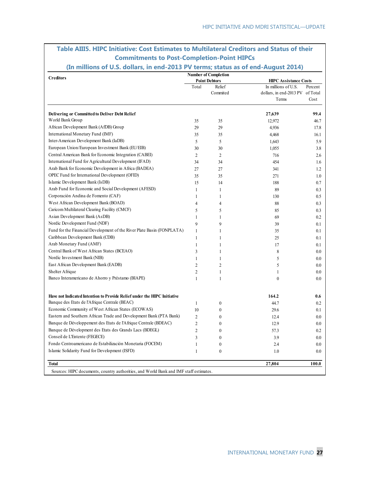| <b>Creditors</b>                                                         |                | <b>Number of Completion</b> |                                           |         |
|--------------------------------------------------------------------------|----------------|-----------------------------|-------------------------------------------|---------|
|                                                                          |                | <b>Point Debtors</b>        | <b>HIPC Assistance Costs</b>              |         |
|                                                                          | Total          | Relief<br>Commited          | In millions of U.S.                       | Percent |
|                                                                          |                |                             | dollars, in end-2013 PV of Total<br>Terms | Cost    |
|                                                                          |                |                             |                                           |         |
| <b>Delivering or Committed to Deliver Debt Relief</b>                    |                |                             | 27,639                                    | 99.4    |
| World Bank Group                                                         | 35             | 35                          | 12,972                                    | 46.7    |
| African Development Bank (AfDB) Group                                    | 29             | 29                          | 4.936                                     | 17.8    |
| International Monetary Fund (IMF)                                        | 35             | 35                          | 4,468                                     | 16.1    |
| Inter-American Development Bank (IaDB)                                   | 5              | 5                           | 1,643                                     | 5.9     |
| European Union/European Investment Bank (EU/EIB)                         | 30             | 30                          | 1,055                                     | 3.8     |
| Central American Bank for Economic Integration (CABEI)                   | 2              | $\overline{c}$              | 716                                       | 2.6     |
| International Fund for Agricultural Development (IFAD)                   | 34             | 34                          | 454                                       | 1.6     |
| Arab Bank for Economic Development in Africa (BADEA)                     | 27             | 27                          | 341                                       | 1.2     |
| OPEC Fund for International Development (OFID)                           | 35             | 35                          | 271                                       | 1.0     |
| Islamic Development Bank (IsDB)                                          | 15             | 14                          | 188                                       | 0.7     |
| Arab Fund for Economic and Social Development (AFESD)                    | $\mathbf{1}$   | $\mathbf{1}$                | 89                                        | 0.3     |
| Corporación Andina de Fomento (CAF)                                      | $\mathbf{1}$   | 1                           | 130                                       | 0.5     |
| West African Development Bank (BOAD)                                     | $\overline{4}$ | 4                           | 88                                        | 0.3     |
| Caricom Multilateral Clearing Facility (CMCF)                            | 5              | 5                           | 85                                        | 0.3     |
| Asian Development Bank (AsDB)                                            | 1              | 1                           | 69                                        | 0.2     |
| Nordic Development Fund (NDF)                                            | 9              | 9                           | 39                                        | 0.1     |
| Fund for the Financial Development of the River Plate Basin (FONPLATA)   | 1              | $\mathbf{1}$                | 35                                        | 0.1     |
| Caribbean Development Bank (CDB)                                         | $\mathbf{1}$   | 1                           | 25                                        | 0.1     |
| Arab Monetary Fund (AMF)                                                 | $\mathbf{1}$   | $\mathbf{1}$                | 17                                        | 0.1     |
| Central Bank of West African States (BCEAO)                              | 3              | $\mathbf{1}$                | 8                                         | 0.0     |
| Nordic Investment Bank (NIB)                                             | 1              | $\mathbf{1}$                | 5                                         | 0.0     |
| East African Development Bank (EADB)                                     | $\overline{2}$ | $\overline{c}$              | 5                                         | 0.0     |
| Shelter Afrique                                                          | $\overline{2}$ | 1                           | $\mathbf{1}$                              | 0.0     |
| Banco Interamericano de Ahorro y Préstamo (BIAPE)                        | $\mathbf{1}$   | $\mathbf{1}$                | $\boldsymbol{0}$                          | 0.0     |
| Have not Indicated Intention to Provide Relief under the HIPC Initiative |                |                             | 164.2                                     | 0.6     |
| Banque des Etats de l'Afrique Centrale (BEAC)                            | 1              | $\boldsymbol{0}$            | 44.7                                      | 0.2     |
| Economic Community of West African States (ECOWAS)                       | 10             | $\overline{0}$              | 29.6                                      | 0.1     |
| Eastern and Southern African Trade and Development Bank (PTA Bank)       | $\overline{2}$ | $\boldsymbol{0}$            | 12.4                                      | 0.0     |
| Banque de Développement des Etats de l'Afrique Centrale (BDEAC)          | $\overline{2}$ | $\overline{0}$              | 12.9                                      | 0.0     |
| Banque de Dévelopment des Etats des Grands Lacs (BDEGL)                  | $\overline{2}$ | $\overline{0}$              | 57.3                                      | 0.2     |
| Conseil de L'Entente (FEGECE)                                            | 3              | $\overline{0}$              | 3.9                                       | 0.0     |
| Fondo Centroamericano de Estabilización Monetaria (FOCEM)                | 1              | $\boldsymbol{0}$            | 2.4                                       | 0.0     |
| Islamic Solidarity Fund for Development (ISFD)                           | $\mathbf{1}$   | $\overline{0}$              | 1.0                                       | 0.0     |
| <b>Total</b>                                                             |                |                             | 27,804                                    | 100.0   |

### **Table AIII5. HIPC Initiative: Cost Estimates to Multilateral Creditors and Status of their Commitments to Post-Completion-Point HIPCs**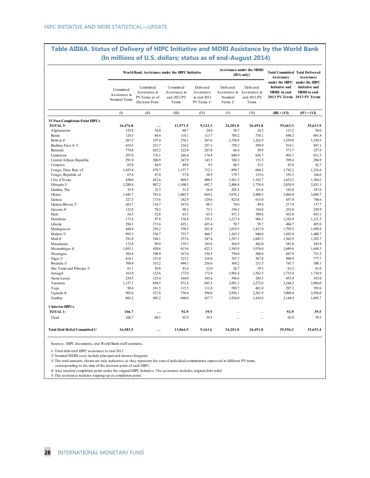#### **Table AIII6A. Status of Delivery of HIPC Initiative and MDRI Assistance by the World Bank (In millions of U.S. dollars; status as of end-August 2014)**

|                                       |                                             | World Bank Assistance under the HIPC Initiative                |                                                    |                                                       |                                  | <b>Assistance under the MDRI</b><br>(IDA only)                   | <b>Total Committed Total Delivered</b><br><b>Assistance</b>                 | <b>Assistance</b>                                                      |
|---------------------------------------|---------------------------------------------|----------------------------------------------------------------|----------------------------------------------------|-------------------------------------------------------|----------------------------------|------------------------------------------------------------------|-----------------------------------------------------------------------------|------------------------------------------------------------------------|
|                                       | Committed<br>Assistance in<br>Nominal Terms | Committed<br>Assistance in<br>PV Terms as of<br>Decision Point | Committed<br>Assistance in<br>end-2013 PV<br>Terms | Delivered<br>Assistance<br>in end-2013<br>PV Terms 1/ | Delivered<br>Nominal<br>Terms 2/ | Delivered<br>Assistance in Assistance in<br>end-2013 PV<br>Terms | <b>Initiative and</b><br><b>MDRI</b> in end-<br>2013 PV Terms 2013 PV Terms | under the HIPC under the HIPC<br>Initiative and<br><b>MDRI</b> in end- |
|                                       | (1)                                         | (II)                                                           | (III)                                              | (IV)                                                  | (V)                              | (VI)                                                             | $(III) + (VI)$                                                              | $(IV) + (VI)$                                                          |
| 35 Post-Completion-Point HIPCs        |                                             |                                                                |                                                    |                                                       |                                  |                                                                  |                                                                             |                                                                        |
| TOTAL <sub>3</sub> /                  | 16,476.8                                    |                                                                | 12,971.5                                           | 9,122.1                                               | 34,201.0                         | 26,491.8                                                         | 39,463.3                                                                    | 35,613.9                                                               |
| Afghanistan                           | 125.8                                       | 76.0                                                           | 88.7                                               | 24.0                                                  | 38.7                             | 26.5                                                             | 115.2                                                                       | 50.6                                                                   |
| Benin                                 | 124.3                                       | 84.4                                                           | 118.1                                              | 113.7                                                 | 705.2                            | 578.1                                                            | 696.2                                                                       | 691.8                                                                  |
| Bolivia 4/                            | 287.2                                       | 197.4                                                          | 276.1                                              | 267.6                                                 | 1,558.8                          | 1,262.9                                                          | 1,539.0                                                                     | 1,530.5                                                                |
| Burkina Faso 4/5/                     | 419.5                                       | 231.7                                                          | 324.2                                              | 257.3                                                 | 758.2                            | 589.9                                                            | 914.1                                                                       | 847.1                                                                  |
| Burundi                               | 774.8                                       | 425.2                                                          | 522.8                                              | 207.0                                                 | 66.4                             | 50.9                                                             | 573.7                                                                       | 257.9                                                                  |
| Cameroon                              | 297.0                                       | 176.1                                                          | 246.4                                              | 174.8                                                 | 840.9                            | 656.7                                                            | 903.1                                                                       | 831.5                                                                  |
| Central African Republic              | 291.8                                       | 206.9                                                          | 247.9                                              | 143.5                                                 | 188.3                            | 151.5                                                            | 399.4                                                                       | 294.9                                                                  |
| Comoros                               | 65.8                                        | 44.9                                                           | 49.8                                               | 9.5                                                   | 46.5                             | 33.2                                                             | 83.0                                                                        | 42.7                                                                   |
| Congo, Dem. Rep. of                   | 1.435.4                                     | 878.7                                                          | 1,137.7                                            | 712.1                                                 | 899.7                            | 604.5                                                            | 1.742.2                                                                     | 1.316.6                                                                |
| Congo, Republic of                    | 67.4                                        | 47.0                                                           | 57.8                                               | 28.9                                                  | 179.7                            | 135.6                                                            | 193.5                                                                       | 164.6                                                                  |
| Côte d'Ivoire                         | 430.6                                       | 412.6                                                          | 469.5                                              | 400.5                                                 | 1,561.3                          | 1,183.7                                                          | 1,653.2                                                                     | 1,584.2                                                                |
| Ethiopia 5/                           | 1,288.4                                     | 807.2                                                          | 1,100.5                                            | 692.7                                                 | 2,406.8                          | 1,738.4                                                          | 2,838.9                                                                     | 2,431.1                                                                |
| Gambia, The                           | 35.9                                        | 22.3                                                           | 31.2                                               | 26.0                                                  | 202.3                            | 161.6                                                            | 192.8                                                                       | 187.6                                                                  |
| Ghana                                 | 1,445.7                                     | 781.6                                                          | 1,065.5                                            | 669.2                                                 | 3,076.1                          | 2,400.5                                                          | 3,466.0                                                                     | 3,069.7                                                                |
| Guinea                                | 327.3                                       | 173.6                                                          | 242.9                                              | 129.6                                                 | 823.8                            | 615.0                                                            | 857.8                                                                       | 744.6                                                                  |
|                                       |                                             |                                                                |                                                    |                                                       |                                  |                                                                  |                                                                             |                                                                        |
| Guinea-Bissau 5/                      | 263.7                                       | 116.7                                                          | 167.6<br>98.2                                      | 88.3                                                  | 74.0                             | 49.4                                                             | 217.0                                                                       | 137.7<br>229.9                                                         |
| Guyana 4/                             | 132.8                                       | 70.2                                                           |                                                    | 75.1                                                  | 194.3                            | 154.8                                                            | 253.0                                                                       |                                                                        |
| Haiti                                 | 54.5                                        | 52.8                                                           | 63.3                                               | 63.5                                                  | 471.3                            | 389.6                                                            | 452.8                                                                       | 453.1                                                                  |
| Honduras                              | 171.6                                       | 97.8                                                           | 136.8                                              | 155.2                                                 | 1,217.4                          | 966.3                                                            | 1,103.0                                                                     | 1,121.5                                                                |
| Liberia                               | 394.1                                       | 373.6                                                          | 425.1                                              | 435.4                                                 | 70.7                             | 59.7                                                             | 484.7                                                                       | 495.0                                                                  |
| Madagascar                            | 444.4                                       | 256.2                                                          | 358.5                                              | 261.8                                                 | 1,819.5                          | 1,437.0                                                          | 1,795.5                                                                     | 1,698.8                                                                |
| Malawi 5/                             | 993.5                                       | 538.7                                                          | 753.7                                              | 460.7                                                 | 1,265.5                          | 940.0                                                            | 1,693.8                                                                     | 1,400.7                                                                |
| Mali 4/                               | 291.8                                       | 184.1                                                          | 257.6                                              | 247.4                                                 | 1,297.1                          | 1,045.3                                                          | 1,302.9                                                                     | 1,292.7                                                                |
| Mauritania                            | 172.8                                       | 99.9                                                           | 139.7                                              | 103.8                                                 | 564.9                            | 442.0                                                            | 581.8                                                                       | 545.9                                                                  |
| Mozambique 4/                         | 1.055.1                                     | 438.6                                                          | 613.6                                              | 622.3                                                 | 1,345.8                          | 1,076.0                                                          | 1,689.6                                                                     | 1,698.3                                                                |
| Nicaragua                             | 382.6                                       | 190.9                                                          | 267.0                                              | 150.5                                                 | 794.0                            | 580.8                                                            | 847.8                                                                       | 731.3                                                                  |
| Niger 5/                              | 410.1                                       | 231.0                                                          | 323.2                                              | 210.0                                                 | 767.7                            | 567.8                                                            | 890.9                                                                       | 777.7                                                                  |
| Rwanda 5/                             | 709.4                                       | 353.2                                                          | 494.1                                              | 256.6                                                 | 369.2                            | 251.5                                                            | 745.7                                                                       | 508.1                                                                  |
| São Tomé and Príncipe 5/              | 61.1                                        | 29.8                                                           | 41.6                                               | 22.0                                                  | 26.7                             | 19.5                                                             | 61.2                                                                        | 41.6                                                                   |
| Senegal                               | 163.9                                       | 123.6                                                          | 173.0                                              | 172.4                                                 | 1,902.4                          | 1,562.5                                                          | 1,735.4                                                                     | 1,734.9                                                                |
| Sierra Leone                          | 234.5                                       | 123.4                                                          | 164.0                                              | 103.6                                                 | 396.6                            | 289.5                                                            | 453.4                                                                       | 393.0                                                                  |
| Tanzania                              | 1,157.1                                     | 694.5                                                          | 971.6                                              | 693.5                                                 | 2,891.3                          | 2,272.6                                                          | 3,244.2                                                                     | 2,966.0                                                                |
| Togo                                  | 98.0                                        | 101.5                                                          | 115.5                                              | 111.8                                                 | 589.7                            | 481.8                                                            | 597.3                                                                       | 593.6                                                                  |
| Uganda 4/                             | 983.6                                       | 527.8                                                          | 738.4                                              | 594.0                                                 | 2,856.1                          | 2,261.9                                                          | 3,000.4                                                                     | 2,856.0                                                                |
| Zambia                                | 885.2                                       | 493.2                                                          | 690.0                                              | 437.7                                                 | 1,934.0                          | 1,454.9                                                          | 2,144.9                                                                     | 1,892.7                                                                |
| 1 Interim HIPCs                       |                                             |                                                                |                                                    |                                                       |                                  |                                                                  |                                                                             |                                                                        |
| TOTAL <sub>1</sub> /                  | 106.7                                       |                                                                | 92.9                                               | 39.5                                                  |                                  | $\cdots$                                                         | 92.9                                                                        | 39.5                                                                   |
| Chad                                  | 106.7                                       | 68.1                                                           | 92.9                                               | 39.5                                                  |                                  | $\ddotsc$                                                        | 92.9                                                                        | 39.5                                                                   |
| <b>Total Debt Relief Committed 1/</b> | 16,583.5                                    |                                                                | 13,064.5                                           | 9,161.6                                               | 34,201.0                         | 26,491.8                                                         | 39,556.2                                                                    | 35,653.4                                                               |

Sources: HIPC documents, and World Bank staff estimates.

1/ Total delivered HIPC assistance to end-2013.

2/ Nominal MDRI costs include principal and interest foregone.

3/ The total amounts shown are only indicative, as they represent the sum of individual commitments expressed in different PV terms,

 corresponding to the time of the decision point of each HIPC. 4/ Also reached completion point under the original HIPC Initiative. The assistance includes original debt relief.

5/ The assistance includes topping-up at completion point.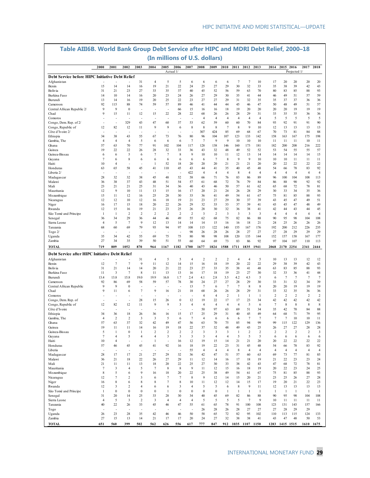|                                                               |                      |                      | um                             | <u></u>                |                | (In millions of U.S. dollars)  |                        |                       |                        | $\sim$                 |                         |                | 11121M             |                |                         |                      |                                  |                                  |
|---------------------------------------------------------------|----------------------|----------------------|--------------------------------|------------------------|----------------|--------------------------------|------------------------|-----------------------|------------------------|------------------------|-------------------------|----------------|--------------------|----------------|-------------------------|----------------------|----------------------------------|----------------------------------|
|                                                               | 2000                 | 2001                 | 2002                           | 2003                   | 2004           | 2005                           | 2006                   | 2007                  | 2008                   | 2009                   | 2010                    | 2011           | 2012               | 2013           | 2014                    | 2015                 | 2016<br>2017                     | 2018                             |
| Debt Service before HIPC Initiative Debt Relief               |                      |                      |                                |                        |                |                                | Actual 1/              |                       |                        |                        |                         |                |                    |                |                         |                      | Projected 1/                     |                                  |
| Afghanistan                                                   |                      |                      |                                | 31                     | $\overline{4}$ | 5                              | 5                      | 6                     | 6                      | 6                      | 6                       | $\overline{7}$ | $\overline{7}$     | 10             | 17                      | 20                   | 20<br>20                         | 20                               |
| Benin                                                         | 15                   | 14                   | 14                             | 16                     | 19             | 21                             | 22                     | 24                    | 25                     | 27                     | 29                      | 30             | 32                 | 33             | 35                      | 38                   | 39<br>42                         | 43                               |
| Bolivia                                                       | 31                   | 21                   | 23                             | 27                     | 33             | 35                             | 37                     | 40                    | 45                     | 52                     | 56                      | 59             | 63                 | 70             | 80                      | 83                   | 85<br>88                         | 93                               |
| Burkina Faso                                                  | 14                   | 10                   | 14                             | 16                     | 20             | 23                             | 24                     | 26                    | 27                     | 29                     | 30                      | 35             | 41                 | 44             | 46                      | 49                   | 51<br>57                         | 59                               |
| Burundi                                                       | 13                   | 14                   | 16                             | 19                     | 20             | 25                             | 22                     | 23                    | 27                     | 27                     | 29                      | 31             | 32                 | 35             | 35                      | 37                   | 37<br>36                         | 36                               |
| Cameroon<br>Central African Republic 2/                       | 92<br>9              | 115<br>9             | 88<br>$\boldsymbol{0}$         | 74                     | 59             | 57<br>٠                        | 89<br>66               | 46<br>15              | 41<br>16               | 44<br>16               | 44<br>18                | 45<br>19       | 46<br>20           | 47<br>20       | 50<br>20                | 48<br>20             | 49<br>51<br>19<br>19             | 57<br>19                         |
| Chad                                                          | 9                    | 15                   | 11                             | 12                     | 15             | 22                             | 28                     | 22                    | 68                     | 26                     | 26                      | 28             | 29                 | 31             | 33                      | 35                   | 35<br>36                         | 36                               |
| Comoros                                                       |                      |                      |                                | ÷,                     |                | J.                             |                        | ÷,                    | $\overline{4}$         | $\overline{4}$         | $\overline{4}$          | $\overline{4}$ | $\overline{4}$     | $\overline{4}$ | 5                       | 5                    | 5                                | 5<br>5                           |
| Congo, Dem. Rep. of 2/                                        |                      | ٠                    | 329                            | 43                     | 47             | 60                             | 37                     | 53                    | 62                     | 59                     | 60                      | 60             | 70                 | 84             | 93                      | 92                   | 91<br>91                         | 90                               |
| Congo, Republic of                                            | 12                   | 82                   | 12                             | 11                     | 9              | 9                              | 6                      | 8                     | 8                      | 8                      | $\tau$                  | 8              | 9                  | 10             | 12                      | 13                   | 13<br>13                         | 13                               |
| Côte d'Ivoire 2/                                              |                      | ä,                   | ÷,                             | ÷,                     |                | ٠                              | ÷,                     | ÷,                    | 307                    | 424                    | 85                      | 69             | 68                 | 67             | 70                      | 73                   | 81<br>84                         | 88                               |
| Ethiopia                                                      | 34                   | 38                   | 43                             | 55                     | 67             | 73                             | 76                     | 80                    | 96                     | 104                    | 107                     | 123            | 133                | 142            | 158                     | 163                  | 167<br>175                       | 198                              |
| Gambia, The                                                   | $\overline{4}$<br>57 | $\overline{4}$<br>63 | $\overline{4}$<br>70           | 5<br>77                | 6<br>91        | 6<br>102                       | 6<br>104               | $\overline{7}$<br>117 | $\overline{7}$<br>128  | 9<br>138               | 9<br>146                | 10<br>160      | 10<br>173          | 10<br>181      | 11<br>182               | 11<br>200            | 11<br>10<br>208                  | 11<br>222                        |
| Ghana<br>Guinea                                               | 19                   | 22                   | 22                             | 26                     | 28             | 32                             | 33                     | 36                    | 43                     | 32                     | 48                      | 49             | 52                 | 52             | 53                      | 54                   | 216<br>55<br>55                  | 57                               |
| Guinea-Bissau                                                 | 6                    | 6                    | 5                              | 6                      | $\overline{7}$ | $\overline{7}$                 | 8                      | 9                     | 10                     | 10                     | 11                      | 12             | 13                 | 14             | 14                      | 14                   | 14<br>14                         | 15                               |
| Guyana                                                        | $\tau$               | 6                    | 8                              | 6                      | 6              | 6                              | 6                      | 6                     | 6                      | $\overline{7}$         | 8                       | 9              | 9                  | 10             | 10                      | 10                   | 11<br>11                         | 11                               |
| Haiti                                                         | 10                   | $\overline{4}$       | ÷,                             | $\sim$                 | 1              | 52                             | 18                     | 20                    | 20                     | 20                     | 21                      | 21             | 21                 | 20             | 20                      | 22                   | 22<br>22                         | 22                               |
| Honduras                                                      | 63                   | 65                   | 58                             | 45                     | 41             | 110                            | 45                     | 43                    | 44                     | 41                     | 35                      | 40             | 45                 | 48             | 54                      | 66                   | 78<br>83                         | 92                               |
| Liberia 2/                                                    |                      |                      | ä,                             |                        |                |                                | ÷,                     | 422                   | $\overline{4}$         | $\overline{4}$         | $\overline{4}$          | 8              | $\overline{4}$     | $\overline{4}$ | $\overline{4}$          | $\overline{4}$       | $\overline{4}$                   | $\overline{4}$<br>$\overline{4}$ |
| Madagascar                                                    | 28                   | 32                   | 32                             | 38                     | 45             | 48                             | 52                     | 58                    | 66                     | 71                     | 76                      | 83             | 86                 | 89             | 96                      | 100                  | 104<br>108                       | 113                              |
| Malawi                                                        | 36                   | 38                   | 37                             | 43                     | 48             | 51                             | 54                     | 57                    | 61                     | 68                     | 72                      | 76             | 79                 | 84             | 86                      | 88                   | 90<br>92                         | 92                               |
| Mali                                                          | 23<br>12             | 21<br>9              | 21                             | 25                     | 31             | 34                             | 36                     | 40                    | 43                     | 46                     | 50                      | 57             | 61                 | 62<br>29       | 65                      | 68                   | 72<br>78<br>34                   | 81                               |
| Mauritania<br>Mozambique                                      | 15                   | 11                   | 10<br>12                       | 11<br>16               | 13<br>25       | 15<br>28                       | 16<br>30               | 17<br>33              | 20<br>36               | 21<br>41               | 24<br>49                | 26<br>54       | 28<br>61           | 67             | 30<br>75                | 33<br>81             | 35<br>85<br>88                   | 36<br>93                         |
| Nicaragua                                                     | 12                   | 12                   | 10                             | 12                     | 16             | 18                             | 19                     | 21                    | 23                     | 27                     | 29                      | 30             | 37                 | 39             | 43                      | 45                   | 47<br>49                         | 51                               |
| Niger                                                         | 16                   | 17                   | 15                             | 18                     | 20             | 22                             | 26                     | 29                    | 32                     | 33                     | 33                      | 37             | 39                 | 41             | 43                      | 45                   | 47<br>48                         | 49                               |
| Rwanda                                                        | 12                   | 15                   | 16                             | 19                     | 21             | 23                             | 25                     | 26                    | 28                     | 30                     | 32                      | 36             | 38                 | 41             | 42                      | 44                   | 43<br>44                         | 45                               |
| São Tomé and Príncipe                                         | -1                   | 1                    | $\overline{c}$                 | $\overline{2}$         | $\overline{c}$ | $\overline{2}$                 | $\overline{c}$         | $\sqrt{2}$            | 3                      | $\overline{c}$         | $\overline{\mathbf{3}}$ | 3              | 3                  | 3              | $\overline{4}$          | $\overline{4}$       | $\overline{4}$<br>$\overline{4}$ | $\overline{4}$                   |
| Senegal                                                       | 36                   | 34                   | 29                             | 36                     | 44             | 46                             | 49                     | 55                    | 62                     | 68                     | 75                      | 82             | 86                 | 88             | 90                      | 95                   | 98<br>104                        | 108                              |
| Sierra Leone                                                  | 4                    | 5                    | $\overline{7}$                 | 9                      | 12             | 13                             | 14                     | 14                    | 14                     | 15                     | 16                      | 16             | 18                 | 21             | 24                      | 25                   | 26<br>26                         | 26                               |
| Tanzania                                                      | 68                   | 60                   | 69                             | 79                     | 93             | 94                             | 97                     | 108                   | 115                    | 122                    | 140                     | 155            | 167                | 176            | 192                     | 200                  | 212<br>226                       | 235                              |
| Togo 2/                                                       | 35                   |                      | 42                             | 55                     |                |                                |                        | 98<br>80              | 26<br>90               | 28<br>98               | 26                      | 28             | 27                 | 27             | 27                      | 28                   | 29<br>29<br>158                  | 29<br>177                        |
| Uganda<br>Zambia                                              | 27                   | 34<br>34             | 35                             | 39                     | 69<br>50       | 75<br>51                       | 75<br>55               | 60                    | 64                     | 69                     | 108<br>73               | 120<br>83      | 135<br>86          | 144<br>92      | 152<br>97               | 157<br>104           | 167<br>107<br>110                | 113                              |
| <b>TOTAL</b>                                                  | 719                  | 809                  | 1052                           | 870                    | 964            | 1167                           | 1182                   | 1700                  | 1677                   | 1824                   | 1588                    | 1711           | 1835               | 1941           | 2068                    | 2170 2254            | 2341                             | 2444                             |
|                                                               |                      |                      |                                |                        |                |                                |                        |                       |                        |                        |                         |                |                    |                |                         |                      |                                  |                                  |
| Debt Service after HIPC Initiative Debt Relief<br>Afghanistan |                      |                      |                                | 31                     | $\overline{4}$ | 5                              | 5                      | $\overline{4}$        | $\overline{2}$         | $\overline{2}$         | $\overline{2}$          | $\overline{4}$ | $\overline{4}$     | 5              | 10                      | 13                   | 13<br>12                         | 12                               |
| Benin                                                         | 12                   | $\overline{7}$       | $\overline{7}$                 | 9                      | 11             | 12                             | 14                     | 15                    | 16                     | 18                     | 19                      | 20             | 22                 | 22             | 29                      | 38                   | 39<br>42                         | 43                               |
| Bolivia                                                       | 31                   | 21                   | 14                             | 14                     | 20             | 21                             | 22                     | 23                    | 27                     | 33                     | 35                      | 38             | 41                 | 48             | 63                      | 83                   | 85<br>88                         | 93                               |
| Burkina Faso                                                  | 11                   | 3                    | $\overline{7}$                 | 8                      | 11             | 13                             | 13                     | 16                    | 17                     | 18                     | 19                      | 23             | 27                 | 30             | 32                      | 33                   | 36<br>41                         | 44                               |
| Burundi                                                       | 13.4                 | 13.8                 | 15.8                           | 19.0                   | 19.9           | 16.8                           | 1.7                    | 2.4                   | 4.1                    | 2.8                    | 3.5                     | 4.2            | 4.5                | 5              | 6                       | $\overline{7}$       | $7\phantom{.0}$                  | $\overline{7}$<br>$\overline{7}$ |
| Cameroon                                                      | 92                   | 86                   | 69                             | 58                     | 59             | 57                             | 78                     | 30                    | 24                     | 27                     | 27                      | 28             | 29                 | 30             | 33                      | 31                   | 32<br>34                         | 39                               |
| Central African Republic                                      | 9                    | 9                    | $\boldsymbol{0}$               |                        |                | Ĭ.                             | $\overline{a}$         | 13                    | 7                      | 6                      | $\overline{7}$          | $\overline{7}$ | 8                  | 8              | 20                      | 20                   | 19<br>19                         | 19                               |
| Chad                                                          | 9                    | 11                   | 6                              | $\overline{7}$         | 9              | 16                             | 21                     | 18                    | 68                     | 26                     | 26                      | 28             | 29                 | 31             | 33                      | 32                   | 35<br>36                         | 36                               |
| Comoros<br>Congo, Dem. Rep. of                                |                      |                      | $\overline{\phantom{a}}$       | 28                     | 15             | 26                             | $\bf{0}$               | 12                    | $\overline{4}$<br>19   | $\overline{4}$<br>22   | $\overline{2}$<br>17    | 1<br>17        | -1<br>23           | -1<br>34       | 2<br>42                 | $\overline{2}$<br>42 | $\overline{2}$<br>42<br>42       | $\overline{c}$<br>2<br>42        |
| Congo, Republic of                                            | 12                   | 82                   | 12                             | 11                     | 9              | 9                              | 3                      | $\overline{4}$        | $\overline{4}$         | $\overline{4}$         | $\overline{4}$          | $\overline{4}$ | 5                  | 6              | $\overline{7}$          | 8                    | 8                                | 8<br>8                           |
| Côte d'Ivoire                                                 |                      |                      | ÷,                             | ÷,                     |                | ٠                              | $\overline{a}$         | $\overline{a}$        | 50                     | 97                     | 63                      | 69             | 51                 | 34             | 35                      | 42                   | 70<br>84                         | 88                               |
| Ethiopia                                                      | 34                   | 36                   | 18                             | 26                     | 36             | 16                             | 15                     | 17                    | 25                     | 29                     | 31                      | 40             | 45                 | 49             | 64                      | 68                   | 71<br>79                         | 95                               |
| Gambia, The                                                   | $\overline{4}$       | $\overline{2}$       | $\overline{c}$                 | 3                      | 3              | 5                              | 6                      | $7\phantom{.0}$       | $\overline{4}$         | 6                      | 6                       | 6              | $\overline{7}$     | $\overline{7}$ | $\tau$                  | $\overline{7}$       | 10<br>10                         | 11                               |
| Ghana                                                         | 57                   | 63                   | 37                             | 32                     | 42             | 49                             | 47                     | 56                    | 63                     | 70                     | 75                      | 85             | 94                 | 99             | 99                      | 115                  | 122<br>129                       | 136                              |
| Guinea                                                        | 19                   | 11                   | 11                             | 14                     | 16             | 19                             | 18                     | 22                    | 37                     | 32                     | 48                      | 49             | 43                 | 25             | 26                      | 27                   | 27<br>28                         | 28                               |
| Guinea-Bissau                                                 | 5                    | 1                    | $\boldsymbol{0}$               | $\mathbf{1}$           | $\overline{c}$ | $\overline{2}$                 | $\boldsymbol{2}$       | $\overline{2}$        | 3                      | 3                      | 3                       | $\mathbf{1}$   | $\overline{2}$     | $\overline{c}$ | $\overline{\mathbf{c}}$ | $\overline{2}$       | $\sqrt{2}$                       | $\overline{2}$<br>3              |
| Guyana                                                        | $\tau$               | $\overline{4}$       | 5                              | $\overline{4}$         | $\overline{4}$ | 3                              | 3                      | 3                     | 3                      | $\overline{4}$         | $\overline{4}$          | 5              | 5                  | 5              | 6                       | 6                    | 6                                | 6<br>6                           |
| Haiti<br>Honduras                                             | 10<br>57             | $\overline{4}$<br>46 | $\overline{\phantom{a}}$<br>45 | ÷,<br>45               | 1<br>41        | $\overline{\phantom{a}}$<br>92 | 16<br>16               | 12<br>18              | 19<br>19               | 15<br>22               | 14<br>23                | 21<br>31       | 21<br>45           | 20<br>48       | 20<br>54                | 22<br>66             | 22<br>22<br>78<br>83             | 22<br>92                         |
| Liberia                                                       |                      |                      |                                |                        |                | J.                             |                        | 55                    | $\overline{4}$         | $\overline{4}$         | $\overline{4}$          | 8              | $\overline{4}$     | $\overline{4}$ | $\overline{4}$          | $\overline{4}$       | $\overline{4}$                   | $\overline{4}$<br>$\overline{4}$ |
| Madagascar                                                    | 28                   | 17                   | 17                             | 21                     | 27             | 29                             | 32                     | 36                    | 42                     | 47                     | 51                      | 57             | 60                 | 63             | 69                      | 73                   | 77<br>81                         | 85                               |
| Malawi                                                        | 36                   | 21                   | 18                             | 22                     | 26             | 27                             | 29                     | 11                    | 12                     | 14                     | 16                      | 17             | 18                 | 19             | 21                      | 22                   | 23<br>23                         | 24                               |
| Mali                                                          | 21                   | 11                   | 11                             | 13                     | 18             | 20                             | 22                     | 25                    | 27                     | 30                     | 33                      | 38             | 42                 | 43             | 47                      | 68                   | 72<br>78                         | 81                               |
| Mauritania                                                    | $7\phantom{.0}$      | 3                    | 4                              | 5                      | $\overline{7}$ | 8                              | 8                      | 9                     | 11                     | 12                     | 15                      | 16             | 18                 | 19             | 20                      | 22                   | 23<br>24                         | 25                               |
| Mozambique                                                    | 8                    | 5                    | 6                              | 9                      | 16             | 18                             | 20                     | 22                    | 25                     | 38                     | 49                      | 54             | 61                 | 67             | 75                      | 81                   | 85<br>88                         | 93                               |
| Nicaragua                                                     | 12                   | $\overline{7}$       | $\overline{\mathbf{c}}$        | 3                      | 6              | $\overline{7}$                 | $\tau$                 | $\,$ 8 $\,$           | 9                      | 12                     | 14                      | 15             | 20                 | 21             | 23                      | 25                   | 26<br>27                         | 28                               |
| Niger                                                         | 16                   | 8                    | 6                              | 8                      | 8              | $\overline{7}$                 | 8                      | 10                    | 11                     | 12                     | 12                      | 14             | 15                 | 17             | 19                      | 20                   | 21<br>22                         | 23                               |
| Rwanda                                                        | 12                   | 3                    | $\overline{c}$                 | $\overline{4}$         | 6              | 6                              | 3                      | $\overline{4}$        | 5                      | 5                      | 6                       | 8              | 9                  | 11             | 12                      | 13                   | 13<br>13                         | 13                               |
| São Tomé and Príncipe<br>Senegal                              | -1<br>31             | $\bf{0}$<br>20       | $\boldsymbol{0}$<br>14         | $\boldsymbol{0}$<br>25 | $\bf{0}$<br>33 | $\mathbf{1}$<br>28             | $\boldsymbol{0}$<br>30 | $\mathbf{0}$<br>34    | $\boldsymbol{0}$<br>40 | $\boldsymbol{0}$<br>45 | $\mathbf{1}$<br>69      | 1<br>82        | $\mathbf{1}$<br>86 | -1<br>88       | 1<br>90                 | $\mathbf{1}$<br>95   | -1<br>$\mathbf{1}$<br>98<br>104  | -1<br>108                        |
| Sierra Leone                                                  | $\overline{4}$       | 5                    | 3                              | $\overline{c}$         | 3              | $\overline{4}$                 | 4                      | $\overline{4}$        | 5                      | 5                      | 5                       | 5              | $7\phantom{.0}$    | 9              | 10                      | 11                   | 11<br>11                         | 11                               |
| Tanzania                                                      | 40                   | 22                   | 26                             | 33                     | 45             | 46                             | 47                     | 55                    | 61                     | 65                     | 78                      | 91             | 100                | 108            | 123                     | 131                  | 143<br>157                       | 166                              |
| Togo                                                          |                      | ÷,                   |                                |                        |                |                                |                        |                       | 26                     | 28                     | 26                      | 28             | 27                 | 27             | 27                      | 28                   | 29<br>29                         |                                  |
| Uganda                                                        | 26                   | 23                   | 28                             | 35                     | 42             | 46                             | 46                     | 50                    | 58                     | 65                     | 72                      | 82             | 95                 | 102            | 110                     | 113                  | 115<br>124                       | 133                              |
| Zambia                                                        | 27                   | 15                   | 13                             | 14                     | 21             | 17                             | 17                     | 20                    | 24                     | 27                     | 32                      | 38             | 38                 | 41             | 43                      | 47                   | 48<br>50                         | 53                               |
| <b>TOTAL</b>                                                  | 651                  | 560                  | 399                            | 502                    | 562            | 626                            | 556                    | 617                   | 777                    | 847                    | 912                     | 1035 1107 1150 |                    |                |                         | 1283 1415 1515       |                                  | 1610 1675                        |

# **Table AIII6B. World Bank Group Debt Service after HIPC and MDRI Debt Relief, 2000–18**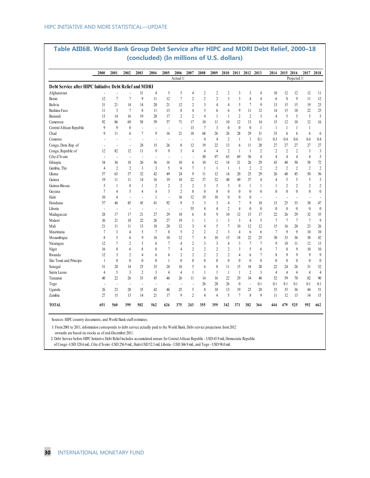|                                                         | 2000                     | 2001                     | 2002                     | 2003                     | 2004                     | 2005           | 2006                     | 2007           | 2008           | 2009           | 2010             | 2011 2012 2013   |                          |                |                          | 2014 2015 2016   |                | 2017                     | 2018             |
|---------------------------------------------------------|--------------------------|--------------------------|--------------------------|--------------------------|--------------------------|----------------|--------------------------|----------------|----------------|----------------|------------------|------------------|--------------------------|----------------|--------------------------|------------------|----------------|--------------------------|------------------|
|                                                         |                          |                          |                          |                          |                          |                | Actual 1/                |                |                |                |                  |                  |                          |                |                          |                  | Projected 1/   |                          |                  |
| Debt Service after HIPC Initiative Debt Relief and MDRI |                          |                          |                          |                          |                          |                |                          |                |                |                |                  |                  |                          |                |                          |                  |                |                          |                  |
| Afghanistan                                             |                          |                          |                          | 31                       | $\overline{4}$           | 5              | 5                        | 4              | $\overline{c}$ | $\overline{2}$ | $\overline{2}$   | 3                | $\overline{\mathbf{3}}$  | 4              | 10                       | 12               | 12             | 12                       | 11               |
| Benin                                                   | 12                       | 7                        | 7                        | $\overline{9}$           | 11                       | 12             | $\overline{7}$           | $\overline{c}$ | $\overline{c}$ | $\overline{c}$ | 3                | 3                | $\overline{4}$           | 4              | 6                        | 8                | 9              | 11                       | 12               |
| Bolivia                                                 | 31                       | 21                       | 14                       | 14                       | 20                       | 21             | 12                       | $\overline{c}$ | 3              | $\overline{4}$ | $\overline{4}$   | 5                | $\overline{7}$           | 9              | 13                       | 15               | 15             | 19                       | 23               |
| Burkina Faso                                            | 11                       | 3                        | $\sqrt{ }$               | 8                        | 11                       | 13             | 8                        | 4              | 5              | 6              | 6                | 9                | 11                       | 12             | 14                       | 15               | 18             | 22                       | 25               |
| Burundi                                                 | 13                       | 14                       | 16                       | 19                       | 20                       | 17             | $\overline{2}$           | $\overline{2}$ | $\overline{4}$ | $\mathbf{1}$   | 1                | $\overline{2}$   | $\overline{c}$           | $\overline{3}$ | $\overline{4}$           | 5                | 5              | 5                        | 5                |
| Cameroon                                                | 92                       | 86                       | 69                       | 58                       | 59                       | 57             | 71                       | 17             | 10             | 11             | 10               | 12               | 13                       | 14             | 15                       | 12               | 10             | 12                       | 16               |
| Central African Republic                                | $\mathfrak{g}$           | 9                        | $\mathbf{0}$             | $\overline{\phantom{a}}$ | Ĭ.                       | $\overline{a}$ | $\blacksquare$           | 13             | $\overline{7}$ | $\overline{3}$ | $\mathbf{0}$     | $\theta$         | $\mathbf{0}$             | $\mathbf{1}$   | $\mathbf{1}$             | $\mathbf{1}$     | 1              | $\mathbf{1}$             |                  |
| Chad                                                    | 9                        | 11                       | 6                        | 7                        | 9                        | 16             | 21                       | 18             | 68             | 26             | 26               | 28               | 29                       | 31             | 33                       | 6                | 6              | 6                        | 6                |
| Comoros                                                 | $\overline{a}$           | ÷,                       | ÷,                       | ÷,                       | $\overline{\phantom{a}}$ | Ĭ.             | $\overline{\phantom{a}}$ | $\blacksquare$ | $\overline{4}$ | $\overline{4}$ | $\overline{2}$   | 1                | $\mathbf{1}$             | 0.1            | 0.3                      | 0.4              | 0.4            | 0.4                      | 0.4              |
| Congo, Dem. Rep. of                                     | $\overline{\phantom{a}}$ | $\overline{\phantom{a}}$ | $\overline{a}$           | 28                       | 15                       | 26             | $\boldsymbol{0}$         | 12             | 19             | 22             | 13               | 6                | 11                       | 20             | 27                       | 27               | 27             | 27                       | 27               |
| Congo, Republic of                                      | 12                       | 82                       | 12                       | 11                       | 9                        | 9              | $\overline{3}$           | $\overline{4}$ | $\overline{4}$ | $\overline{4}$ | $\sqrt{2}$       | $\mathbf{1}$     | $\mathbf{1}$             | $\sqrt{2}$     | $\overline{c}$           | $\overline{2}$   | $\overline{c}$ | $\mathfrak{Z}$           | $\overline{3}$   |
| Côte d'Ivoire                                           | $\overline{\phantom{a}}$ |                          | $\overline{\phantom{a}}$ |                          | $\overline{\phantom{a}}$ | ÷              | $\overline{\phantom{a}}$ | $\overline{a}$ | 50             | 97             | 63               | 69               | 36                       | $\overline{4}$ | $\overline{4}$           | $\overline{4}$   | $\overline{4}$ | $\overline{4}$           | 5                |
| Ethiopia                                                | 34                       | 36                       | 18                       | 26                       | 36                       | 16             | 10                       | 6              | 10             | 12             | 14               | 21               | 26                       | 29             | 43                       | 48               | 50             | 58                       | 72               |
| Gambia, The                                             | $\overline{4}$           | $\overline{2}$           | $\overline{2}$           | $\overline{3}$           | $\overline{3}$           | 5              | 6                        | $\tau$         | $\mathbf{1}$   | $\mathbf{1}$   | $\mathbf{1}$     | $\mathbf{1}$     | $\overline{c}$           | $\overline{2}$ | $\overline{c}$           | $\overline{2}$   | $\overline{2}$ | $\overline{2}$           | $\overline{c}$   |
| Ghana                                                   | 57                       | 63                       | 37                       | 32                       | 42                       | 49             | 24                       | 9              | 11             | 12             | 14               | 20               | 25                       | 29             | 26                       | 40               | 45             | 50                       | 56               |
| Guinea                                                  | 19                       | 11                       | 11                       | 14                       | 16                       | 19             | 18                       | 22             | 37             | 32             | 48               | 49               | 37                       | $\overline{4}$ | $\overline{4}$           | 5                | 5              | 5                        | 5                |
| Guinea-Bissau                                           | 5                        | 1                        | $\mathbf{0}$             | $\mathbf{1}$             | $\overline{c}$           | $\overline{c}$ | $\overline{2}$           | $\overline{c}$ | $\overline{3}$ | 3              | $\overline{3}$   | $\mathbf{0}$     | $\mathbf{1}$             | $\mathbf{1}$   | 1                        | $\sqrt{2}$       | $\overline{2}$ | $\overline{2}$           | $\sqrt{2}$       |
| Guyana                                                  | $\overline{7}$           | 4                        | 5                        | $\overline{4}$           | $\overline{4}$           | 3              | $\overline{c}$           | $\mathbf{0}$   | $\theta$       | $\mathbf{0}$   | $\theta$         | $\boldsymbol{0}$ | $\theta$                 | $\mathbf{0}$   | $\mathbf{0}$             | $\mathbf{0}$     | $\mathbf{0}$   | $\mathbf{0}$             | $\mathbf{0}$     |
| Haiti                                                   | 10                       | 4                        | $\overline{a}$           | ÷.                       | $\mathbf{1}$             | $\overline{a}$ | 16                       | 12             | 19             | 10             | $\boldsymbol{0}$ | $\boldsymbol{0}$ | $\mathbf{0}$             | $\overline{a}$ | $\overline{\phantom{a}}$ | $\overline{a}$   | ÷              | $\overline{\phantom{a}}$ | ٠                |
| Honduras                                                | 57                       | 46                       | 45                       | 45                       | 41                       | 92             | $\mathbf{Q}$             | $\overline{3}$ | $\overline{3}$ | $\overline{3}$ | $\overline{4}$   | $\overline{7}$   | 9                        | 10             | 13                       | 25               | 33             | 38                       | 47               |
| Liberia                                                 | $\overline{\phantom{a}}$ | ÷,                       | $\overline{\phantom{a}}$ | ÷,                       | $\overline{\phantom{a}}$ | ÷              | $\blacksquare$           | 55             | 4              | $\overline{4}$ | $\overline{c}$   | $\overline{4}$   | $\boldsymbol{0}$         | $\mathbf{0}$   | $\boldsymbol{0}$         | $\boldsymbol{0}$ | $\mathbf{0}$   | $\boldsymbol{0}$         | $\boldsymbol{0}$ |
| Madagascar                                              | 28                       | 17                       | 17                       | 21                       | 27                       | 29             | 18                       | 6              | 8              | 9              | 10               | 12               | 15                       | 17             | 22                       | 26               | 29             | 32                       | 35               |
| Malawi                                                  | 36                       | 21                       | 18                       | $22\,$                   | 26                       | 27             | 19                       | 1              | 1              | $\mathbf{1}$   | 3                | $\overline{3}$   | $\overline{4}$           | 5              | $\overline{7}$           | 7                | 7              | 7                        | $\overline{9}$   |
| Mali                                                    | 21                       | 11                       | 11                       | 13                       | 18                       | 20             | 12                       | 3              | 4              | 5              | 7                | 10               | 12                       | 12             | 15                       | 16               | 20             | 23                       | 26               |
| Mauritania                                              | $\overline{7}$           | 3                        | 4                        | 5                        | $\overline{7}$           | 8              | 5                        | 2              | $\overline{c}$ | $\overline{2}$ | 3                | $\overline{4}$   | 6                        | 6              | $\overline{7}$           | 9                | 9              | 10                       | 10               |
| Mozambique                                              | 8                        | 5                        | 6                        | 9                        | 16                       | 18             | 12                       | 7              | 8              | 10             | 15               | 18               | 22                       | 25             | 30                       | 33               | 36             | 38                       | 42               |
| Nicaragua                                               | 12                       | 7                        | 2                        | 3                        | 6                        | 7              | $\overline{4}$           | $\overline{c}$ | 3              | 3              | 4                | $\overline{3}$   | $\tau$                   | $\overline{7}$ | 9                        | 10               | 11             | 12                       | 13               |
| Niger                                                   | 16                       | 8                        | 6                        | 8                        | 8                        | 7              | $\overline{4}$           | $\overline{c}$ | $\overline{c}$ | $\overline{2}$ | $\overline{2}$   | 3                | 5                        | 6              | 7                        | 8                | $\mathbf{Q}$   | 10                       | 10 <sup>10</sup> |
| Rwanda                                                  | 12                       | 3                        | $\overline{2}$           | 4                        | 6                        | 6              | $\overline{2}$           | $\overline{2}$ | $\overline{c}$ | $\overline{2}$ | $\overline{c}$   | $\overline{4}$   | 6                        | 7              | 8                        | 9                | 9              | 9                        | 9                |
| São Tomé and Príncipe                                   | $\mathbf{1}$             | $\mathbf{0}$             | $\mathbf{0}$             | $\mathbf{0}$             | $\mathbf{0}$             | 1              | $\mathbf{0}$             | $\theta$       | $\mathbf{0}$   | $\mathbf{0}$   | $\mathbf{0}$     | $\mathbf{0}$     | $\mathbf{0}$             | $\mathbf{0}$   | $\mathbf{0}$             | $\theta$         | $\mathbf{0}$   | $\mathbf{0}$             | $\theta$         |
| Senegal                                                 | 31                       | 20                       | 14                       | 25                       | 33                       | 28             | 16                       | 5              | 6              | 8              | 11               | 15               | 18                       | 20             | 22                       | 24               | 26             | 31                       | 32               |
| Sierra Leone                                            | $\overline{4}$           | 5                        | $\overline{\mathbf{3}}$  | $\overline{c}$           | $\overline{3}$           | $\overline{4}$ | $\overline{4}$           | 1              | 1              | -1             | $\mathbf{1}$     | $\mathbf{1}$     | $\overline{2}$           | $\overline{3}$ | $\overline{4}$           | $\overline{4}$   | $\overline{4}$ | $\overline{4}$           | $\overline{4}$   |
| Tanzania                                                | 40                       | 22                       | 26                       | 33                       | 45                       | 46             | 26                       | 11             | 14             | 16             | 22               | 29               | 34                       | 40             | 52                       | 59               | 70             | 82                       | 90               |
| Togo                                                    | $\overline{\phantom{a}}$ | ÷,                       | $\overline{\phantom{a}}$ | $\overline{\phantom{a}}$ | $\overline{\phantom{a}}$ | $\overline{a}$ | $\blacksquare$           | $\overline{a}$ | 26             | 28             | 26               | $\mathbf{0}$     | $\overline{\phantom{a}}$ | 0.1            | 0.1                      | 0.1              | 0.1            | 0.1                      | 0.1              |
| Uganda                                                  | 26                       | 23                       | 28                       | 35                       | 42                       | 46             | 25                       | 5              | 8              | 10             | 13               | 19               | 25                       | 28             | 33                       | 35               | 36             | 44                       | 51               |
| Zambia                                                  | 27                       | 15                       | 13                       | 14                       | 21                       | 17             | 9                        | $\overline{2}$ | $\overline{4}$ | $\overline{4}$ | 5                | $\overline{7}$   | 8                        | $\mathbf{Q}$   | 11                       | 12               | 13             | 14                       | 15               |
| <b>TOTAL</b>                                            | 651                      | 560                      | 399                      | 502                      | 562                      | 626            | 375                      | 243            | 355            | 359            | 342              | 371              | 382                      | 364            | 444                      | 479              | 525            | 592                      | 662              |

#### **Table AIII6B. World Bank Group Debt Service after HIPC and MDRI Debt Relief, 2000–18 (concluded) (In millions of U.S. dollars)**

Sources: HIPC country documents, and World Bank staff estimates.

1/ From 2001 to 2011, information corresponds to debt service actually paid to the World Bank. Debt service projections from 2012 onwards are based on stocks as of end-December 2011.

 2/ Debt Service before HIPC Initiative Debt Relief includes accumulated arrears for Central African Republic - USD 65.9 mil, Democratic Republic of Congo -USD 328.6 mil., Côte d'Ivoire -USD 256.9 mil., Haiti-USD 52.3 mil, Liberia - USD 366.9 mil., and Togo - USD 98.0 mil.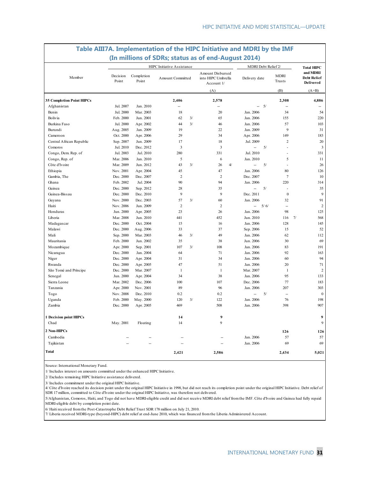|                                  |                   |                     | (In millions of SDRs; status as of end-August 2014) |    |                                                      |    |                     |       |                          |    |                                                    |
|----------------------------------|-------------------|---------------------|-----------------------------------------------------|----|------------------------------------------------------|----|---------------------|-------|--------------------------|----|----------------------------------------------------|
|                                  |                   |                     | HIPC Initiative Assistance                          |    |                                                      |    | MDRI Debt Relief 2/ |       |                          |    | <b>Total HIPC</b>                                  |
| Member                           | Decision<br>Point | Completion<br>Point | Amount Committed                                    |    | Amount Disbursed<br>into HIPC Umbrella<br>Account 1/ |    | Delivery date       |       | <b>MDRI</b><br>Trusts    |    | and MDRI<br><b>Debt Relief</b><br><b>Delivered</b> |
|                                  |                   |                     |                                                     |    | (A)                                                  |    |                     |       | (B)                      |    | $(A+B)$                                            |
| <b>35 Completion Point HIPCs</b> |                   |                     | 2,406                                               |    | 2,578                                                |    |                     |       | 2,308                    |    | 4,886                                              |
| Afghanistan                      | Jul. 2007         | Jan. 2010           | $\overline{\phantom{a}}$                            |    | $\overline{\phantom{a}}$                             |    |                     | $-5/$ | $\overline{\phantom{a}}$ |    | ÷.                                                 |
| Benin                            | Jul. 2000         | Mar. 2003           | 18                                                  |    | 20                                                   |    | Jan. 2006           |       | 34                       |    | 54                                                 |
| Bolivia                          | Feb. 2000         | Jun. 2001           | 62                                                  | 3/ | 65                                                   |    | Jan. 2006           |       | 155                      |    | 220                                                |
| Burkina Faso                     | Jul. 2000         | Apr. 2002           | 44                                                  | 3/ | 46                                                   |    | Jan. 2006           |       | 57                       |    | 103                                                |
| Burundi                          | Aug. 2005         | Jan. 2009           | 19                                                  |    | 22                                                   |    | Jan. 2009           |       | $\overline{9}$           |    | 31                                                 |
| Cameroon                         | Oct. 2000         | Apr. 2006           | 29                                                  |    | 34                                                   |    | Apr. 2006           |       | 149                      |    | 183                                                |
| Central African Republic         | Sep. 2007         | Jun. 2009           | 17                                                  |    | 18                                                   |    | Jul. 2009           |       | $\sqrt{2}$               |    | $20\,$                                             |
| Comoros                          | Jul. 2010         | Dec. 2012           | $\mathbf{3}$                                        |    | 3                                                    |    | --                  | 5/    | $\overline{a}$           |    | $\overline{\mathbf{3}}$                            |
| Congo, Dem. Rep. of              | Jul. 2003         | Jul. 2010           | 280                                                 |    | 331                                                  |    | Jul. 2010           |       | $\overline{a}$           |    | 331                                                |
| Congo, Rep. of                   | Mar. 2006         | Jan. 2010           | 5                                                   |    | 6                                                    |    | Jan. 2010           |       | 5                        |    | 11                                                 |
| Côte d'Ivoire                    | Mar. 2009         | Jun. 2012           | 43                                                  | 3/ | 26                                                   | 4/ | $\sim$              | 5/    | L,                       |    | 26                                                 |
| Ethiopia                         | Nov. 2001         | Apr. 2004           | 45                                                  |    | 47                                                   |    | Jan. 2006           |       | 80                       |    | 126                                                |
| Gambia, The                      | Dec. 2000         | Dec. 2007           | $\overline{2}$                                      |    | $\overline{2}$                                       |    | Dec. 2007           |       | $\boldsymbol{7}$         |    | 10                                                 |
| Ghana                            | Feb. 2002         | Jul. 2004           | 90                                                  |    | 94                                                   |    | Jan. 2006           |       | 220                      |    | 314                                                |
| Guinea                           | Dec. 2000         | Sep. 2012           | 28                                                  |    | 35                                                   |    | L.                  | 5/    | ÷,                       |    | 35                                                 |
| Guinea-Bissau                    | Dec. 2000         | Dec. 2010           | 9                                                   |    | 9                                                    |    | Dec. 2011           |       | $\boldsymbol{0}$         |    | 9                                                  |
| Guyana                           | Nov. 2000         | Dec. 2003           | 57                                                  | 3/ | 60                                                   |    | Jan. 2006           |       | 32                       |    | 91                                                 |
| Haiti                            | Nov. 2006         | Jun. 2009           | $\overline{2}$                                      |    | $\overline{2}$                                       |    | ш.                  | 5/6/  | $\overline{\phantom{a}}$ |    | $\overline{2}$                                     |
| Honduras                         | Jun. 2000         | Apr. 2005           | 23                                                  |    | 26                                                   |    | Jan. 2006           |       | 98                       |    | 125                                                |
| Liberia                          | Mar. 2008         | Jun. 2010           | 441                                                 |    | 452                                                  |    | Jun. 2010           |       | 116                      | 7/ | 568                                                |
| Madagascar                       | Dec. 2000         | Oct. 2004           | 15                                                  |    | 16                                                   |    | Jan. 2006           |       | 128                      |    | 145                                                |
| Malawi                           | Dec. 2000         | Aug. 2006           | 33                                                  |    | 37                                                   |    | Sep. 2006           |       | 15                       |    | 52                                                 |
| Mali                             | Sep. 2000         | Mar. 2003           | 46                                                  | 3/ | 49                                                   |    | Jan. 2006           |       | 62                       |    | 112                                                |
| Mauritania                       | Feb. 2000         | Jun. 2002           | 35                                                  |    | 38                                                   |    | Jun. 2006           |       | 30                       |    | 69                                                 |
| Mozambique                       | Apr. 2000         | Sep. 2001           | 107                                                 | 3/ | 108                                                  |    | Jan. 2006           |       | 83                       |    | 191                                                |
| Nicaragua                        | Dec. 2000         | Jan. 2004           | 64                                                  |    | 71                                                   |    | Jan. 2006           |       | 92                       |    | 163                                                |
| Niger                            | Dec. 2000         | Apr. 2004           | 31                                                  |    | 34                                                   |    | Jan. 2006           |       | 60                       |    | 94                                                 |
| Rwanda                           | Dec. 2000         | Apr. 2005           | 47                                                  |    | 51                                                   |    | Jan. 2006           |       | 20                       |    | 71                                                 |
| São Tomé and Príncipe            | Dec. 2000         | Mar. 2007           | $\mathbf{1}$                                        |    | $\mathbf{1}$                                         |    | Mar. 2007           |       | $\mathbf{1}$             |    | $\overline{2}$                                     |
| Senegal                          | Jun. 2000         | Apr. 2004           | 34                                                  |    | 38                                                   |    | Jan. 2006           |       | 95                       |    | 133                                                |
| Sierra Leone                     | Mar. 2002         | Dec. 2006           | 100                                                 |    | 107                                                  |    | Dec. 2006           |       | 77                       |    | 183                                                |
| Tanzania                         | Apr. 2000         | Nov. 2001           | 89                                                  |    | 96                                                   |    | Jan. 2006           |       | 207                      |    | 303                                                |
| Togo                             | Nov. 2008         | Dec. 2010           | 0.2                                                 |    | 0.2                                                  |    | --                  | 5/    | $\overline{\phantom{a}}$ |    | $\boldsymbol{0}$                                   |
| Uganda                           | Feb. 2000         | May. 2000           | 120                                                 | 3/ | 122                                                  |    | Jan. 2006           |       | 76                       |    | 198                                                |
| Zambia                           | Dec. 2000         | Apr. 2005           | 469                                                 |    | 508                                                  |    | Jan. 2006           |       | 398                      |    | 907                                                |
|                                  |                   |                     |                                                     |    |                                                      |    |                     |       |                          |    |                                                    |
| 1 Decision point HIPCs           |                   |                     | 14                                                  |    | 9                                                    |    |                     |       |                          |    | 9                                                  |
| Chad                             | May. 2001         | Floating            | 14                                                  |    | 9                                                    |    |                     |       |                          |    | $\mathbf Q$                                        |
| 2 Non-HIPCs                      |                   |                     |                                                     |    |                                                      |    |                     |       | 126                      |    | 126                                                |
| Cambodia                         |                   |                     |                                                     |    |                                                      |    | Jan. 2006           |       | 57                       |    | 57                                                 |
| Tajikistan                       | $\sim$            | ÷.                  | ÷.                                                  |    | $\overline{a}$                                       |    | Jan. 2006           |       | 69                       |    | 69                                                 |
| Total                            |                   |                     | 2,421                                               |    | 2,586                                                |    |                     |       | 2,434                    |    | 5,021                                              |

# **Table AIII7A. Implementation of the HIPC Initiative and MDRI by the IMF**

Source: International Monetary Fund.

1/ Includes interest on amounts committed under the enhanced HIPC Initiative.

2/ Excludes remaining HIPC Initiative assistance delivered.

3/ Includes commitment under the original HIPC Initiative.

4/ Côte d'Ivoire reached its decision point under the original HIPC Initiative in 1998, but did not reach its completion point under the original HIPC Initiative. Debt relief of SDR 17 million, committed to Côte d'Ivoire under the original HIPC Initiative, was therefore not delivered.

5/Afghanistan, Comoros, Haiti, and Togo did not have MDRI-eligible credit and did not receive MDRI debt relief from the IMF. Côte d'Ivoire and Guinea had fully repaid MDRI-eligible debt by completion point date.

6/ Haiti received from the Post-Catastrophe Debt Relief Trust SDR 178 million on July 21, 2010.

7/ Liberia received MDRI-type (beyond-HIPC) debt relief at end-June 2010, which was financed from the Liberia Administered Account.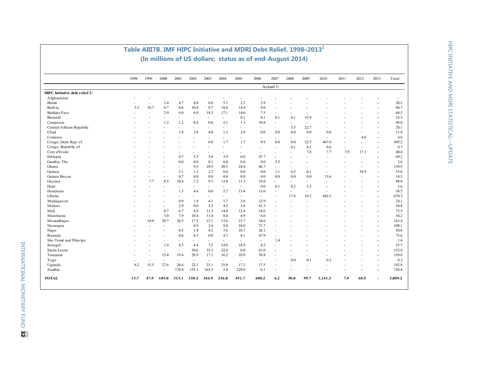| Actual 1/<br>HIPC Initiative debt relief 2/<br>Afghanistan<br>٠<br>2.4<br>6.0<br>5.1<br>2.3<br>Benin<br>4.7<br>4.8<br>2.9<br>$\overline{\phantom{a}}$<br>$\overline{a}$<br>٠<br>Bolivia<br>10.7<br>9.7<br>8.6<br>10.4<br>9.7<br>18.8<br>9.0<br>14.4<br>5.5<br>$\overline{a}$<br>Burkina Faso<br>2.9<br>6.0<br>6.0<br>14.3<br>7.5<br>17.1<br>14.6<br>$\overline{\phantom{a}}$<br>$\overline{a}$<br>٠<br>$\overline{a}$<br>Burundi<br>0.1<br>0.1<br>0.1<br>32.9<br>0.1<br>$\overline{\phantom{a}}$<br>$\sim$<br>$\sim$<br>$\overline{a}$<br>$\sim$<br>1.2<br>1.2<br>0.4<br>0.0<br>5.1<br>39.8<br>Cameroon<br>1.3<br>$\overline{\phantom{a}}$<br>۰<br>٠<br>Central African Republic<br>22.7<br>5.5<br>٠<br>$\overline{\phantom{0}}$<br>$\overline{\phantom{0}}$<br>$\overline{\phantom{a}}$<br>$\overline{\phantom{a}}$<br>Chad<br>1.8<br>2.8<br>4.0<br>1.2<br>2.0<br>0.0<br>0.0<br>0.0<br>0.0<br>0.0<br>$\overline{a}$<br>$\overline{a}$<br>4.6<br>Comoros<br>$\overline{\phantom{a}}$<br>٠<br>÷.<br>÷<br>÷,<br>$\sim$<br>٠<br>٠<br>$\sim$<br>$\sim$<br>٠<br>0.8<br>0.9<br>0.0<br>Congo, Dem. Rep. of<br>1.7<br>1.7<br>0.0<br>22.5<br>467.6<br>ä,<br>٠<br>$\overline{a}$<br>Congo, Republic of<br>0.1<br>0.1<br>9.6<br>$\overline{a}$<br>$\overline{\phantom{a}}$<br>$\overline{a}$<br>٠<br>$\overline{\phantom{a}}$<br>Cote d'Ivoire<br>7.8<br>7.7<br>7.9<br>17.1<br>٠<br>$\overline{\phantom{a}}$<br>۰<br>٠<br>٠<br>٠<br>$\sim$<br>$\overline{a}$<br>Ethiopia<br>0.7<br>5.3<br>5.6<br>3.9<br>47.7<br>6.0<br>٠<br>$\overline{\phantom{a}}$<br>٠<br>$\overline{a}$<br>$\sim$<br>$\overline{\phantom{0}}$<br>$\overline{a}$<br>0.0<br>0.0<br>0.1<br>0.0<br>Gambia, The<br>0.0<br>0.0<br>3.5<br>$\overline{a}$<br>9.5<br>18.9<br>20.3<br>66.7<br>Ghana<br>24.4<br>$\overline{\phantom{a}}$<br>$\overline{\phantom{a}}$<br>۰<br>$\overline{\phantom{a}}$<br>$\overline{\phantom{a}}$<br>$\overline{a}$<br>٠<br>3.1<br>1.2<br>2.2<br>0.4<br>0.1<br>38.9<br>Guinea<br>0.0<br>0.0<br>1.1<br>6.5<br>Guinea Bissau<br>0.7<br>0.0<br>0.0<br>0.0<br>0.0<br>0.0<br>0.0<br>0.0<br>0.0<br>13.6<br>$\overline{a}$<br>$\overline{a}$<br>$\sim$<br>۰<br>8.5<br>9.3<br>7.7<br>10.4<br>7.2<br>13.8<br>19.8<br>Guyana<br>11.3<br>÷.<br>$\sim$<br>$\overline{a}$<br>$\overline{a}$<br>$\overline{\phantom{a}}$<br>$\overline{a}$<br>0.1<br>0.0<br>0.2<br>Haiti<br>3.3<br>÷.<br>$\overline{\phantom{a}}$<br>÷<br>$\overline{\phantom{0}}$<br>$\blacksquare$<br>$\sim$<br>$\overline{a}$<br>$\sim$<br>Honduras<br>1.3<br>0.0<br>5.7<br>13.4<br>13.6<br>4.6<br>$\overline{a}$<br>$\sim$<br>$\overline{\phantom{a}}$<br>$\sim$<br>Liberia<br>10.2<br>642.5<br>17.6<br>$\overline{\phantom{a}}$<br>$\overline{\phantom{a}}$<br>$\overline{\phantom{a}}$<br>$\sim$<br>$\sim$<br>$\blacksquare$<br>$\overline{a}$<br>۰<br>0.9<br>4.1<br>12.9<br>Madagascar<br>1.9<br>1.7<br>2.6<br>÷,<br>ä,<br>$\overline{\phantom{a}}$<br>$\sim$<br>Malawi<br>0.0<br>2.5<br>2.9<br>4.2<br>41.3<br>3.8<br>$\sim$<br>$\overline{\phantom{a}}$<br>٠<br>$\overline{a}$<br>$\overline{a}$<br>Mali<br>0.7<br>6.7<br>8.9<br>14.0<br>12.4<br>18.6<br>11.3<br>7.9<br>5.0<br>8.4<br>Mauritania<br>10.4<br>11.0<br>4.9<br>6.6<br>٠<br>$\overline{\phantom{a}}$<br>Mozambique<br>29.7<br>14.0<br>26.5<br>17.2<br>12.1<br>13.6<br>15.7<br>34.6<br>$\overline{\phantom{a}}$<br>9.0<br>71.7<br>0.9<br>2.6<br>24.0<br>Nicaragua<br>÷.<br>$\overline{\phantom{a}}$<br>$\overline{\phantom{a}}$<br>$\overline{a}$<br>0.5<br>1.4<br>4.2<br>10.7<br>26.1<br>Niger<br>7.6<br>$\overline{\phantom{a}}$<br>8.6<br>4.7<br>4.3<br>0.0<br>8.1<br>47.9<br>Rwanda<br>$\overline{a}$<br>São Tomé and Príncipe<br>1.4<br>$\blacksquare$<br>÷,<br>÷<br>٠<br>$\sim$<br>$\overline{\phantom{a}}$<br>$\overline{\phantom{a}}$<br>1.9<br>4.3<br>4.4<br>7.2<br>14.8<br>8.2<br>Senegal<br>14.9<br>$\overline{\phantom{a}}$<br>۰<br>$\overline{\phantom{a}}$<br>152.9<br>Sierra Leone<br>30.6<br>33.3<br>22.0<br>61.0<br>6.0<br>$\overline{\phantom{a}}$<br>$\overline{a}$<br>$\overline{\phantom{a}}$<br>20.9<br>39.8<br>139.8<br>15.4<br>19.4<br>17.1<br>16.2<br>10.9<br>Tanzania<br>÷,<br>$\overline{\phantom{a}}$<br>$\overline{a}$<br>$\overline{a}$<br>$\overline{\phantom{a}}$<br>0.0<br>0.1<br>0.2<br>Togo<br>$\sim$<br>$\sim$<br>$\overline{\phantom{a}}$<br>$\sim$<br>$\overline{\phantom{a}}$<br>$\sim$<br>$\sim$<br>$\overline{\phantom{a}}$<br>$\overline{a}$<br>$\overline{\phantom{a}}$<br>8.2<br>15.5<br>27.6<br>22.1<br>23.1<br>25.0<br>17.2<br>17.5<br>Uganda<br>26.6<br>$\overline{\phantom{a}}$<br>$\overline{\phantom{a}}$<br>$\overline{\phantom{a}}$<br>$\overline{\phantom{a}}$<br>Zambia<br>155.1<br>229.0<br>170.4<br>165.5<br>2.4<br>6.1<br>$\overline{\phantom{a}}$<br>$\overline{\phantom{a}}$<br>$\blacksquare$<br>$\blacksquare$<br>٠<br>$\overline{\phantom{a}}$ | 1998 | 1999 | 2000 | 2001 | 2002 | 2003 | 2004 | 2005 | 2006 | 2007 | 2008 | 2009 | 2010 | 2011 | 2012 | 2013 | Total |
|----------------------------------------------------------------------------------------------------------------------------------------------------------------------------------------------------------------------------------------------------------------------------------------------------------------------------------------------------------------------------------------------------------------------------------------------------------------------------------------------------------------------------------------------------------------------------------------------------------------------------------------------------------------------------------------------------------------------------------------------------------------------------------------------------------------------------------------------------------------------------------------------------------------------------------------------------------------------------------------------------------------------------------------------------------------------------------------------------------------------------------------------------------------------------------------------------------------------------------------------------------------------------------------------------------------------------------------------------------------------------------------------------------------------------------------------------------------------------------------------------------------------------------------------------------------------------------------------------------------------------------------------------------------------------------------------------------------------------------------------------------------------------------------------------------------------------------------------------------------------------------------------------------------------------------------------------------------------------------------------------------------------------------------------------------------------------------------------------------------------------------------------------------------------------------------------------------------------------------------------------------------------------------------------------------------------------------------------------------------------------------------------------------------------------------------------------------------------------------------------------------------------------------------------------------------------------------------------------------------------------------------------------------------------------------------------------------------------------------------------------------------------------------------------------------------------------------------------------------------------------------------------------------------------------------------------------------------------------------------------------------------------------------------------------------------------------------------------------------------------------------------------------------------------------------------------------------------------------------------------------------------------------------------------------------------------------------------------------------------------------------------------------------------------------------------------------------------------------------------------------------------------------------------------------------------------------------------------------------------------------------------------------------------------------------------------------------------------------------------------------------------------------------------------------------------------------------------------------------------------------------------------------------------------------------------------------------------------------------------------------------------------------------------------------------------------------------------------------------------------------------------------------------------------------------------------------------------------------------------------------------------------------------------------------------------------------------------------------------------------------------------------------------------------------------------------------------------------------------------------------------------------------------------------------------------------------------------------------------------------------------------------------------------------------------------------------------------------------------------------------------------------------------------------------------------|------|------|------|------|------|------|------|------|------|------|------|------|------|------|------|------|-------|
|                                                                                                                                                                                                                                                                                                                                                                                                                                                                                                                                                                                                                                                                                                                                                                                                                                                                                                                                                                                                                                                                                                                                                                                                                                                                                                                                                                                                                                                                                                                                                                                                                                                                                                                                                                                                                                                                                                                                                                                                                                                                                                                                                                                                                                                                                                                                                                                                                                                                                                                                                                                                                                                                                                                                                                                                                                                                                                                                                                                                                                                                                                                                                                                                                                                                                                                                                                                                                                                                                                                                                                                                                                                                                                                                                                                                                                                                                                                                                                                                                                                                                                                                                                                                                                                                                                                                                                                                                                                                                                                                                                                                                                                                                                                                                                                                                |      |      |      |      |      |      |      |      |      |      |      |      |      |      |      |      |       |
|                                                                                                                                                                                                                                                                                                                                                                                                                                                                                                                                                                                                                                                                                                                                                                                                                                                                                                                                                                                                                                                                                                                                                                                                                                                                                                                                                                                                                                                                                                                                                                                                                                                                                                                                                                                                                                                                                                                                                                                                                                                                                                                                                                                                                                                                                                                                                                                                                                                                                                                                                                                                                                                                                                                                                                                                                                                                                                                                                                                                                                                                                                                                                                                                                                                                                                                                                                                                                                                                                                                                                                                                                                                                                                                                                                                                                                                                                                                                                                                                                                                                                                                                                                                                                                                                                                                                                                                                                                                                                                                                                                                                                                                                                                                                                                                                                |      |      |      |      |      |      |      |      |      |      |      |      |      |      |      |      |       |
|                                                                                                                                                                                                                                                                                                                                                                                                                                                                                                                                                                                                                                                                                                                                                                                                                                                                                                                                                                                                                                                                                                                                                                                                                                                                                                                                                                                                                                                                                                                                                                                                                                                                                                                                                                                                                                                                                                                                                                                                                                                                                                                                                                                                                                                                                                                                                                                                                                                                                                                                                                                                                                                                                                                                                                                                                                                                                                                                                                                                                                                                                                                                                                                                                                                                                                                                                                                                                                                                                                                                                                                                                                                                                                                                                                                                                                                                                                                                                                                                                                                                                                                                                                                                                                                                                                                                                                                                                                                                                                                                                                                                                                                                                                                                                                                                                |      |      |      |      |      |      |      |      |      |      |      |      |      |      |      |      |       |
|                                                                                                                                                                                                                                                                                                                                                                                                                                                                                                                                                                                                                                                                                                                                                                                                                                                                                                                                                                                                                                                                                                                                                                                                                                                                                                                                                                                                                                                                                                                                                                                                                                                                                                                                                                                                                                                                                                                                                                                                                                                                                                                                                                                                                                                                                                                                                                                                                                                                                                                                                                                                                                                                                                                                                                                                                                                                                                                                                                                                                                                                                                                                                                                                                                                                                                                                                                                                                                                                                                                                                                                                                                                                                                                                                                                                                                                                                                                                                                                                                                                                                                                                                                                                                                                                                                                                                                                                                                                                                                                                                                                                                                                                                                                                                                                                                |      |      |      |      |      |      |      |      |      |      |      |      |      |      |      |      | 28.2  |
|                                                                                                                                                                                                                                                                                                                                                                                                                                                                                                                                                                                                                                                                                                                                                                                                                                                                                                                                                                                                                                                                                                                                                                                                                                                                                                                                                                                                                                                                                                                                                                                                                                                                                                                                                                                                                                                                                                                                                                                                                                                                                                                                                                                                                                                                                                                                                                                                                                                                                                                                                                                                                                                                                                                                                                                                                                                                                                                                                                                                                                                                                                                                                                                                                                                                                                                                                                                                                                                                                                                                                                                                                                                                                                                                                                                                                                                                                                                                                                                                                                                                                                                                                                                                                                                                                                                                                                                                                                                                                                                                                                                                                                                                                                                                                                                                                |      |      |      |      |      |      |      |      |      |      |      |      |      |      |      |      | 96.7  |
|                                                                                                                                                                                                                                                                                                                                                                                                                                                                                                                                                                                                                                                                                                                                                                                                                                                                                                                                                                                                                                                                                                                                                                                                                                                                                                                                                                                                                                                                                                                                                                                                                                                                                                                                                                                                                                                                                                                                                                                                                                                                                                                                                                                                                                                                                                                                                                                                                                                                                                                                                                                                                                                                                                                                                                                                                                                                                                                                                                                                                                                                                                                                                                                                                                                                                                                                                                                                                                                                                                                                                                                                                                                                                                                                                                                                                                                                                                                                                                                                                                                                                                                                                                                                                                                                                                                                                                                                                                                                                                                                                                                                                                                                                                                                                                                                                |      |      |      |      |      |      |      |      |      |      |      |      |      |      |      |      | 68.3  |
|                                                                                                                                                                                                                                                                                                                                                                                                                                                                                                                                                                                                                                                                                                                                                                                                                                                                                                                                                                                                                                                                                                                                                                                                                                                                                                                                                                                                                                                                                                                                                                                                                                                                                                                                                                                                                                                                                                                                                                                                                                                                                                                                                                                                                                                                                                                                                                                                                                                                                                                                                                                                                                                                                                                                                                                                                                                                                                                                                                                                                                                                                                                                                                                                                                                                                                                                                                                                                                                                                                                                                                                                                                                                                                                                                                                                                                                                                                                                                                                                                                                                                                                                                                                                                                                                                                                                                                                                                                                                                                                                                                                                                                                                                                                                                                                                                |      |      |      |      |      |      |      |      |      |      |      |      |      |      |      |      | 33.3  |
|                                                                                                                                                                                                                                                                                                                                                                                                                                                                                                                                                                                                                                                                                                                                                                                                                                                                                                                                                                                                                                                                                                                                                                                                                                                                                                                                                                                                                                                                                                                                                                                                                                                                                                                                                                                                                                                                                                                                                                                                                                                                                                                                                                                                                                                                                                                                                                                                                                                                                                                                                                                                                                                                                                                                                                                                                                                                                                                                                                                                                                                                                                                                                                                                                                                                                                                                                                                                                                                                                                                                                                                                                                                                                                                                                                                                                                                                                                                                                                                                                                                                                                                                                                                                                                                                                                                                                                                                                                                                                                                                                                                                                                                                                                                                                                                                                |      |      |      |      |      |      |      |      |      |      |      |      |      |      |      |      | 49.0  |
|                                                                                                                                                                                                                                                                                                                                                                                                                                                                                                                                                                                                                                                                                                                                                                                                                                                                                                                                                                                                                                                                                                                                                                                                                                                                                                                                                                                                                                                                                                                                                                                                                                                                                                                                                                                                                                                                                                                                                                                                                                                                                                                                                                                                                                                                                                                                                                                                                                                                                                                                                                                                                                                                                                                                                                                                                                                                                                                                                                                                                                                                                                                                                                                                                                                                                                                                                                                                                                                                                                                                                                                                                                                                                                                                                                                                                                                                                                                                                                                                                                                                                                                                                                                                                                                                                                                                                                                                                                                                                                                                                                                                                                                                                                                                                                                                                |      |      |      |      |      |      |      |      |      |      |      |      |      |      |      |      | 28.1  |
|                                                                                                                                                                                                                                                                                                                                                                                                                                                                                                                                                                                                                                                                                                                                                                                                                                                                                                                                                                                                                                                                                                                                                                                                                                                                                                                                                                                                                                                                                                                                                                                                                                                                                                                                                                                                                                                                                                                                                                                                                                                                                                                                                                                                                                                                                                                                                                                                                                                                                                                                                                                                                                                                                                                                                                                                                                                                                                                                                                                                                                                                                                                                                                                                                                                                                                                                                                                                                                                                                                                                                                                                                                                                                                                                                                                                                                                                                                                                                                                                                                                                                                                                                                                                                                                                                                                                                                                                                                                                                                                                                                                                                                                                                                                                                                                                                |      |      |      |      |      |      |      |      |      |      |      |      |      |      |      |      | 11.9  |
|                                                                                                                                                                                                                                                                                                                                                                                                                                                                                                                                                                                                                                                                                                                                                                                                                                                                                                                                                                                                                                                                                                                                                                                                                                                                                                                                                                                                                                                                                                                                                                                                                                                                                                                                                                                                                                                                                                                                                                                                                                                                                                                                                                                                                                                                                                                                                                                                                                                                                                                                                                                                                                                                                                                                                                                                                                                                                                                                                                                                                                                                                                                                                                                                                                                                                                                                                                                                                                                                                                                                                                                                                                                                                                                                                                                                                                                                                                                                                                                                                                                                                                                                                                                                                                                                                                                                                                                                                                                                                                                                                                                                                                                                                                                                                                                                                |      |      |      |      |      |      |      |      |      |      |      |      |      |      |      |      | 4.6   |
|                                                                                                                                                                                                                                                                                                                                                                                                                                                                                                                                                                                                                                                                                                                                                                                                                                                                                                                                                                                                                                                                                                                                                                                                                                                                                                                                                                                                                                                                                                                                                                                                                                                                                                                                                                                                                                                                                                                                                                                                                                                                                                                                                                                                                                                                                                                                                                                                                                                                                                                                                                                                                                                                                                                                                                                                                                                                                                                                                                                                                                                                                                                                                                                                                                                                                                                                                                                                                                                                                                                                                                                                                                                                                                                                                                                                                                                                                                                                                                                                                                                                                                                                                                                                                                                                                                                                                                                                                                                                                                                                                                                                                                                                                                                                                                                                                |      |      |      |      |      |      |      |      |      |      |      |      |      |      |      |      | 495.2 |
|                                                                                                                                                                                                                                                                                                                                                                                                                                                                                                                                                                                                                                                                                                                                                                                                                                                                                                                                                                                                                                                                                                                                                                                                                                                                                                                                                                                                                                                                                                                                                                                                                                                                                                                                                                                                                                                                                                                                                                                                                                                                                                                                                                                                                                                                                                                                                                                                                                                                                                                                                                                                                                                                                                                                                                                                                                                                                                                                                                                                                                                                                                                                                                                                                                                                                                                                                                                                                                                                                                                                                                                                                                                                                                                                                                                                                                                                                                                                                                                                                                                                                                                                                                                                                                                                                                                                                                                                                                                                                                                                                                                                                                                                                                                                                                                                                |      |      |      |      |      |      |      |      |      |      |      |      |      |      |      |      | 9.7   |
|                                                                                                                                                                                                                                                                                                                                                                                                                                                                                                                                                                                                                                                                                                                                                                                                                                                                                                                                                                                                                                                                                                                                                                                                                                                                                                                                                                                                                                                                                                                                                                                                                                                                                                                                                                                                                                                                                                                                                                                                                                                                                                                                                                                                                                                                                                                                                                                                                                                                                                                                                                                                                                                                                                                                                                                                                                                                                                                                                                                                                                                                                                                                                                                                                                                                                                                                                                                                                                                                                                                                                                                                                                                                                                                                                                                                                                                                                                                                                                                                                                                                                                                                                                                                                                                                                                                                                                                                                                                                                                                                                                                                                                                                                                                                                                                                                |      |      |      |      |      |      |      |      |      |      |      |      |      |      |      |      | 40.4  |
|                                                                                                                                                                                                                                                                                                                                                                                                                                                                                                                                                                                                                                                                                                                                                                                                                                                                                                                                                                                                                                                                                                                                                                                                                                                                                                                                                                                                                                                                                                                                                                                                                                                                                                                                                                                                                                                                                                                                                                                                                                                                                                                                                                                                                                                                                                                                                                                                                                                                                                                                                                                                                                                                                                                                                                                                                                                                                                                                                                                                                                                                                                                                                                                                                                                                                                                                                                                                                                                                                                                                                                                                                                                                                                                                                                                                                                                                                                                                                                                                                                                                                                                                                                                                                                                                                                                                                                                                                                                                                                                                                                                                                                                                                                                                                                                                                |      |      |      |      |      |      |      |      |      |      |      |      |      |      |      |      | 69.2  |
|                                                                                                                                                                                                                                                                                                                                                                                                                                                                                                                                                                                                                                                                                                                                                                                                                                                                                                                                                                                                                                                                                                                                                                                                                                                                                                                                                                                                                                                                                                                                                                                                                                                                                                                                                                                                                                                                                                                                                                                                                                                                                                                                                                                                                                                                                                                                                                                                                                                                                                                                                                                                                                                                                                                                                                                                                                                                                                                                                                                                                                                                                                                                                                                                                                                                                                                                                                                                                                                                                                                                                                                                                                                                                                                                                                                                                                                                                                                                                                                                                                                                                                                                                                                                                                                                                                                                                                                                                                                                                                                                                                                                                                                                                                                                                                                                                |      |      |      |      |      |      |      |      |      |      |      |      |      |      |      |      | 3.6   |
|                                                                                                                                                                                                                                                                                                                                                                                                                                                                                                                                                                                                                                                                                                                                                                                                                                                                                                                                                                                                                                                                                                                                                                                                                                                                                                                                                                                                                                                                                                                                                                                                                                                                                                                                                                                                                                                                                                                                                                                                                                                                                                                                                                                                                                                                                                                                                                                                                                                                                                                                                                                                                                                                                                                                                                                                                                                                                                                                                                                                                                                                                                                                                                                                                                                                                                                                                                                                                                                                                                                                                                                                                                                                                                                                                                                                                                                                                                                                                                                                                                                                                                                                                                                                                                                                                                                                                                                                                                                                                                                                                                                                                                                                                                                                                                                                                |      |      |      |      |      |      |      |      |      |      |      |      |      |      |      |      | 139.9 |
|                                                                                                                                                                                                                                                                                                                                                                                                                                                                                                                                                                                                                                                                                                                                                                                                                                                                                                                                                                                                                                                                                                                                                                                                                                                                                                                                                                                                                                                                                                                                                                                                                                                                                                                                                                                                                                                                                                                                                                                                                                                                                                                                                                                                                                                                                                                                                                                                                                                                                                                                                                                                                                                                                                                                                                                                                                                                                                                                                                                                                                                                                                                                                                                                                                                                                                                                                                                                                                                                                                                                                                                                                                                                                                                                                                                                                                                                                                                                                                                                                                                                                                                                                                                                                                                                                                                                                                                                                                                                                                                                                                                                                                                                                                                                                                                                                |      |      |      |      |      |      |      |      |      |      |      |      |      |      |      |      | 53.6  |
|                                                                                                                                                                                                                                                                                                                                                                                                                                                                                                                                                                                                                                                                                                                                                                                                                                                                                                                                                                                                                                                                                                                                                                                                                                                                                                                                                                                                                                                                                                                                                                                                                                                                                                                                                                                                                                                                                                                                                                                                                                                                                                                                                                                                                                                                                                                                                                                                                                                                                                                                                                                                                                                                                                                                                                                                                                                                                                                                                                                                                                                                                                                                                                                                                                                                                                                                                                                                                                                                                                                                                                                                                                                                                                                                                                                                                                                                                                                                                                                                                                                                                                                                                                                                                                                                                                                                                                                                                                                                                                                                                                                                                                                                                                                                                                                                                |      |      |      |      |      |      |      |      |      |      |      |      |      |      |      |      | 14.3  |
|                                                                                                                                                                                                                                                                                                                                                                                                                                                                                                                                                                                                                                                                                                                                                                                                                                                                                                                                                                                                                                                                                                                                                                                                                                                                                                                                                                                                                                                                                                                                                                                                                                                                                                                                                                                                                                                                                                                                                                                                                                                                                                                                                                                                                                                                                                                                                                                                                                                                                                                                                                                                                                                                                                                                                                                                                                                                                                                                                                                                                                                                                                                                                                                                                                                                                                                                                                                                                                                                                                                                                                                                                                                                                                                                                                                                                                                                                                                                                                                                                                                                                                                                                                                                                                                                                                                                                                                                                                                                                                                                                                                                                                                                                                                                                                                                                |      |      |      |      |      |      |      |      |      |      |      |      |      |      |      |      | 88.0  |
|                                                                                                                                                                                                                                                                                                                                                                                                                                                                                                                                                                                                                                                                                                                                                                                                                                                                                                                                                                                                                                                                                                                                                                                                                                                                                                                                                                                                                                                                                                                                                                                                                                                                                                                                                                                                                                                                                                                                                                                                                                                                                                                                                                                                                                                                                                                                                                                                                                                                                                                                                                                                                                                                                                                                                                                                                                                                                                                                                                                                                                                                                                                                                                                                                                                                                                                                                                                                                                                                                                                                                                                                                                                                                                                                                                                                                                                                                                                                                                                                                                                                                                                                                                                                                                                                                                                                                                                                                                                                                                                                                                                                                                                                                                                                                                                                                |      |      |      |      |      |      |      |      |      |      |      |      |      |      |      |      | 3.6   |
|                                                                                                                                                                                                                                                                                                                                                                                                                                                                                                                                                                                                                                                                                                                                                                                                                                                                                                                                                                                                                                                                                                                                                                                                                                                                                                                                                                                                                                                                                                                                                                                                                                                                                                                                                                                                                                                                                                                                                                                                                                                                                                                                                                                                                                                                                                                                                                                                                                                                                                                                                                                                                                                                                                                                                                                                                                                                                                                                                                                                                                                                                                                                                                                                                                                                                                                                                                                                                                                                                                                                                                                                                                                                                                                                                                                                                                                                                                                                                                                                                                                                                                                                                                                                                                                                                                                                                                                                                                                                                                                                                                                                                                                                                                                                                                                                                |      |      |      |      |      |      |      |      |      |      |      |      |      |      |      |      | 38.5  |
|                                                                                                                                                                                                                                                                                                                                                                                                                                                                                                                                                                                                                                                                                                                                                                                                                                                                                                                                                                                                                                                                                                                                                                                                                                                                                                                                                                                                                                                                                                                                                                                                                                                                                                                                                                                                                                                                                                                                                                                                                                                                                                                                                                                                                                                                                                                                                                                                                                                                                                                                                                                                                                                                                                                                                                                                                                                                                                                                                                                                                                                                                                                                                                                                                                                                                                                                                                                                                                                                                                                                                                                                                                                                                                                                                                                                                                                                                                                                                                                                                                                                                                                                                                                                                                                                                                                                                                                                                                                                                                                                                                                                                                                                                                                                                                                                                |      |      |      |      |      |      |      |      |      |      |      |      |      |      |      |      | 670.3 |
|                                                                                                                                                                                                                                                                                                                                                                                                                                                                                                                                                                                                                                                                                                                                                                                                                                                                                                                                                                                                                                                                                                                                                                                                                                                                                                                                                                                                                                                                                                                                                                                                                                                                                                                                                                                                                                                                                                                                                                                                                                                                                                                                                                                                                                                                                                                                                                                                                                                                                                                                                                                                                                                                                                                                                                                                                                                                                                                                                                                                                                                                                                                                                                                                                                                                                                                                                                                                                                                                                                                                                                                                                                                                                                                                                                                                                                                                                                                                                                                                                                                                                                                                                                                                                                                                                                                                                                                                                                                                                                                                                                                                                                                                                                                                                                                                                |      |      |      |      |      |      |      |      |      |      |      |      |      |      |      |      | 24.1  |
|                                                                                                                                                                                                                                                                                                                                                                                                                                                                                                                                                                                                                                                                                                                                                                                                                                                                                                                                                                                                                                                                                                                                                                                                                                                                                                                                                                                                                                                                                                                                                                                                                                                                                                                                                                                                                                                                                                                                                                                                                                                                                                                                                                                                                                                                                                                                                                                                                                                                                                                                                                                                                                                                                                                                                                                                                                                                                                                                                                                                                                                                                                                                                                                                                                                                                                                                                                                                                                                                                                                                                                                                                                                                                                                                                                                                                                                                                                                                                                                                                                                                                                                                                                                                                                                                                                                                                                                                                                                                                                                                                                                                                                                                                                                                                                                                                |      |      |      |      |      |      |      |      |      |      |      |      |      |      |      |      | 54.8  |
|                                                                                                                                                                                                                                                                                                                                                                                                                                                                                                                                                                                                                                                                                                                                                                                                                                                                                                                                                                                                                                                                                                                                                                                                                                                                                                                                                                                                                                                                                                                                                                                                                                                                                                                                                                                                                                                                                                                                                                                                                                                                                                                                                                                                                                                                                                                                                                                                                                                                                                                                                                                                                                                                                                                                                                                                                                                                                                                                                                                                                                                                                                                                                                                                                                                                                                                                                                                                                                                                                                                                                                                                                                                                                                                                                                                                                                                                                                                                                                                                                                                                                                                                                                                                                                                                                                                                                                                                                                                                                                                                                                                                                                                                                                                                                                                                                |      |      |      |      |      |      |      |      |      |      |      |      |      |      |      |      | 72.5  |
|                                                                                                                                                                                                                                                                                                                                                                                                                                                                                                                                                                                                                                                                                                                                                                                                                                                                                                                                                                                                                                                                                                                                                                                                                                                                                                                                                                                                                                                                                                                                                                                                                                                                                                                                                                                                                                                                                                                                                                                                                                                                                                                                                                                                                                                                                                                                                                                                                                                                                                                                                                                                                                                                                                                                                                                                                                                                                                                                                                                                                                                                                                                                                                                                                                                                                                                                                                                                                                                                                                                                                                                                                                                                                                                                                                                                                                                                                                                                                                                                                                                                                                                                                                                                                                                                                                                                                                                                                                                                                                                                                                                                                                                                                                                                                                                                                |      |      |      |      |      |      |      |      |      |      |      |      |      |      |      |      | 54.2  |
|                                                                                                                                                                                                                                                                                                                                                                                                                                                                                                                                                                                                                                                                                                                                                                                                                                                                                                                                                                                                                                                                                                                                                                                                                                                                                                                                                                                                                                                                                                                                                                                                                                                                                                                                                                                                                                                                                                                                                                                                                                                                                                                                                                                                                                                                                                                                                                                                                                                                                                                                                                                                                                                                                                                                                                                                                                                                                                                                                                                                                                                                                                                                                                                                                                                                                                                                                                                                                                                                                                                                                                                                                                                                                                                                                                                                                                                                                                                                                                                                                                                                                                                                                                                                                                                                                                                                                                                                                                                                                                                                                                                                                                                                                                                                                                                                                |      |      |      |      |      |      |      |      |      |      |      |      |      |      |      |      | 163.4 |
|                                                                                                                                                                                                                                                                                                                                                                                                                                                                                                                                                                                                                                                                                                                                                                                                                                                                                                                                                                                                                                                                                                                                                                                                                                                                                                                                                                                                                                                                                                                                                                                                                                                                                                                                                                                                                                                                                                                                                                                                                                                                                                                                                                                                                                                                                                                                                                                                                                                                                                                                                                                                                                                                                                                                                                                                                                                                                                                                                                                                                                                                                                                                                                                                                                                                                                                                                                                                                                                                                                                                                                                                                                                                                                                                                                                                                                                                                                                                                                                                                                                                                                                                                                                                                                                                                                                                                                                                                                                                                                                                                                                                                                                                                                                                                                                                                |      |      |      |      |      |      |      |      |      |      |      |      |      |      |      |      | 108.1 |
|                                                                                                                                                                                                                                                                                                                                                                                                                                                                                                                                                                                                                                                                                                                                                                                                                                                                                                                                                                                                                                                                                                                                                                                                                                                                                                                                                                                                                                                                                                                                                                                                                                                                                                                                                                                                                                                                                                                                                                                                                                                                                                                                                                                                                                                                                                                                                                                                                                                                                                                                                                                                                                                                                                                                                                                                                                                                                                                                                                                                                                                                                                                                                                                                                                                                                                                                                                                                                                                                                                                                                                                                                                                                                                                                                                                                                                                                                                                                                                                                                                                                                                                                                                                                                                                                                                                                                                                                                                                                                                                                                                                                                                                                                                                                                                                                                |      |      |      |      |      |      |      |      |      |      |      |      |      |      |      |      | 50.6  |
|                                                                                                                                                                                                                                                                                                                                                                                                                                                                                                                                                                                                                                                                                                                                                                                                                                                                                                                                                                                                                                                                                                                                                                                                                                                                                                                                                                                                                                                                                                                                                                                                                                                                                                                                                                                                                                                                                                                                                                                                                                                                                                                                                                                                                                                                                                                                                                                                                                                                                                                                                                                                                                                                                                                                                                                                                                                                                                                                                                                                                                                                                                                                                                                                                                                                                                                                                                                                                                                                                                                                                                                                                                                                                                                                                                                                                                                                                                                                                                                                                                                                                                                                                                                                                                                                                                                                                                                                                                                                                                                                                                                                                                                                                                                                                                                                                |      |      |      |      |      |      |      |      |      |      |      |      |      |      |      |      | 73.6  |
|                                                                                                                                                                                                                                                                                                                                                                                                                                                                                                                                                                                                                                                                                                                                                                                                                                                                                                                                                                                                                                                                                                                                                                                                                                                                                                                                                                                                                                                                                                                                                                                                                                                                                                                                                                                                                                                                                                                                                                                                                                                                                                                                                                                                                                                                                                                                                                                                                                                                                                                                                                                                                                                                                                                                                                                                                                                                                                                                                                                                                                                                                                                                                                                                                                                                                                                                                                                                                                                                                                                                                                                                                                                                                                                                                                                                                                                                                                                                                                                                                                                                                                                                                                                                                                                                                                                                                                                                                                                                                                                                                                                                                                                                                                                                                                                                                |      |      |      |      |      |      |      |      |      |      |      |      |      |      |      |      | 1.4   |
|                                                                                                                                                                                                                                                                                                                                                                                                                                                                                                                                                                                                                                                                                                                                                                                                                                                                                                                                                                                                                                                                                                                                                                                                                                                                                                                                                                                                                                                                                                                                                                                                                                                                                                                                                                                                                                                                                                                                                                                                                                                                                                                                                                                                                                                                                                                                                                                                                                                                                                                                                                                                                                                                                                                                                                                                                                                                                                                                                                                                                                                                                                                                                                                                                                                                                                                                                                                                                                                                                                                                                                                                                                                                                                                                                                                                                                                                                                                                                                                                                                                                                                                                                                                                                                                                                                                                                                                                                                                                                                                                                                                                                                                                                                                                                                                                                |      |      |      |      |      |      |      |      |      |      |      |      |      |      |      |      | 55.7  |
|                                                                                                                                                                                                                                                                                                                                                                                                                                                                                                                                                                                                                                                                                                                                                                                                                                                                                                                                                                                                                                                                                                                                                                                                                                                                                                                                                                                                                                                                                                                                                                                                                                                                                                                                                                                                                                                                                                                                                                                                                                                                                                                                                                                                                                                                                                                                                                                                                                                                                                                                                                                                                                                                                                                                                                                                                                                                                                                                                                                                                                                                                                                                                                                                                                                                                                                                                                                                                                                                                                                                                                                                                                                                                                                                                                                                                                                                                                                                                                                                                                                                                                                                                                                                                                                                                                                                                                                                                                                                                                                                                                                                                                                                                                                                                                                                                |      |      |      |      |      |      |      |      |      |      |      |      |      |      |      |      |       |
|                                                                                                                                                                                                                                                                                                                                                                                                                                                                                                                                                                                                                                                                                                                                                                                                                                                                                                                                                                                                                                                                                                                                                                                                                                                                                                                                                                                                                                                                                                                                                                                                                                                                                                                                                                                                                                                                                                                                                                                                                                                                                                                                                                                                                                                                                                                                                                                                                                                                                                                                                                                                                                                                                                                                                                                                                                                                                                                                                                                                                                                                                                                                                                                                                                                                                                                                                                                                                                                                                                                                                                                                                                                                                                                                                                                                                                                                                                                                                                                                                                                                                                                                                                                                                                                                                                                                                                                                                                                                                                                                                                                                                                                                                                                                                                                                                |      |      |      |      |      |      |      |      |      |      |      |      |      |      |      |      |       |
|                                                                                                                                                                                                                                                                                                                                                                                                                                                                                                                                                                                                                                                                                                                                                                                                                                                                                                                                                                                                                                                                                                                                                                                                                                                                                                                                                                                                                                                                                                                                                                                                                                                                                                                                                                                                                                                                                                                                                                                                                                                                                                                                                                                                                                                                                                                                                                                                                                                                                                                                                                                                                                                                                                                                                                                                                                                                                                                                                                                                                                                                                                                                                                                                                                                                                                                                                                                                                                                                                                                                                                                                                                                                                                                                                                                                                                                                                                                                                                                                                                                                                                                                                                                                                                                                                                                                                                                                                                                                                                                                                                                                                                                                                                                                                                                                                |      |      |      |      |      |      |      |      |      |      |      |      |      |      |      |      | 0.3   |
|                                                                                                                                                                                                                                                                                                                                                                                                                                                                                                                                                                                                                                                                                                                                                                                                                                                                                                                                                                                                                                                                                                                                                                                                                                                                                                                                                                                                                                                                                                                                                                                                                                                                                                                                                                                                                                                                                                                                                                                                                                                                                                                                                                                                                                                                                                                                                                                                                                                                                                                                                                                                                                                                                                                                                                                                                                                                                                                                                                                                                                                                                                                                                                                                                                                                                                                                                                                                                                                                                                                                                                                                                                                                                                                                                                                                                                                                                                                                                                                                                                                                                                                                                                                                                                                                                                                                                                                                                                                                                                                                                                                                                                                                                                                                                                                                                |      |      |      |      |      |      |      |      |      |      |      |      |      |      |      |      | 182.8 |
|                                                                                                                                                                                                                                                                                                                                                                                                                                                                                                                                                                                                                                                                                                                                                                                                                                                                                                                                                                                                                                                                                                                                                                                                                                                                                                                                                                                                                                                                                                                                                                                                                                                                                                                                                                                                                                                                                                                                                                                                                                                                                                                                                                                                                                                                                                                                                                                                                                                                                                                                                                                                                                                                                                                                                                                                                                                                                                                                                                                                                                                                                                                                                                                                                                                                                                                                                                                                                                                                                                                                                                                                                                                                                                                                                                                                                                                                                                                                                                                                                                                                                                                                                                                                                                                                                                                                                                                                                                                                                                                                                                                                                                                                                                                                                                                                                |      |      |      |      |      |      |      |      |      |      |      |      |      |      |      |      | 728.4 |
|                                                                                                                                                                                                                                                                                                                                                                                                                                                                                                                                                                                                                                                                                                                                                                                                                                                                                                                                                                                                                                                                                                                                                                                                                                                                                                                                                                                                                                                                                                                                                                                                                                                                                                                                                                                                                                                                                                                                                                                                                                                                                                                                                                                                                                                                                                                                                                                                                                                                                                                                                                                                                                                                                                                                                                                                                                                                                                                                                                                                                                                                                                                                                                                                                                                                                                                                                                                                                                                                                                                                                                                                                                                                                                                                                                                                                                                                                                                                                                                                                                                                                                                                                                                                                                                                                                                                                                                                                                                                                                                                                                                                                                                                                                                                                                                                                |      |      |      |      |      |      |      |      |      |      |      |      |      |      |      |      |       |

#### **Table AIII7B. IMF HIPC Initiative and MDRI Debt Relief, 1998–2013<sup>1</sup> (In millions of US dollars; status as of end-August 2014)**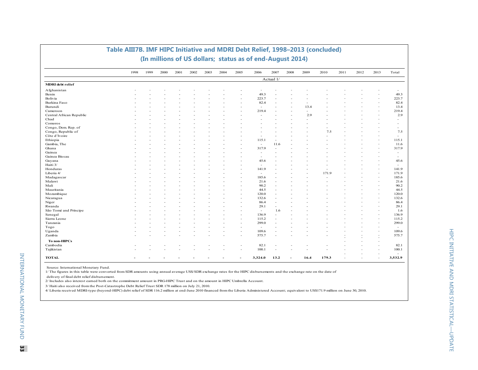|                          | 1998 | 1999 | 2000 | 2001 | 2002 | 2003 | 2004 | 2005                     | 2006                     | 2007      | 2008 | 2009 | 2010  | 2011 | 2012 | 2013 | Total                    |
|--------------------------|------|------|------|------|------|------|------|--------------------------|--------------------------|-----------|------|------|-------|------|------|------|--------------------------|
|                          |      |      |      |      |      |      |      |                          |                          | Actual 1/ |      |      |       |      |      |      |                          |
| <b>MDRI</b> debt relief  |      |      |      |      |      |      |      |                          |                          |           |      |      |       |      |      |      |                          |
| Afghanistan              |      |      |      |      |      |      |      |                          |                          |           |      |      |       |      |      |      |                          |
| Benin                    |      |      |      |      |      |      |      |                          | 49.3                     |           |      |      |       |      |      |      | 49.3                     |
| Bolivia                  |      |      |      |      |      |      |      |                          | 223.7                    |           |      |      |       |      |      |      | 223.7                    |
| Burkina Faso             |      |      |      |      |      |      |      |                          | 82.4                     |           |      |      |       |      |      |      | 82.4                     |
| Burundi                  |      |      |      |      |      |      |      |                          | ÷.                       |           |      | 13.4 |       |      |      |      | 13.4                     |
| Cameroon                 |      |      |      |      |      |      |      |                          | 219.4                    |           |      | ۰    |       |      |      |      | 219.4                    |
| Central African Republic |      |      |      |      |      |      |      |                          |                          |           |      | 2.9  |       |      |      |      | 2.9                      |
| Chad                     |      |      |      |      |      |      |      |                          |                          |           |      |      |       |      |      |      |                          |
| Comoros                  |      |      |      |      |      |      |      |                          |                          |           |      |      |       |      |      |      |                          |
| Congo, Dem. Rep. of      |      |      |      |      |      |      |      |                          |                          |           |      |      |       |      |      |      |                          |
| Congo, Republic of       |      |      |      |      |      |      |      |                          |                          |           |      |      | 7.5   |      |      |      | 7.5                      |
| Côte d'Ivoire            |      |      |      |      |      |      |      |                          |                          |           |      |      |       |      |      |      | $\overline{\phantom{a}}$ |
| Ethiopia                 |      |      |      |      |      |      |      |                          | 115.1                    | $\sim$    |      |      |       |      |      |      | 115.1                    |
| Gambia, The              |      |      |      |      |      |      |      |                          | $\sim$                   | 11.6      |      |      |       |      |      |      | 11.6                     |
| Ghana                    |      |      |      |      |      |      |      |                          | 317.9                    | ÷.        |      |      |       |      |      |      | 317.9                    |
| Guinea                   |      |      |      |      |      |      |      |                          | ٠                        |           |      |      |       |      |      |      | $\overline{\phantom{a}}$ |
| Guinea Bissau            |      |      |      |      |      |      |      |                          | $\sim$                   |           |      |      |       |      |      |      | $\overline{\phantom{a}}$ |
| Guyana                   |      |      |      |      |      |      |      |                          | 45.6                     |           |      |      |       |      |      |      | 45.6                     |
| Haiti 3/                 |      |      |      |      |      |      |      |                          | $\overline{\phantom{a}}$ |           |      |      |       |      |      |      | $\overline{\phantom{a}}$ |
| Honduras                 |      |      |      |      |      |      |      |                          | 141.9                    |           |      |      |       |      |      |      | 141.9                    |
| Liberia 4/               |      |      |      |      |      |      |      |                          | $\sim$                   |           |      |      | 171.9 |      |      |      | 171.9                    |
| Madagascar               |      |      |      |      |      |      |      |                          | 185.6                    | ٠         |      |      |       |      |      |      | 185.6                    |
| Malawi                   |      |      |      |      |      |      |      |                          | 21.6                     |           |      |      |       |      |      |      | 21.6                     |
| Mali                     |      |      |      |      |      |      |      |                          | 90.2                     | ٠         |      |      |       |      |      |      | 90.2                     |
| Mauritania               |      |      |      |      |      |      |      |                          | 44.5                     |           |      |      |       |      |      |      | 44.5                     |
| Mozambique               |      |      |      |      |      |      |      |                          | 120.0                    | ٠         |      |      |       |      |      |      | 120.0                    |
| Nicaragua                |      |      |      |      |      |      |      |                          | 132.6                    | ٠         |      |      |       |      |      |      | 132.6                    |
| Niger                    |      |      |      |      |      |      |      |                          | 86.4                     | $\sim$    |      |      |       |      |      |      | 86.4                     |
| Rwanda                   |      |      |      |      |      |      |      |                          | 29.1                     | ä,        |      |      |       |      |      |      | 29.1                     |
| São Tomé and Príncipe    |      |      |      |      |      |      |      |                          | $\sim$                   | 1.6       |      |      |       |      |      |      | 1.6                      |
| Senegal                  |      |      |      |      |      |      |      |                          | 136.9                    | ä,        |      |      |       |      |      |      | 136.9                    |
| Sierra Leone             |      |      |      |      |      |      |      |                          | 115.2                    |           |      |      |       |      |      |      | 115.2                    |
| Tanzania                 |      |      |      |      |      |      |      |                          | 299.0                    |           |      |      |       |      |      |      | 299.0                    |
| Togo                     |      |      |      |      |      |      |      |                          | i.                       |           |      |      |       |      |      |      | $\overline{\phantom{a}}$ |
| Uganda                   |      |      |      |      |      |      |      | $\overline{\phantom{a}}$ | 109.6                    | ٠         |      |      |       |      |      |      | 109.6                    |
| Zambia                   |      |      |      |      |      |      |      | ۰                        | 575.7                    |           |      |      |       |      |      |      | 575.7                    |
|                          |      |      |      |      |      |      |      |                          |                          |           |      |      |       |      |      |      |                          |
| To non-HIPCs             |      |      |      |      |      |      |      |                          |                          |           |      |      |       |      |      |      |                          |
| Cambodia                 |      |      |      |      |      |      |      |                          | 82.1                     |           |      |      |       |      |      |      | 82.1                     |
| Tajikistan               |      |      |      |      |      |      |      |                          | 100.1                    | ٠         |      |      |       |      |      |      | 100.1                    |
| <b>TOTAL</b>             |      |      |      |      |      |      |      |                          | 3,324.0                  | 13.2      |      | 16.4 | 179.3 |      |      |      | 3,532.9                  |

#### **Table AIII7B. IMF HIPC Initiative and MDRI Debt Relief, 1998–2013 (concluded) (In millions of US dollars; status as of end-August 2014)**

Source: International Monetary Fund.

1/ The figures in this table were converted from SDR amounts using annual average US\$/SDR exchange rates for the HIPC disbursements and the exchange rate on the date of

delivery of final debt relief disbursement.

2/ Includes also interest earned both on the commitment amount in PRG-HIPC Trust and on the amount in HIPC Umbrella Account.

3/ Haiti also received from the Post-Catastrophe Debt Relief Trust SDR 178 million on July 21, 2010.

4/ Liberia received MDRI-type (beyond-HIPC) debt relief of SDR 116.2 million at end-June 2010 financed from the Liberia Administered Account; equivalent to US\$171.9 million on June 30, 2010.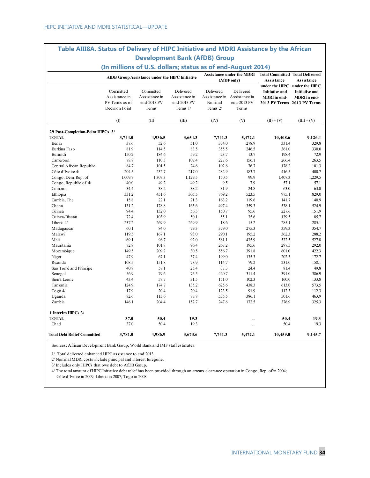### **Table AIII8A. Status of Delivery of HIPC Initiative and MDRI Assistance by the African Development Bank (AfDB) Group**

|                                    | (In millions of U.S. dollars; status as of end-August 2014)    |                                                    |                                                       |                                                                 |                                                 |                                                                                                       |                                              |
|------------------------------------|----------------------------------------------------------------|----------------------------------------------------|-------------------------------------------------------|-----------------------------------------------------------------|-------------------------------------------------|-------------------------------------------------------------------------------------------------------|----------------------------------------------|
|                                    |                                                                | AfDB Group Assistance under the HIPC Initiative    |                                                       |                                                                 | <b>Assistance under the MDRI</b><br>(AfDF only) | <b>Total Committed Total Delivered</b><br><b>Assistance</b>                                           | <b>Assistance</b>                            |
|                                    | Committed<br>Assistance in<br>PV Terms as of<br>Decision Point | Committed<br>Assistance in<br>end-2013 PV<br>Terms | Delivered<br>Assistance in<br>end-2013 PV<br>Terms 1/ | Delivered<br>Assistance in Assistance in<br>Nominal<br>Terms 2/ | Delivered<br>end-2013 PV<br>Terms               | under the HIPC under the HIPC<br><b>Initiative and</b><br>MDRI in end-<br>2013 PV Terms 2013 PV Terms | <b>Initiative and</b><br><b>MDRI</b> in end- |
|                                    | (1)                                                            | (II)                                               | (III)                                                 | (IV)                                                            | (V)                                             | $(II) + (V)$                                                                                          | $(III) + (V)$                                |
| 29 Post-Completion-Point HIPCs 3/  |                                                                |                                                    |                                                       |                                                                 |                                                 |                                                                                                       |                                              |
| <b>TOTAL</b>                       | 3,744.0                                                        | 4,936.5                                            | 3,654.3                                               | 7,741.3                                                         | 5,472.1                                         | 10,408.6                                                                                              | 9,126.4                                      |
| Benin                              | 37.6                                                           | 52.6                                               | 51.0                                                  | 374.0                                                           | 278.9                                           | 331.4                                                                                                 | 329.8                                        |
| Burkina Faso                       | 81.9                                                           | 114.5                                              | 83.5                                                  | 355.5                                                           | 246.5                                           | 361.0                                                                                                 | 330.0                                        |
| Burundi                            | 150.2                                                          | 184.6                                              | 59.2                                                  | 23.7                                                            | 13.7                                            | 198.4                                                                                                 | 72.9                                         |
| Cameroon                           | 78.8                                                           | 110.3                                              | 107.4                                                 | 227.6                                                           | 156.1                                           | 266.4                                                                                                 | 263.5                                        |
| Central African Republic           | 84.7                                                           | 101.5                                              | 24.6                                                  | 102.6                                                           | 76.7                                            | 178.2                                                                                                 | 101.3                                        |
| Côte d'Ivoire 4/                   | 204.5                                                          | 232.7                                              | 217.0                                                 | 282.9                                                           | 183.7                                           | 416.5                                                                                                 | 400.7                                        |
| Congo, Dem. Rep. of                | 1,009.7                                                        | 1,307.3                                            | 1,129.5                                               | 150.5                                                           | 99.9                                            | 1,407.3                                                                                               | 1,229.5                                      |
| Congo, Republic of 4/              | 40.0                                                           | 49.2                                               | 49.2                                                  | 9.5                                                             | 7.9                                             | 57.1                                                                                                  | 57.1                                         |
| Comoros                            | 34.4                                                           | 38.2                                               | 38.2                                                  | 31.9                                                            | 24.8                                            | 63.0                                                                                                  | 63.0                                         |
| Ethiopia                           | 331.2                                                          | 451.6                                              | 305.5                                                 | 769.2                                                           | 523.5                                           | 975.1                                                                                                 | 829.0                                        |
| Gambia, The                        | 15.8                                                           | 22.1                                               | 21.3                                                  | 163.2                                                           | 119.6                                           | 141.7                                                                                                 | 140.9                                        |
| Ghana                              | 131.2                                                          | 178.8                                              | 165.6                                                 | 497.4                                                           | 359.3                                           | 538.1                                                                                                 | 524.9                                        |
| Guinea                             | 94.4                                                           | 132.0                                              | 56.3                                                  | 150.7                                                           | 95.6                                            | 227.6                                                                                                 | 151.9                                        |
| Guinea-Bissau                      | 72.4                                                           | 103.9                                              | 50.1                                                  | 55.1                                                            | 35.6                                            | 139.5                                                                                                 | 85.7                                         |
| Liberia 4/                         | 237.2                                                          | 269.9                                              | 269.9                                                 | 18.6                                                            | 15.2                                            | 285.1                                                                                                 | 285.1                                        |
| Madagascar                         | 60.1                                                           | 84.0                                               | 79.3                                                  | 379.0                                                           | 275.3                                           | 359.3                                                                                                 | 354.7                                        |
| Malawi                             | 119.5                                                          | 167.1                                              | 93.0                                                  | 290.1                                                           | 195.2                                           | 362.3                                                                                                 | 288.2                                        |
| Mali                               | 69.1                                                           | 96.7                                               | 92.0                                                  | 581.1                                                           | 435.9                                           | 532.5                                                                                                 | 527.8                                        |
| Mauritania                         | 72.8                                                           | 101.8                                              | 96.4                                                  | 267.2                                                           | 195.6                                           | 297.5                                                                                                 | 292.0                                        |
| Mozambique                         | 149.5                                                          | 209.2                                              | 30.5                                                  | 556.7                                                           | 391.8                                           | 601.0                                                                                                 | 422.3                                        |
| Niger                              | 47.9                                                           | 67.1                                               | 37.4                                                  | 199.0                                                           | 135.3                                           | 202.3                                                                                                 | 172.7                                        |
| Rwanda                             | 108.5                                                          | 151.8                                              | 78.9                                                  | 114.7                                                           | 79.2                                            | 231.0                                                                                                 | 158.1                                        |
| São Tomé and Príncipe              | 40.8                                                           | 57.1                                               | 25.4                                                  | 37.3                                                            | 24.4                                            | 81.4                                                                                                  | 49.8                                         |
| Senegal                            | 56.9                                                           | 79.6                                               | 75.5                                                  | 420.7                                                           | 311.4                                           | 391.0                                                                                                 | 386.9                                        |
| Sierra Leone                       | 43.4                                                           | 57.7                                               | 31.5                                                  | 151.0                                                           | 102.3                                           | 160.0                                                                                                 | 133.8                                        |
| Tanzania                           | 124.9                                                          | 174.7                                              | 135.2                                                 | 625.6                                                           | 438.3                                           | 613.0                                                                                                 | 573.5                                        |
| Togo $4/$                          | 17.9                                                           | 20.4                                               | 20.4                                                  | 123.5                                                           | 91.9                                            | 112.3                                                                                                 | 112.3                                        |
| Uganda                             | 82.6                                                           | 115.6                                              | 77.8                                                  | 535.5                                                           | 386.1                                           | 501.6                                                                                                 | 463.9                                        |
| Zambia                             | 146.1                                                          | 204.4                                              | 152.7                                                 | 247.6                                                           | 172.5                                           | 376.9                                                                                                 | 325.3                                        |
| 1 Interim HIPCs 3/                 |                                                                |                                                    |                                                       |                                                                 |                                                 |                                                                                                       |                                              |
| <b>TOTAL</b>                       | 37.0                                                           | 50.4                                               | 19.3                                                  |                                                                 |                                                 | 50.4                                                                                                  | 19.3                                         |
| Chad                               | 37.0                                                           | 50.4                                               | 19.3                                                  |                                                                 |                                                 | 50.4                                                                                                  | 19.3                                         |
| <b>Total Debt Relief Committed</b> | 3,781.0                                                        | 4,986.9                                            | 3,673.6                                               | 7,741.3                                                         | 5,472.1                                         | 10,459.0                                                                                              | 9,145.7                                      |

Sources: African Development Bank Group, World Bank and IMF staff estimates.

1/ Total delivered enhanced HIPC assistance to end 2013.

2/ Nominal MDRI costs include principal and interest foregone.

3/ Includes only HIPCs that owe debt to AfDB Group.

4/ The total amount of HIPC Initiative debt relief has been provided through an arrears clearance operation in Congo, Rep. of in 2004; Côte d'Ivoire in 2009; Liberia in 2007; Togo in 2008.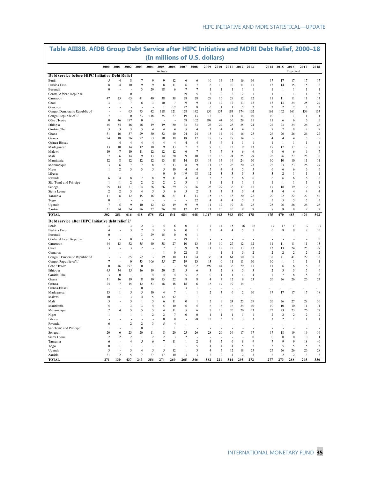|                                                            |                         |                      |                         |                      |                         |                         |                      |                                  |                     | (In millions of U.S. dollars)    |                     |                         |                         |                |                      |                         |                          |                    |                          |
|------------------------------------------------------------|-------------------------|----------------------|-------------------------|----------------------|-------------------------|-------------------------|----------------------|----------------------------------|---------------------|----------------------------------|---------------------|-------------------------|-------------------------|----------------|----------------------|-------------------------|--------------------------|--------------------|--------------------------|
|                                                            | 2000                    | 2001                 | 2002                    | 2003                 | 2004                    | 2005<br>Actuals         | 2006                 | 2007                             | 2008                | 2009                             | 2010                |                         | 2011 2012 2013          |                |                      | 2014 2015               | 2016<br>Projected        | 2017               | 2018                     |
| Debt service before HIPC Initiative Debt Relief            |                         |                      |                         |                      |                         |                         |                      |                                  |                     |                                  |                     |                         |                         |                |                      |                         |                          |                    |                          |
| Benin                                                      | 5                       | $\overline{A}$       | 8                       | $\overline{7}$       | 9                       | 9                       | 12                   | 6                                | 6                   | 10                               | 14                  | 15                      | 16                      | 16             | 17                   | 17                      | 17                       | 17                 | 17                       |
| Burkina Faso                                               | $\,$ 8 $\,$             | $\overline{4}$       | 10                      | 9                    | 9                       | 8                       | 11                   | 6                                | $\tau$              | 8                                | 10                  | $10\,$                  | 11                      | 11             | 13                   | 14                      | 15                       | 15                 | 16                       |
| Burundi                                                    | $\boldsymbol{0}$        |                      |                         | 3                    | 29                      | 18                      | 6                    | $\overline{7}$                   | 7                   | $\mathbf{1}$                     | 1                   | $\mathbf{1}$            | $\mathbf{1}$            | $\mathbf{1}$   | 1                    | 1                       | $\mathbf{I}$             | $\mathbf{1}$       | 1                        |
| Central African Republic                                   |                         |                      | $\bf{0}$                |                      |                         |                         |                      | 49                               | 5                   | 3                                | $\overline{c}$      | $\overline{2}$          | $\overline{2}$          | 1              | 1                    | 1                       | $\mathbf{1}$             | $\mathbf{1}$       | 5                        |
| Cameroon                                                   | 47                      | 25                   | 63                      | 41                   | 40                      | 38                      | 38                   | 28                               | 28                  | 29                               | 16                  | 29                      | 12                      | 12             | 11                   | 11                      | 11                       | 11                 | 13                       |
| Chad                                                       | $\mathbf{3}$            | -1                   | 7                       | 6                    | 3                       | 10                      | $7\phantom{.0}$      | $\overline{9}$                   | $\mathbf{Q}$        | 11                               | 12                  | 12                      | 13                      | 13             | 13                   | 13                      | 24                       | 25                 | 27                       |
| Comoros                                                    |                         |                      |                         |                      |                         | $\mathbf{1}$            | 0.2                  | 22                               | 8                   | 6                                | $\mathbf{1}$        | $\mathbf{1}$            | 5                       | $\overline{2}$ | $\overline{2}$       | $\overline{2}$          | $\overline{2}$           | $\overline{2}$     | $\overline{c}$           |
| Congo, Democratic Republic of                              |                         |                      | 65                      | 73                   | 42                      | 118                     | 121                  | 128                              | 142                 | 156                              | 153                 | 184                     | 174                     | 162            | 161                  | 162                     | 161                      | 139                | 133                      |
| Congo, Republic of 1/                                      | $\overline{7}$          |                      | $\bf{0}$                | 33                   | 148                     | 55                      | 27                   | 19                               | 13                  | 13                               | $\boldsymbol{0}$    | 11                      | 11                      | 10             | 10                   | $\mathbf{1}$            | $\mathbf{1}$             | $\mathbf{1}$       | $\mathbf{1}$             |
| Côte d'Ivoire                                              | $\boldsymbol{0}$        | 46                   | 197                     | $\boldsymbol{0}$     | 1                       |                         |                      | 58                               | 102                 | 598                              | 44                  | 36                      | 29                      | 11             | 11                   | 6                       | 6                        | 6                  | 6                        |
| Ethiopia                                                   | 45                      | 34                   | 46                      | 46                   | 49                      | 49                      | 50                   | 33                               | 33                  | 23                               | 22                  | 28                      | 25                      | 24             | 22                   | 23                      | 24                       | 26                 | 26                       |
| Gambia, The                                                | 3                       | 3                    | $\overline{\mathbf{3}}$ | 3                    | $\overline{4}$          | $\overline{4}$          | $\overline{4}$       | 5                                | $\overline{4}$      | 3                                | $\overline{4}$      | $\overline{4}$          | $\overline{4}$          | 5              | $\overline{7}$       | $\overline{7}$          | 8                        | 8                  | 8                        |
| Ghana                                                      | 31                      | 16                   | 37                      | 29                   | 30                      | 32                      | 40                   | 24                               | 24                  | 15                               | 14                  | 19                      | 16                      | 25             | 26                   | 26                      | 26                       | 26                 | 27                       |
| Guinea                                                     | 24                      | 18                   | 26                      | 22                   | 53                      | 18                      | 18                   | 18                               | 17                  | 18                               | 17                  | 19                      | 14                      | 5              | $\overline{4}$       | $\overline{4}$          | $\overline{4}$           | 5                  | 5                        |
| Guinea-Bissau                                              | 13                      | $\overline{4}$<br>10 | $\overline{4}$<br>14    | $\overline{4}$<br>12 | $\overline{4}$<br>10    | $\overline{4}$<br>9     | $\overline{4}$<br>13 | $\overline{4}$<br>$\overline{7}$ | $\overline{4}$<br>7 | 5<br>9                           | 6<br>10             | $\mathbf{1}$<br>13      | $\mathbf{1}$<br>9       | 1<br>13        | 1<br>17              | $\mathbf{1}$<br>17      | $\mathbf{I}$<br>17       | $\mathbf{1}$<br>17 | $\mathbf{1}$<br>18       |
| Madagascar                                                 | 10                      | $\overline{7}$       | 10                      | 11                   | 12                      | 12                      | 12                   |                                  | $\overline{7}$      | $\overline{7}$                   | $\tau$              | $\,$ 8 $\,$             |                         | 6              |                      |                         | 6                        |                    | $\overline{7}$           |
| Malawi<br>Mali                                             | $\overline{7}$          | 6                    | 14                      | 9                    | 13                      | 14                      | 20                   | 6<br>9                           | 10                  | 12                               | 16                  | 24                      | 6<br>25                 | 29             | 6<br>26              | 6<br>26                 | 27                       | 6<br>28            | 30                       |
| Mauritania                                                 | 12                      | 8                    | 12                      | 12                   | 12                      | 13                      | 18                   | 14                               | 13                  | 14                               | 14                  | 19                      | 24                      | 10             | 10                   | 10                      | 10                       | 11                 | 11                       |
| Mozambique                                                 | $\overline{\mathbf{3}}$ | 6                    | $\overline{7}$          | $\overline{7}$       | 8                       | $\overline{7}$          | 13                   | 8                                | 9                   | 11                               | 13                  | 26                      | 20                      | 23             | 22                   | 23                      | 23                       | 26                 | 27                       |
| Niger                                                      | 1                       | $\overline{2}$       | 3                       | 3                    | 5                       | 5                       | 10                   | $\overline{4}$                   | $\overline{4}$      | 5                                | 4                   | $\overline{4}$          | 5                       | 5              | 6                    | 6                       | 6                        | 6                  | 6                        |
| Liberia                                                    |                         |                      |                         |                      |                         | $\bf{0}$                | $\mathbf{0}$         | 149                              | 98                  | 12                               | 3                   | 3                       | 3                       | 3              | 3                    | $\overline{c}$          | $\mathbf{1}$             | 1                  | $\mathbf{1}$             |
| Rwanda                                                     | 6                       | $\overline{4}$       | 8                       | $\overline{7}$       | 8                       | 9                       | 11                   | $\overline{4}$                   | $\overline{4}$      | 5                                | 5                   | 5                       | 6                       | 6              | 6                    | 6                       | 6                        | 6                  | 6                        |
| São Tomé and Príncipe                                      | $\mathbf{1}$            | $\mathbf{1}$         | $\overline{2}$          | $\overline{2}$       | $\overline{c}$          | $\overline{2}$          | $\overline{2}$       | $\overline{\mathbf{3}}$          | $\mathbf{1}$        | $\mathbf{1}$                     | $\mathbf{1}$        | $\mathbf{I}$            | $\overline{1}$          | 1              | $\mathbf{1}$         | 1                       | -1                       | -1                 | 1                        |
| Senegal                                                    | 25                      | 14                   | 31                      | 24                   | 26                      | 26                      | 29                   | 25                               | 26                  | 28                               | 29                  | 36                      | 17                      | 17             | 17                   | 18                      | 19                       | 19                 | 19                       |
| Sierra Leone                                               | $\overline{2}$          | $\overline{c}$       | $\overline{\mathbf{3}}$ | $\overline{4}$       | 5                       | 5                       | 6                    | 5                                | $\overline{2}$      | 3                                | $\mathfrak{Z}$      | $\overline{\mathbf{3}}$ | $\overline{\mathbf{3}}$ | $\overline{4}$ | $\overline{4}$       | $\overline{4}$          | $\overline{4}$           | $\overline{4}$     | $\overline{4}$           |
| Tanzania                                                   | 11                      | 8                    | 12                      | 15                   | 16                      | 16                      | 21                   | 11                               | 13                  | 15                               | 16                  | 18                      | 20                      | 22             | 20                   | 22                      | 22                       | 27                 | 40                       |
| Togo                                                       | $\theta$                | -1                   |                         |                      |                         |                         |                      |                                  | 22                  | $\overline{4}$                   | $\overline{4}$      | $\overline{4}$          | 5                       | 5              | 5                    | 5                       | 5                        | 5                  | 5                        |
| Uganda                                                     | $\overline{7}$          | 5                    | 9                       | 10                   | 12                      | 12                      | 19                   | 9                                | 9                   | 11                               | 12                  | 19                      | 21                      | 25             | 25                   | 26                      | $26\,$                   | 26                 | $28\,$                   |
| Zambia                                                     | 31                      | 24                   | 24                      | 26                   | 27                      | 26                      | 28                   | 17                               | 12                  | 11                               | 10                  | 10                      | 9                       | 9              | 8                    | 8                       | $\,$ 8 $\,$              | 9                  | 9                        |
| <b>TOTAL</b>                                               | 302                     | 251                  | 616                     | 418                  | 578                     | 521                     | 541                  | 684                              | 648                 | 1,047                            | 463                 | 563                     | 507                     | 478            | 475                  | 470                     | 483                      | 476                | 502                      |
| Debt service after HIPC Initiative debt relief 2/<br>Benin | 3                       |                      | 3                       | $\overline{2}$       | 3                       | $\overline{4}$          | 6                    | $\bf{0}$                         | $\mathbf{1}$        | $\overline{7}$                   | 14                  | 15                      | 16                      | 16             | 17                   | 17                      | 17                       | 17                 | 17                       |
| Burkina Faso                                               | $\overline{4}$          |                      | 3                       | $\overline{2}$       | $\overline{\mathbf{3}}$ | $\overline{\mathbf{3}}$ | 6                    | $\mathbf{0}$                     | $\mathbf{1}$        | $\boldsymbol{2}$                 | $\overline{4}$      | $\overline{4}$          | 5                       | 5              | 6                    | 8                       | 9                        | 9                  | 10                       |
| Burundi                                                    | $\boldsymbol{0}$        |                      |                         | 3                    | 29                      | 15                      | $\boldsymbol{0}$     | $\bf{0}$                         | $\mathbf{1}$        | ÷,                               |                     |                         |                         |                |                      |                         |                          |                    |                          |
| Central African Republic                                   |                         |                      | $\bf{0}$                |                      |                         |                         |                      | 49                               | $\mathbf{I}$        |                                  |                     |                         |                         |                |                      |                         |                          |                    | $\boldsymbol{0}$         |
| Cameroon                                                   | 44                      | 13                   | 52                      | 35                   | 40                      | 38                      | 27                   | 10                               | 13                  | 15                               | 10                  | 27                      | 12                      | 12             | 11                   | 11                      | 11                       | 11                 | 13                       |
| Chad                                                       | 3                       |                      | 3                       | $\overline{c}$       | L.                      | $\overline{7}$          | $7\phantom{.0}$      | $\mathbf{Q}$                     | $\mathbf{Q}$        | 11                               | 12                  | 12                      | 13                      | 13             | 13                   | 13                      | 24                       | 25                 | 27                       |
| Comoros                                                    |                         |                      |                         | J.                   |                         | 1                       | $\boldsymbol{0}$     | $\mathcal{D}$                    | $\,$ 8 $\,$         | $\overline{a}$                   | 1                   | $\mathbf{1}$            | 5                       | 2              | $\overline{2}$       | $\mathcal{D}$           | $\mathcal{D}$            | $\overline{2}$     | $\overline{c}$           |
| Congo, Democratic Republic of                              |                         |                      | 65                      | 72                   |                         | 19                      | 10                   | 13                               | 24                  | 36                               | 31                  | 61                      | 50                      | 38             | 38                   | 41                      | 41                       | 29                 | 32                       |
| Congo, Republic of 1/                                      | $\overline{7}$          |                      | $\mathbf{0}$            | 33                   | 106                     | 55                      | 27                   | 19                               | 13                  | 13                               | $\boldsymbol{0}$    | 11                      | 11                      | 10             | 10                   | -1                      | -1                       | $\mathbf{1}$       | $\mathbf{1}$             |
| Côte d'Ivoire                                              | $\boldsymbol{0}$        | 46                   | 197                     | $\mathbf{0}$         | -1                      |                         |                      | 58                               | 102                 | 399                              | 44                  | 36                      | 29                      | 11             | 11                   | 6                       | 6                        | 6                  | 6                        |
| Ethiopia                                                   | 45                      | 34                   | 15                      | 16                   | 19                      | 20                      | 21                   | 5                                | 6                   | 3                                | $\overline{c}$      | 8                       | 5                       | 3              | $\overline{2}$       | 3                       | 3                        | 5                  | 6                        |
| Gambia, The                                                | 3                       | $\boldsymbol{0}$     | $\mathbf{1}$            | $\mathbf{I}$         | $\overline{4}$          | $\overline{4}$          | $\overline{4}$       | 5                                | $\overline{2}$      | $\mathbf{0}$                     | $\mathbf{1}$        | $\mathbf{I}$            | $\mathbf{1}$            | $\overline{4}$ | $\overline{7}$       | 7                       | 8                        | 8                  | 8                        |
| Ghana                                                      | 31                      | 16                   | 19                      | 8                    | 10                      | 13                      | 22                   | 8                                | 8                   | $\overline{4}$                   | $\overline{7}$      | 12                      | 9                       | 23             | 26                   | 26                      | 26                       | 26                 | 27                       |
| Guinea                                                     | 24                      | $\tau$               | 15                      | 12                   | 53                      | 18                      | 18                   | 18                               | 6                   | 18                               | 17                  | 19                      | 14                      |                |                      |                         |                          |                    |                          |
| Guinea-Bissau                                              |                         |                      |                         | $\bf{0}$             | $\mathbf{1}$            | 1                       | $\mathbf{1}$         | 3                                | $\mathbf{1}$        |                                  |                     |                         |                         |                |                      |                         |                          |                    |                          |
| Madagascar                                                 | 13                      | $\mathbf{1}$         | 5                       | 5                    | 10                      | $\overline{4}$          | $\tau$               | $\mathbf{1}$                     | $\mathbf{1}$        | $\overline{c}$                   | 3                   | 6                       | $\overline{2}$          | 10             | 17                   | 17                      | 17                       | 17                 | 18                       |
| Malawi                                                     | 10                      |                      | 3                       | 4                    | 5                       | 12                      | 12                   |                                  |                     |                                  |                     |                         |                         |                |                      |                         |                          |                    |                          |
| Mali                                                       | 5                       |                      | 5                       | $\mathbf{1}$         | 5                       | 6                       | 11                   | $\boldsymbol{0}$                 | 1                   | $\overline{c}$                   | 9                   | 24                      | 25                      | 29             | 26                   | 26                      | 27                       | 28                 | 30                       |
| Mauritania                                                 | 5                       |                      | 3                       | 3                    | $\overline{4}$          | 5                       | 10                   | 6                                | 5                   | 6                                | 6                   | 16                      | 24                      | 10             | 10                   | 10                      | 10                       | 11                 | 11                       |
| Mozambique                                                 | $\mathfrak{D}$          | $\overline{4}$       | 5                       | 5                    | 5                       | $\overline{4}$          | 11                   | 5                                | 6                   | $\tau$                           | 10                  | 26                      | 20                      | 23             | 22                   | 23                      | 23                       | 26                 | 27                       |
| Niger                                                      | 1                       |                      | 1                       | $\mathbf{I}$         | $\overline{2}$          | $\overline{2}$          | $\overline{7}$       | $\mathbf{0}$                     | $\mathbf{0}$        | $\mathbf{1}$                     | 1                   | $\mathbf{I}$            | $\mathbf{I}$            | 1              | $\overline{2}$       | $\overline{2}$          | $\overline{2}$           | $\overline{2}$     | $\overline{c}$           |
| Liberia                                                    |                         |                      |                         |                      |                         | $\bf{0}$                | $\boldsymbol{0}$     |                                  | 98                  | 12                               | 3                   | 3                       | 3                       | 3              | 3                    | $\overline{\mathbf{c}}$ | $\mathbf{1}$             | 1                  | $\mathbf{1}$             |
| Rwanda                                                     | 6                       |                      | $\overline{c}$          | $\overline{2}$       | 3                       | 5                       | $\overline{4}$       |                                  |                     |                                  |                     |                         |                         |                |                      |                         |                          |                    |                          |
| São Tomé and Príncipe                                      | $\mathbf{1}$            |                      | $\mathbf{1}$            | $\mathbf{0}$         | $\mathbf{1}$            | $\mathbf{1}$            | $\mathbf{1}$         | $\mathbf{1}$                     |                     |                                  |                     |                         |                         |                |                      |                         |                          |                    |                          |
| Senegal                                                    | 20                      | 6                    | 23                      | 20                   | 11                      | 8                       | 20                   | 25                               | 26                  | $28\,$                           | 29                  | 36                      | 17                      | 17             | 17                   | 18                      | 19                       | 19                 | 19                       |
| Sierra Leone                                               | $\overline{2}$          | $\overline{c}$       | $\overline{2}$          | $\mathbf{1}$         | $\overline{2}$          | $\overline{2}$          | 3                    | $\overline{2}$                   |                     |                                  |                     |                         |                         | $\bf{0}$       | $\boldsymbol{0}$     | $\bf{0}$                | $\boldsymbol{0}$         | $\boldsymbol{0}$   | $\mathbf{1}$             |
| Tanzania                                                   | 6                       |                      | $\overline{4}$          | 5                    | 6                       | $\overline{7}$          | 11                   | $\mathbf{1}$                     | $\overline{2}$      | $\overline{4}$                   | 5                   | 6                       | 8                       | 9              | $\overline{7}$       | 9                       | $\mathbf{Q}$             | 18                 | 40                       |
| Togo                                                       | $\mathbf{0}$            | $\mathbf{1}$         |                         | $\overline{A}$       |                         |                         |                      |                                  | 5                   | $\overline{4}$                   | $\overline{4}$      | $\overline{4}$          | 5                       | 5              | 5                    | 5                       | 5                        | 5                  | 5                        |
| Uganda<br>Zambia                                           | 3<br>31                 | $\overline{c}$       | 3<br>5                  | $\overline{7}$       | 5<br>27                 | 5<br>17                 | 12<br>10             | $\mathbf{l}$<br>3                | 3<br>3              | $\overline{4}$<br>$\overline{2}$ | 5<br>$\overline{c}$ | 12<br>$\overline{4}$    | 18<br>$\overline{2}$    | 25<br>3        | 25<br>$\overline{2}$ | 26<br>$\overline{c}$    | $26\,$<br>$\overline{2}$ | 26<br>3            | $28\,$<br>$\mathfrak{Z}$ |
|                                                            |                         |                      |                         |                      |                         |                         |                      |                                  |                     |                                  |                     |                         |                         |                |                      |                         |                          |                    |                          |

# **Table AIII8B. AfDB Group Debt Service after HIPC Initiative and MDRI Debt Relief, 2000–18**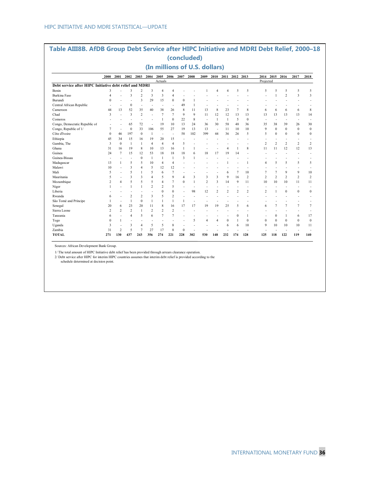|                                                         |                |                |                         |                |                |                               |                          |                   | (concluded)              |                |                    |                    |                |                |                          |                |                          |                          |                |
|---------------------------------------------------------|----------------|----------------|-------------------------|----------------|----------------|-------------------------------|--------------------------|-------------------|--------------------------|----------------|--------------------|--------------------|----------------|----------------|--------------------------|----------------|--------------------------|--------------------------|----------------|
|                                                         |                |                |                         |                |                | (In millions of U.S. dollars) |                          |                   |                          |                |                    |                    |                |                |                          |                |                          |                          |                |
|                                                         | 2000           | 2001           | 2002                    | 2003           | 2004           | 2005                          | 2006                     | 2007              | 2008                     | 2009           | 2010               |                    | 2011 2012 2013 |                | 2014                     | 2015           | 2016                     | 2017                     | 2018           |
| Debt service after HIPC Initiative debt relief and MDRI |                |                |                         |                |                | Actuals                       |                          |                   |                          |                |                    |                    |                |                | Projected                |                |                          |                          |                |
|                                                         |                |                |                         |                |                |                               |                          |                   |                          |                |                    |                    |                |                |                          |                |                          |                          |                |
| Benin                                                   | 3              |                | 3                       | $\overline{c}$ | 3              | $\overline{A}$                | $\overline{4}$           |                   |                          |                | $\overline{A}$     | $\overline{A}$     | 5              | 5              | 5                        | 5              | 5                        | 5                        | 5              |
| <b>Burkina Faso</b>                                     | 4              |                | 3                       | $\overline{c}$ | 3              | 3                             | $\overline{4}$           |                   |                          |                |                    |                    |                |                |                          | 1              | $\overline{2}$           | 3                        | 3              |
| Burundi                                                 | $\mathbf{0}$   |                |                         | 3              | 29             | 15                            | $\mathbf{0}$             | $\mathbf{0}$      | 1                        |                |                    |                    |                |                |                          |                |                          |                          |                |
| Central African Republic                                |                |                | $\mathbf{0}$            | ٠              | $\blacksquare$ |                               | $\blacksquare$           | 49                | 1                        |                |                    |                    |                |                |                          |                |                          |                          |                |
| Cameroon<br>Chad                                        | 44             | 13             | 52                      | 35             | 40             | 38                            | 26                       | 8<br>$\mathbf{Q}$ | 11                       | 13             | 8                  | 23                 | 7              | 8              | 6                        | 6              | 6                        | 6                        | 8              |
|                                                         | 3              |                | 3                       | $\overline{2}$ | ٠              | $\overline{7}$                | $\overline{7}$           | 22                | 9                        | 11             | 12<br>$\mathbf{1}$ | 12<br>$\mathbf{1}$ | 13             | 13             | 13                       | 13             | 13                       | 13                       | 14             |
| Comoros                                                 |                | ۰              | $\overline{a}$          | ÷              | ä,             | 1                             | $\theta$                 |                   | 8                        | $\sim$         |                    |                    | 5              | $\mathbf{0}$   | $\overline{\phantom{a}}$ | ÷,             | ÷                        | ÷                        | ÷,             |
| Congo, Democratic Republic of                           | $\blacksquare$ |                | 65                      | 72             | ÷,             | 19                            | 10                       | 13                | 24                       | 36             | 30                 | 58                 | 48             | 36             | 35                       | 38             | 39                       | 26                       | 30             |
| Congo, Republic of 1/                                   | 7              | ä,             | $\mathbf{0}$            | 33             | 106            | 55                            | 27                       | 19                | 13                       | 13             | $\sim$             | 11                 | 10             | 10             | 9                        | $\mathbf{0}$   | $\Omega$                 | $\bf{0}$                 | $\mathbf{0}$   |
| Côte d'Ivoire                                           | $\mathbf{0}$   | 46             | 197                     | $\mathbf{0}$   | 1              | ÷                             | $\overline{\phantom{a}}$ | 58                | 102                      | 399            | 44                 | 36                 | 26             | 5              | 5                        | $\mathbf{0}$   | $\theta$                 | $\bf{0}$                 | $\mathbf{0}$   |
| Ethiopia                                                | 45             | 34             | 15                      | 16             | 19             | 20                            | 15                       |                   |                          |                | ÷.                 |                    |                |                |                          |                |                          |                          | ÷              |
| Gambia, The                                             | 3              | $\mathbf{0}$   | $\mathbf{1}$            | 1              | $\overline{4}$ | $\overline{4}$                | $\overline{4}$           | 5                 | $\overline{\phantom{a}}$ |                | ÷                  |                    |                | ÷              | $\overline{2}$           | $\overline{2}$ | $\overline{c}$           | $\overline{2}$           | $\overline{2}$ |
| Ghana                                                   | 31             | 16             | 19                      | 8              | 10             | 13                            | 16                       | $\mathbf{1}$      | 1                        |                |                    | $\overline{4}$     | $\mathbf{1}$   | 8              | 11                       | 11             | 12                       | 12                       | 13             |
| Guinea                                                  | 24             | $\overline{7}$ | 15                      | 12             | 53             | 18                            | 18                       | 18                | 6                        | 18             | 17                 | 19                 | 14             | ÷              |                          |                |                          |                          | ۰              |
| Guinea-Bissau                                           |                |                | ٠                       | $\theta$       | 1              | 1                             | $\mathbf{1}$             | 3                 | 1                        |                |                    | ٠                  |                |                |                          |                |                          |                          |                |
| Madagascar                                              | 13             | 1              | 5                       | 5              | 10             | 4                             | $\overline{4}$           |                   |                          |                |                    | 1                  |                | $\overline{1}$ | $\overline{4}$           | 5              | 5                        | 5                        | 5              |
| Malawi                                                  | 10             |                | $\overline{\mathbf{3}}$ | $\overline{4}$ | 5              | 12                            | 12                       |                   |                          |                |                    |                    |                |                |                          |                |                          |                          | ÷              |
| Mali                                                    | 5              |                | 5                       | $\mathbf{1}$   | 5              | 6                             | $\overline{7}$           |                   |                          |                |                    | 6                  | 7              | 10             | 7                        | $\overline{7}$ | 9                        | 9                        | 10             |
| Mauritania                                              | 5              |                | $\overline{\mathbf{3}}$ | 3              | 4              | 5                             | $\overline{9}$           | $\overline{4}$    | 3                        | 3              | 3                  | 9                  | 16             | $\overline{2}$ | $\overline{2}$           | $\overline{2}$ | $\overline{2}$           | $\overline{c}$           | $\overline{2}$ |
| Mozambique                                              | $\overline{c}$ | 4              | 5                       | 5              | 5              | $\overline{4}$                | $\tau$                   | $\theta$          | 1                        | $\overline{c}$ | 3                  | 14                 | 9              | 11             | 10                       | 10             | 10                       | 11                       | 11             |
| Niger                                                   | 1              |                | $\mathbf{1}$            | $\mathbf{1}$   | $\overline{c}$ | $\overline{c}$                | 5                        | $\overline{a}$    | $\overline{\phantom{a}}$ | ÷              | ÷                  | ٠                  | ٠              | ٠              | $\overline{\phantom{a}}$ | ÷              | $\overline{\phantom{a}}$ | $\overline{\phantom{a}}$ | ۰              |
| Liberia                                                 |                |                |                         |                |                | $\theta$                      | $\theta$                 | ÷,                | 98                       | 12             | $\overline{2}$     | $\overline{2}$     | 2              | $\overline{2}$ | $\overline{c}$           | $\mathbf{1}$   | $\theta$                 | $\bf{0}$                 | $\mathbf{0}$   |
| Rwanda                                                  | 6              |                | $\overline{2}$          | $\overline{2}$ | 3              | 5                             | $\overline{2}$           |                   |                          |                |                    |                    |                |                |                          |                |                          |                          | ÷              |
| São Tomé and Príncipe                                   |                | $\overline{a}$ | $\mathbf{1}$            | $\mathbf{0}$   | 1              | 1                             | $\mathbf{1}$             | $\mathbf{1}$      | ÷                        |                | ÷                  |                    |                |                |                          |                |                          |                          |                |
| Senegal                                                 | 20             | 6              | 23                      | 20             | 11             | 8                             | 16                       | 17                | 17                       | 19             | 19                 | 25                 | 5              | 6              | 6                        | $\overline{7}$ | $\tau$                   | $\overline{7}$           | $\overline{7}$ |
| Sierra Leone                                            | $\overline{c}$ | $\overline{c}$ | $\overline{2}$          | 1              | 2              | $\overline{c}$                | $\overline{2}$           |                   |                          |                |                    |                    | ÷              |                |                          |                |                          |                          | ÷              |
| Tanzania                                                | 6              | $\overline{a}$ | $\overline{4}$          | 5              | 6              | $\overline{7}$                | $\overline{7}$           | $\overline{a}$    |                          |                |                    | ä,                 | $\mathbf{0}$   | -1             | ÷                        | $\mathbf{0}$   | -1                       | 6                        | 17             |
| Togo                                                    | $\theta$       | 1              | $\blacksquare$          | ٠              | ٠              |                               | ٠                        |                   | 5                        | 4              | $\overline{4}$     | $\mathbf{0}$       | 1              | $\theta$       | $\theta$                 | $\mathbf{0}$   | $\theta$                 | $\bf{0}$                 | $\bf{0}$       |
| Uganda                                                  | 3              | $\overline{a}$ | 3                       | $\overline{4}$ | 5              | 5                             | 8                        |                   | ٠                        |                |                    | 6                  | 6              | 10             | 9                        | 10             | 10                       | 10                       | 11             |
| Zambia                                                  | 31             | $\overline{c}$ | 5                       | $\overline{7}$ | 27             | 17                            | 8                        | $\theta$          | ÷                        |                |                    |                    |                |                |                          |                |                          |                          | ۰              |
| <b>TOTAL</b>                                            | 271            | 130            | 437                     | 243            | 356            | 274                           | 221                      | 228               | 302                      | 530            | 148                | 232                | 174            | 128            | 125                      | 118            | 122                      | 119                      | 140            |

Sources: African Development Bank Group.

1/ The total amount of HIPC Initiative debt relief has been provided through arrears clearance operation.<br>2/ Debt service after HIPC for interim HIPC countries assumes that interim debt relief is provided according to the<br>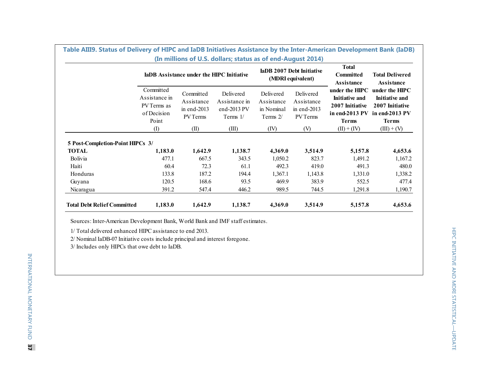|                                                                   |                                                       | <b>IaDB</b> Assistance under the HIPC Initiative          |                                                     | IaDB 2007 Debt Initiative<br>(MDRI equivalent)               | <b>Committed</b><br>Assistance                                                                 | <b>Total Delivered</b><br><b>Assistance</b>                                                  |
|-------------------------------------------------------------------|-------------------------------------------------------|-----------------------------------------------------------|-----------------------------------------------------|--------------------------------------------------------------|------------------------------------------------------------------------------------------------|----------------------------------------------------------------------------------------------|
| Committed<br>Assistance in<br>PV Terms as<br>of Decision<br>Point | Committed<br>Assistance<br>in end- $2013$<br>PV Terms | Delivered<br>Assistance in<br>end-2013 $PV$<br>Terms $1/$ | Delivered<br>Assistance<br>in Nominal<br>Terms $2/$ | Delivered<br>Assistance<br>in end- $2013$<br><b>PV</b> Terms | under the HIPC<br><b>Initiative and</b><br>2007 Initiative<br>in end-2013 $PV$<br><b>Terms</b> | under the HIPC<br><b>Initiative and</b><br>2007 Initiative<br>in end-2013 PV<br><b>Terms</b> |
| $\left( \mathrm{I}\right)$                                        | (II)                                                  | (III)                                                     | (IV)                                                | (V)                                                          | $(II) + (IV)$                                                                                  | $(III) + (V)$                                                                                |
|                                                                   |                                                       |                                                           |                                                     |                                                              |                                                                                                |                                                                                              |
|                                                                   |                                                       |                                                           |                                                     |                                                              |                                                                                                | 4,653.6                                                                                      |
| 477.1                                                             | 667.5                                                 | 343.5                                                     | 1,050.2                                             | 823.7                                                        | 1,491.2                                                                                        | 1,167.2                                                                                      |
| 60.4                                                              | 72.3                                                  | 61.1                                                      | 492.3                                               | 419.0                                                        | 491.3                                                                                          | 480.0                                                                                        |
| 133.8                                                             | 187.2                                                 | 194.4                                                     | 1,367.1                                             | 1,143.8                                                      | 1,331.0                                                                                        | 1,338.2                                                                                      |
| 120.5                                                             | 168.6                                                 | 93.5                                                      | 469.9                                               | 383.9                                                        | 552.5                                                                                          | 477.4                                                                                        |
| 391.2                                                             | 547.4                                                 | 446.2                                                     | 989.5                                               | 744.5                                                        | 1,291.8                                                                                        | 1,190.7                                                                                      |
|                                                                   | 5 Post-Completion-Point HIPCs 3/<br>1,183.0           | 1,642.9                                                   | 1,138.7                                             | 4,369.0                                                      | 3,514.9                                                                                        | 5,157.8                                                                                      |

Sources: Inter-American Development Bank, World Bank and IMF staff estimates.

1/ Total delivered enhanced HIPC assistance to end 2013.

2/ Nominal IaDB-07 Initiative costs include principal and interest foregone.

3/ Includes only HIPCs that owe debt to IaDB.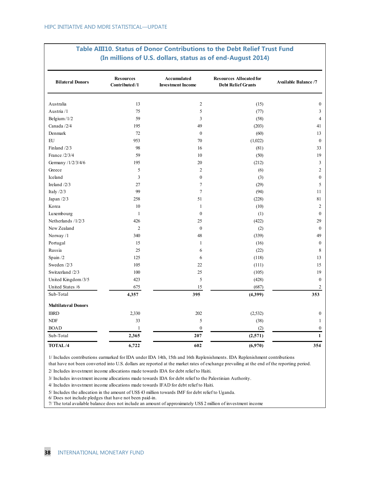| <b>Bilateral Donors</b>    | <b>Resources</b><br>Contributed/1 | Accumulated<br><b>Investment Income</b> | <b>Resources Allocated for</b><br><b>Debt Relief Grants</b> | <b>Available Balance /7</b> |
|----------------------------|-----------------------------------|-----------------------------------------|-------------------------------------------------------------|-----------------------------|
| Australia                  | 13                                | $\overline{c}$                          | (15)                                                        | $\boldsymbol{0}$            |
| Austria /1                 | 75                                | 5                                       | (77)                                                        | 3                           |
| Belgium/1/2                | 59                                | 3                                       | (58)                                                        | $\overline{4}$              |
| Canada /2/4                | 195                               | 49                                      | (203)                                                       | 41                          |
| Denmark                    | 72                                | $\mathbf{0}$                            | (60)                                                        | 13                          |
| ${\rm EU}$                 | 953                               | 70                                      | (1,022)                                                     | $\mathbf{0}$                |
| Finland $/2/3$             | 98                                | 16                                      | (81)                                                        | 33                          |
| France /2/3/4              | 59                                | 10                                      | (50)                                                        | 19                          |
| Germany /1/2/3/4/6         | 195                               | 20                                      | (212)                                                       | 3                           |
| Greece                     | 5                                 | 2                                       | (6)                                                         | $\sqrt{2}$                  |
| Iceland                    | 3                                 | $\boldsymbol{0}$                        | (3)                                                         | $\boldsymbol{0}$            |
| Ireland $/2/3$             | 27                                | $\tau$                                  | (29)                                                        | 5                           |
| Italy $/2/3$               | 99                                | $\overline{7}$                          | (94)                                                        | 11                          |
| Japan $/2/3$               | 258                               | 51                                      | (228)                                                       | 81                          |
| Korea                      | $10\,$                            | $\mathbf{1}$                            | (10)                                                        | $\overline{c}$              |
| Luxembourg                 | $\mathbf{1}$                      | $\mathbf{0}$                            | (1)                                                         | $\mathbf{0}$                |
| Netherlands /1/2/3         | 426                               | 25                                      | (422)                                                       | 29                          |
| New Zealand                | $\overline{2}$                    | $\mathbf{0}$                            | (2)                                                         | $\mathbf{0}$                |
| Norway /1                  | 340                               | 48                                      | (339)                                                       | 49                          |
| Portugal                   | 15                                | $\mathbf{1}$                            | (16)                                                        | $\mathbf{0}$                |
| Russia                     | 25                                | 6                                       | (22)                                                        | 8                           |
| Spain /2                   | 125                               | 6                                       | (118)                                                       | 13                          |
| Sweden /2/3                | 105                               | 22                                      | (111)                                                       | 15                          |
| Switzerland /2/3           | $100\,$                           | 25                                      | (105)                                                       | 19                          |
| United Kingdom/3/5         | 423                               | 5                                       | (428)                                                       | $\theta$                    |
| United States /6           | 675                               | 15                                      | (687)                                                       | $\overline{c}$              |
| Sub-Total                  | 4,357                             | 395                                     | (4,399)                                                     | 353                         |
| <b>Multilateral Donors</b> |                                   |                                         |                                                             |                             |
| <b>IBRD</b>                | 2,330                             | 202                                     | (2,532)                                                     | $\boldsymbol{0}$            |
| <b>NDF</b>                 | 33                                | 5                                       | (38)                                                        | $\mathbf{1}$                |
| <b>BOAD</b>                | $\mathbf{1}$                      | $\mathbf{0}$                            | (2)                                                         | $\mathbf{0}$                |
| Sub-Total                  | 2,365                             | 207                                     | (2,571)                                                     | $\mathbf{1}$                |
| TOTAL/4                    | 6,722                             | 602                                     | (6,970)                                                     | 354                         |

#### **Table AIII10. Status of Donor Contributions to the Debt Relief Trust Fund (In millions of U.S. dollars, status as of end-August 2014)**

1/ Includes contributions earmarked for IDA under IDA 14th, 15th and 16th Replenishments. IDA Replenishment contributions

that have not been converted into U.S. dollars are reported at the market rates of exchange prevailing at the end of the reporting period.

2/ Includes investment income allocations made towards IDA for debt relief to Haiti.

3/ Includes investment income allocations made towards IDA for debt relief to the Palestinian Authority.

4/ Includes investment income allocations made towards IFAD for debt relief to Haiti.

5/ Includes the allocation in the amount of US\$ 43 million towards IMF for debt relief to Uganda.

6/ Does not include pledges that have not been paid-in.

7/ The total available balance does not include an amount of approximately US\$ 2 million of investment income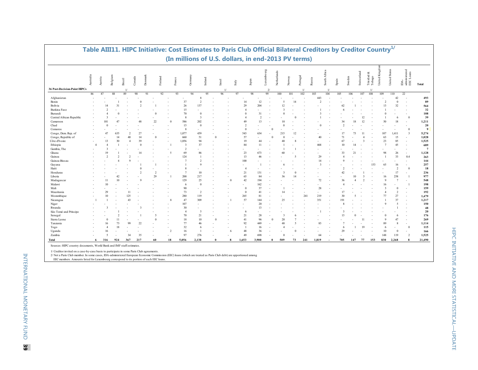|                              |                |         |                 |                          |           | Table AIIIII. HIPC Initiative: Cost Estimates to Paris Ciub Official Bilateral Creditors by Creditor Country |         |          |                          |        |                         | (In millions of U.S. dollars, in end-2013 PV terms) |          |        |            |                          |                |                |                          |        |          |               |                          |               |          |                 |                         |                         |                         |                                              |              |
|------------------------------|----------------|---------|-----------------|--------------------------|-----------|--------------------------------------------------------------------------------------------------------------|---------|----------|--------------------------|--------|-------------------------|-----------------------------------------------------|----------|--------|------------|--------------------------|----------------|----------------|--------------------------|--------|----------|---------------|--------------------------|---------------|----------|-----------------|-------------------------|-------------------------|-------------------------|----------------------------------------------|--------------|
|                              | Australia      | Austria | Belgium         |                          | Brazil    | Canada                                                                                                       | Denmark |          | Finland                  | France | Germany                 | Ireland                                             |          | Israel | Italy      | Japan                    | Luxembourg     |                | Netherlands              | Norway | Portugal | Russia        | South Africa             | Spain         | Sweden   | Switzerland     | z<br>Trinidad<br>Tobago | Kingdom<br>United 1     | <b>States</b><br>United | $$\tt IDA-$$ administered $$\tt EEC\,Loans$$ | <b>Total</b> |
| 36 Post-Decision-Point HIPCs |                |         |                 |                          |           |                                                                                                              |         |          |                          |        |                         |                                                     |          |        |            |                          |                | $\overline{2}$ |                          |        |          |               |                          |               |          |                 |                         |                         |                         |                                              |              |
|                              | 86             | 87      | 88              |                          | 89        | 90                                                                                                           | 91      |          | 92                       | 93     | 94                      | 95                                                  |          | 96     | 97         | 98                       |                | 99             | 100                      | 101    | 102      | 103           | 104                      | 105           | 106      | 107             | 108                     | 109                     | 110                     | 22                                           |              |
| Afghanistan                  |                |         |                 |                          |           |                                                                                                              |         |          |                          |        |                         | 8                                                   |          |        |            |                          |                |                |                          |        |          | 443           |                          |               |          |                 |                         |                         | 42                      |                                              | 493          |
| Benin                        |                |         |                 |                          |           |                                                                                                              |         |          |                          |        | 37                      | $\overline{\mathcal{L}}$                            |          |        |            | 14                       | 12             |                | $\overline{\phantom{a}}$ |        |          | $\mathcal{D}$ |                          |               |          |                 |                         | $\overline{\mathbf{c}}$ | $\theta$                |                                              | 89           |
| Bolivia                      |                |         | 14              | 31                       |           |                                                                                                              |         |          |                          |        | 26                      | 137                                                 |          |        |            | 29                       | 204            |                | 12                       |        |          |               |                          | 62            |          |                 |                         | 13                      | 32                      |                                              | 564          |
| Burkina Faso                 |                |         |                 |                          |           |                                                                                                              |         |          |                          |        | 15                      |                                                     |          |        |            | $\overline{4}$           |                |                | $\overline{\mathbf{3}}$  |        |          |               |                          |               |          |                 |                         |                         |                         |                                              | 32           |
| Burundi                      |                |         |                 | $\sqrt{ }$               |           |                                                                                                              |         | $\Omega$ |                          |        | 70                      | $\theta$                                            |          |        |            | $\Omega$                 | 31             |                | $\Omega$                 |        |          |               |                          |               |          |                 |                         |                         |                         | $\overline{\phantom{a}}$                     | 108          |
| Central African Republic     |                |         |                 |                          |           |                                                                                                              |         |          |                          |        | 8                       | $\overline{\mathbf{3}}$                             |          |        |            | $\overline{4}$           | $\overline{2}$ |                |                          |        |          |               |                          |               |          |                 |                         |                         | 6                       | $\mathbf{0}$                                 | 39           |
| Cameroon                     |                |         | 101             | $\Delta$ <sup>-</sup>    |           | 48                                                                                                           |         | 22       | $\Omega$                 |        | 586                     | 202                                                 |          |        |            | 49                       | 13             |                | 10                       |        |          |               |                          | 34            | 18       | 12              |                         | 50                      | 18                      | $\overline{a}$                               | 1,211        |
| Chad                         |                |         | $\Omega$        |                          |           |                                                                                                              |         |          | ×.                       |        | 15                      | $\theta$                                            |          |        |            | $\overline{\mathcal{L}}$ | ٠              |                | $\Omega$                 |        |          |               |                          | $\mathcal{L}$ |          |                 |                         |                         |                         | $\overline{a}$                               | 20           |
| Comoros                      |                |         |                 |                          |           |                                                                                                              |         |          |                          |        | $\mathbf{\mathbf{R}}$   | ٠                                                   |          |        |            | $\Omega$                 |                |                |                          |        |          |               |                          |               |          |                 |                         |                         |                         | $\theta$                                     | 9            |
| Congo, Dem. Rep. of          |                |         | 47              | 635                      |           | $2^{\circ}$                                                                                                  |         |          |                          | 1.077  |                         | 459                                                 |          |        |            | 543                      | 634            |                | 215                      |        |          |               |                          | 17            | 73       |                 |                         | 107                     | 1,411                   | 3                                            | 5,274        |
| Congo, Republic of           |                |         |                 | 14                       | 40        | 14                                                                                                           |         | $\Omega$ |                          |        | 660                     | 51                                                  | $\Omega$ |        |            | 57                       | ٠              | $\Omega$       | $\Omega$                 |        |          | 40            |                          | 71            |          |                 |                         | 63                      | 15                      |                                              | 1,028        |
| Côte d'Ivoire                |                |         | 13              | 30                       | $\Delta$  | 39                                                                                                           |         |          |                          | 1,056  |                         | 94                                                  |          |        |            | 19                       | 44             |                | 40                       |        |          |               |                          | 67            |          | $\mathbf{a}$    |                         | 23                      | 85                      | $\overline{a}$                               | 1,525        |
| Ethiopia                     | $\overline{4}$ |         |                 |                          |           |                                                                                                              |         |          |                          |        | $\overline{\mathbf{3}}$ | 37                                                  |          |        |            | 84                       | 11             |                |                          |        |          | 468           |                          | 10            | 14       |                 |                         | $\overline{7}$          | 45                      | $\overline{\phantom{a}}$                     | 689          |
| Gambia, The                  |                |         |                 |                          |           |                                                                                                              |         |          |                          |        | $\mathcal{D}$           |                                                     |          |        |            |                          |                |                |                          |        |          |               |                          |               |          |                 |                         |                         |                         |                                              | 7            |
| Ghana                        |                |         | 19              |                          |           | 14                                                                                                           |         |          | $\overline{\phantom{a}}$ |        | 69                      | 86                                                  |          |        |            | 23                       | 673            |                | 60                       |        |          |               |                          | 33            | 21       |                 |                         | 98                      | 26                      | $\sim$                                       | 1,128        |
| Guinea                       |                |         |                 | $\overline{\mathcal{L}}$ |           |                                                                                                              |         |          |                          |        | 124                     | $\mathbf{1}$                                        |          |        |            | 13                       | 46             |                |                          |        |          | 29            |                          |               |          |                 |                         |                         | 33                      | 0.4                                          | 263          |
| Guinea-Bissau                |                |         |                 |                          | $\Omega$  |                                                                                                              |         |          |                          |        | $\overline{7}$          | $\overline{2}$                                      |          |        |            | 100                      |                |                |                          |        |          | 14            |                          |               |          |                 |                         |                         |                         | ٠                                            | 144          |
| Guyana                       |                |         |                 |                          |           |                                                                                                              |         |          |                          |        |                         | $\mathbf Q$                                         |          |        |            |                          |                |                |                          |        |          | 3             |                          |               |          |                 | 153                     | 65                      | 16                      |                                              | 257          |
| Haiti                        |                |         |                 |                          |           |                                                                                                              |         |          |                          |        | $\mathbf{8}$            |                                                     |          |        |            | $\overline{4}$           |                |                |                          |        |          |               |                          |               |          |                 |                         |                         | $\overline{2}$          | $\theta$                                     | 18           |
| Honduras                     |                |         |                 |                          |           |                                                                                                              |         |          |                          |        | $\overline{7}$          | 10                                                  |          |        |            | 21                       | 131            |                |                          |        |          |               |                          | 42            |          |                 |                         |                         | 17                      | ٠                                            | 236          |
| Liberia                      |                |         |                 | $4^{\circ}$              |           |                                                                                                              |         | 29       |                          |        | 200                     | 217                                                 |          |        |            | 65                       | 84             |                | 36                       |        |          |               |                          |               | 10       |                 |                         | 16                      | 258                     |                                              | 977          |
|                              |                |         | $\overline{11}$ | 10                       |           |                                                                                                              |         |          |                          |        | 129                     | 25                                                  |          |        |            | 42                       | 194            |                |                          |        |          | 72            |                          | 36            | $\Delta$ |                 |                         | $\Omega$                | $\overline{7}$          |                                              | 548          |
| Madagascar<br>Malawi         |                |         | 10              |                          |           |                                                                                                              |         |          |                          |        | 6                       | $\mathbf{0}$                                        |          |        |            |                          | 162            |                |                          |        |          |               |                          |               |          |                 |                         | 16                      |                         | $\overline{a}$                               | 198          |
| Mali                         |                |         |                 |                          |           |                                                                                                              |         |          |                          |        | 90                      |                                                     |          |        |            | $\mathbf{0}$             | 37             |                |                          |        |          | 28            |                          |               |          |                 |                         | $\overline{\mathbf{3}}$ | $\theta$                |                                              | 159          |
|                              |                |         |                 |                          |           |                                                                                                              |         |          |                          |        |                         |                                                     |          |        |            |                          |                |                | 14                       |        |          |               |                          | 17            |          |                 |                         |                         |                         |                                              | 192          |
| Mauritania                   |                |         | 29              |                          |           |                                                                                                              |         |          |                          |        | 73                      | $\overline{2}$<br>119                               |          |        |            | $\theta$                 | 41             |                |                          |        |          |               |                          |               |          |                 |                         | $\overline{4}$          | $\overline{2}$          |                                              |              |
| Mozambique                   |                |         | 10              |                          | 125<br>43 |                                                                                                              |         |          |                          |        | 280                     |                                                     |          |        |            | 265<br>57                | 81             |                |                          |        | 241      | 219           |                          | 30<br>191     | 5        |                 |                         | 77                      | 27                      |                                              | 1,479        |
| Nicaragua                    |                |         |                 |                          |           |                                                                                                              |         |          | 8                        |        | 47                      | 309                                                 |          |        |            |                          | 144            |                | 25                       |        |          | 351           |                          |               |          |                 |                         |                         | 37                      |                                              | 1,217        |
| Niger                        |                |         |                 |                          |           |                                                                                                              |         |          |                          |        | 107                     |                                                     |          |        |            |                          | 20             |                |                          |        |          |               |                          |               |          |                 |                         | $\Omega$                | $\overline{5}$          |                                              | 150          |
| Rwanda                       |                |         |                 |                          |           |                                                                                                              |         |          |                          |        | 30                      |                                                     |          |        |            |                          | 13             |                |                          |        |          |               |                          |               |          |                 |                         |                         |                         |                                              | 48           |
| São Tomé and Príncipe        |                |         |                 |                          |           |                                                                                                              |         |          |                          |        | $\overline{4}$          | 5                                                   |          |        |            | -6                       |                |                |                          |        |          |               |                          |               |          |                 |                         |                         |                         |                                              | 20           |
| Senegal                      |                |         |                 | $\overline{\mathcal{L}}$ |           |                                                                                                              |         | 5        |                          |        | 70                      | 21                                                  |          |        |            | 21                       | 28             |                | $\overline{\mathbf{3}}$  |        |          |               |                          | 13            |          |                 |                         | $\theta$                | 6                       |                                              | 176          |
| Sierra Leone                 |                |         |                 | $_{11}$                  |           |                                                                                                              |         | $\Omega$ |                          |        | 18                      | 10                                                  |          |        |            | 41                       | 96             | $\Omega$       | 20                       |        |          |               |                          |               |          | $\overline{11}$ |                         | $\Omega$                | 47                      |                                              | 269          |
| Tanzania                     |                |         | 16              | 73                       | QQ        | 22                                                                                                           |         |          |                          |        | 77                      | 46                                                  |          |        |            | 92                       | 449            |                | 48                       |        |          | 83            |                          |               |          |                 |                         | 89                      | $\mathbf{\mathsf{R}}$   | $\sim$                                       | 1,114        |
| Togo                         |                |         |                 | 18                       |           |                                                                                                              |         |          |                          |        | 32                      | 6                                                   |          |        |            | $\overline{1}$           | 16             |                |                          |        |          |               |                          |               |          | 19              |                         | 6                       |                         | $\theta$                                     | 115          |
| Uganda                       |                |         | 16              |                          |           |                                                                                                              |         |          | $\overline{2}$           |        | 16                      | $\mathbf{1}$                                        |          |        |            | 48                       | 36             |                |                          |        |          |               |                          | 29            |          |                 |                         | 10                      | $\mathbf{0}$            | ٠                                            | 166          |
| Zambia                       |                |         | $\sim$          |                          | 34        | 35                                                                                                           |         |          |                          |        | 97                      | 276                                                 |          |        |            | 49                       | 698            |                | $\Omega$                 |        |          | 64            |                          |               |          |                 |                         | 148                     | 119                     | $\overline{2}$                               | 1,525        |
| Total                        | 6              | 316     |                 | 924                      | 367       | 217                                                                                                          |         | 60       | 18                       | 5,056  |                         | 2,138                                               | $\theta$ |        | 1,653<br>8 |                          | 3.900          | $\mathbf{0}$   | 509                      | 73     | 241      | 1,819         | $\overline{\phantom{a}}$ | 705           | 147      | 77              | 153                     | 830                     | 2,268                   | 8                                            | 21,490       |

# **Table AIII11. HIPC Initiative: Cost Estimates to Paris Club Official Bilateral Creditors by Creditor Country1/**

Sources: HIPC country documents, World Bank and IMF staff estimates.

1/ Creditor invited on a case-by-case basis to participate in some Paris Club agreements.

2/ Not a Paris Club member. In some cases, IDA-administered European Economic Commission (EEC) loans (which are treated as Paris Club debt) are apportioned among

EEC members. Amounts listed for Luxembourg correspond to its portion of such EEC loans.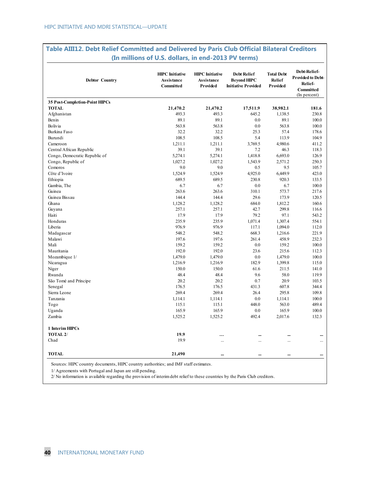| <b>Debtor Country</b>                 | <b>HIPC</b> Initiative<br><b>Assistance</b><br>Committed | <b>HIPC</b> Initiative<br><b>Assistance</b><br>Provided | <b>Debt Relief</b><br><b>Bevond HIPC</b><br><b>Initiative Provided</b> | <b>Total Debt</b><br><b>Relief</b><br>Provided | Debt-Relief-<br><b>Provided to Debt-</b><br>Relief-<br><b>Committed</b><br>(In percent) |
|---------------------------------------|----------------------------------------------------------|---------------------------------------------------------|------------------------------------------------------------------------|------------------------------------------------|-----------------------------------------------------------------------------------------|
| <b>35 Post-Completion-Point HIPCs</b> |                                                          |                                                         |                                                                        |                                                |                                                                                         |
| <b>TOTAL</b>                          | 21,470.2                                                 | 21,470.2                                                | 17,511.9                                                               | 38,982.1                                       | 181.6                                                                                   |
| Afghanistan                           | 493.3                                                    | 493.3                                                   | 645.2                                                                  | 1,138.5                                        | 230.8                                                                                   |
| Benin                                 | 89.1                                                     | 89.1                                                    | 0.0                                                                    | 89.1                                           | 100.0                                                                                   |
| Bolivia                               | 563.8                                                    | 563.8                                                   | 0.0                                                                    | 563.8                                          | 100.0                                                                                   |
| Burkina Faso                          | 32.2                                                     | 32.2                                                    | 25.3                                                                   | 57.4                                           | 178.6                                                                                   |
| Burundi                               | 108.5                                                    | 108.5                                                   | 5.4                                                                    | 113.9                                          | 104.9                                                                                   |
| Cameroon                              | 1,211.1                                                  | 1,211.1                                                 | 3,769.5                                                                | 4,980.6                                        | 411.2                                                                                   |
| Central African Republic              | 39.1                                                     | 39.1                                                    | 7.2                                                                    | 46.3                                           | 118.3                                                                                   |
| Congo, Democratic Republic of         | 5,274.1                                                  | 5,274.1                                                 | 1,418.8                                                                | 6,693.0                                        | 126.9                                                                                   |
| Congo, Republic of                    | 1,027.2                                                  | 1,027.2                                                 | 1,543.9                                                                | 2,571.2                                        | 250.3                                                                                   |
| Comoros                               | 9.0                                                      | 9.0                                                     | 0.5                                                                    | 9.5                                            | 105.7                                                                                   |
| Côte d'Ivoire                         | 1,524.9                                                  | 1,524.9                                                 | 4,925.0                                                                | 6,449.9                                        | 423.0                                                                                   |
| Ethiopia                              | 689.5                                                    | 689.5                                                   | 230.8                                                                  | 920.3                                          | 133.5                                                                                   |
| Gambia, The                           | 6.7                                                      | 6.7                                                     | 0.0                                                                    | 6.7                                            | 100.0                                                                                   |
| Guinea                                | 263.6                                                    | 263.6                                                   | 310.1                                                                  | 573.7                                          | 217.6                                                                                   |
| Guinea Bissau                         | 144.4                                                    | 144.4                                                   | 29.6                                                                   | 173.9                                          | 120.5                                                                                   |
| Ghana                                 | 1,128.2                                                  | 1,128.2                                                 | 684.0                                                                  | 1,812.2                                        | 160.6                                                                                   |
| Guyana                                | 257.1                                                    | 257.1                                                   | 42.7                                                                   | 299.8                                          | 116.6                                                                                   |
| Haiti                                 | 17.9                                                     | 17.9                                                    | 79.2                                                                   | 97.1                                           | 543.2                                                                                   |
| Honduras                              | 235.9                                                    | 235.9                                                   | 1,071.4                                                                | 1,307.4                                        | 554.1                                                                                   |
| Liberia                               | 976.9                                                    | 976.9                                                   | 117.1                                                                  | 1,094.0                                        | 112.0                                                                                   |
| Madagascar                            | 548.2                                                    | 548.2                                                   | 668.3                                                                  | 1,216.6                                        | 221.9                                                                                   |
| Malawi                                | 197.6                                                    | 197.6                                                   | 261.4                                                                  | 458.9                                          | 232.3                                                                                   |
| Mali                                  | 159.2                                                    | 159.2                                                   | 0.0                                                                    | 159.2                                          | 100.0                                                                                   |
| Mauritania                            | 192.0                                                    | 192.0                                                   | 23.6                                                                   | 215.6                                          | 112.3                                                                                   |
| Mozambique 1/                         | 1,479.0                                                  | 1,479.0                                                 | 0.0                                                                    | 1,479.0                                        | 100.0                                                                                   |
| Nicaragua                             | 1,216.9                                                  | 1,216.9                                                 | 182.9                                                                  | 1,399.8                                        | 115.0                                                                                   |
| Niger                                 | 150.0                                                    | 150.0                                                   | 61.6                                                                   | 211.5                                          | 141.0                                                                                   |
| Rwanda                                | 48.4                                                     | 48.4                                                    | 9.6                                                                    | 58.0                                           | 119.9                                                                                   |
| São Tomé and Príncipe                 | 20.2                                                     | 20.2                                                    | 0.7                                                                    | 20.9                                           | 103.5                                                                                   |
| Senegal                               | 176.5                                                    | 176.5                                                   | 431.3                                                                  | 607.8                                          | 344.4                                                                                   |
| Sierra Leone                          | 269.4                                                    | 269.4                                                   | 26.4                                                                   | 295.8                                          | 109.8                                                                                   |
| Tanzania                              | 1,114.1                                                  | 1,114.1                                                 | 0.0                                                                    | 1,114.1                                        | 100.0                                                                                   |
| Togo                                  | 115.1                                                    | 115.1                                                   | 448.0                                                                  | 563.0                                          | 489.4                                                                                   |
| Uganda                                | 165.9                                                    | 165.9                                                   | 0.0                                                                    | 165.9                                          | 100.0                                                                                   |
| Zambia                                | 1,525.2                                                  | 1,525.2                                                 | 492.4                                                                  | 2,017.6                                        | 132.3                                                                                   |
| 1 Interim HIPCs                       |                                                          |                                                         |                                                                        |                                                |                                                                                         |
| TOTAL <sub>2</sub> /                  | 19.9                                                     |                                                         |                                                                        |                                                | $\cdots$                                                                                |
| Chad                                  | 19.9                                                     | $\cdots$                                                | $\cdots$                                                               |                                                |                                                                                         |
| <b>TOTAL</b>                          | 21,490                                                   | $\cdots$                                                | $\cdots$                                                               | $\ddotsc$                                      | $\cdots$                                                                                |

#### **Table AIII12. Debt Relief Committed and Delivered by Paris Club Official Bilateral Creditors (In millions of U.S. dollars, in end-2013 PV terms)**

Sources: HIPC country documents, HIPC country authorities; and IMF staff estimates.

1/ Agreements with Portugal and Japan are still pending.

2/ No information is available regarding the provision of interim debt relief to these countries by the Paris Club creditors.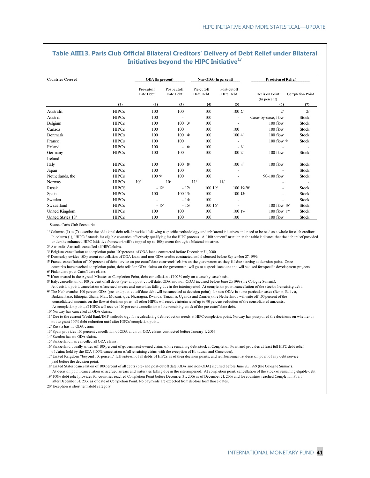#### **Table AIII13. Paris Club Official Bilateral Creditors' Delivery of Debt Relief under Bilateral Initiatives beyond the HIPC Initiative1/**

| <b>Countries Covered</b> |              | ODA (In percent)         |                          |                         |                          | Non-ODA (In percent)     | <b>Provision of Relief</b>     |                          |
|--------------------------|--------------|--------------------------|--------------------------|-------------------------|--------------------------|--------------------------|--------------------------------|--------------------------|
|                          |              | Pre-cutoff<br>Date Debt  | Post-cutoff<br>Date Debt | Pre-cutoff<br>Date Debt |                          | Post-cutoff<br>Date Debt | Decision Point<br>(In percent) | Completion Point         |
|                          | (1)          | (2)                      | (3)                      |                         | (4)                      | (5)                      | (6)                            | (7)                      |
| Australia                | <b>HIPCs</b> | 100                      | 100                      |                         | 100                      | 1002/                    | 2/                             | 2/                       |
| Austria                  | <b>HIPCs</b> | 100                      | $\blacksquare$           |                         | 100                      | $\overline{\phantom{a}}$ | Case-by-case, flow             | Stock                    |
| Belgium                  | <b>HIPCs</b> | 100                      | $100 \frac{3}{1}$        |                         | 100                      | $\overline{\phantom{a}}$ | $100$ flow                     | Stock                    |
| Canada                   | <b>HIPCs</b> | 100                      | 100                      |                         | 100                      | 100                      | 100 flow                       | <b>Stock</b>             |
| Denmark                  | <b>HIPCs</b> | 100                      | $100 \frac{4}{$          |                         | 100                      | 1004/                    | 100 flow                       | Stock                    |
| France                   | <b>HIPCs</b> | 100                      | 100                      |                         | 100                      | $\overline{\phantom{a}}$ | 100 flow 5/                    | Stock                    |
| Finland                  | <b>HIPCs</b> | 100                      | $-6/$                    |                         | 100                      | $-6/$                    |                                |                          |
| Germany                  | <b>HIPCs</b> | 100                      | 100                      |                         | 100                      | 100 7/                   | 100 flow                       | Stock                    |
| Ireland                  |              | $\overline{\phantom{a}}$ | $\overline{\phantom{a}}$ |                         | $\overline{\phantom{a}}$ | $\overline{\phantom{a}}$ |                                | $\overline{\phantom{a}}$ |
| Italy                    | <b>HIPCs</b> | 100                      | $100 \frac{8}{3}$        |                         | 100                      | 1008/                    | 100 flow                       | Stock                    |
| Japan                    | <b>HIPCs</b> | 100                      | 100                      |                         | 100                      |                          | $\blacksquare$                 | Stock                    |
| Netherlands, the         | <b>HIPCs</b> | 1009/                    | 100                      |                         | 100                      |                          | 90-100 flow                    | Stock                    |
| Norway                   | <b>HIPCs</b> | 10/                      | 10/                      | 11/                     |                          | 11/                      |                                |                          |
| Russia                   | <b>HIPCS</b> | $-12/$                   | $-12/$                   |                         | 100 19/                  | 100 19/20/               | Ξ.                             | Stock                    |
| Spain                    | <b>HIPCs</b> | 100                      | 10013/                   |                         | 100                      | 10013/                   | $\overline{\phantom{0}}$       | Stock                    |
| Sweden                   | <b>HIPCs</b> | $\overline{a}$           | $-14/$                   |                         | 100                      |                          | Ξ.                             | Stock                    |
| Switzerland              | <b>HIPCs</b> | $-15/$                   | $-15/$                   |                         | 100 16/                  |                          | $100$ flow $16/$               | Stock                    |
| United Kingdom           | <b>HIPCs</b> | 100                      | 100                      |                         | 100                      | 100 17/                  | 100 flow 17/                   | Stock                    |
| United States 18/        | <b>HIPCs</b> | 100                      | 100                      |                         | 100                      | 100                      | 100 flow                       | Stock                    |

Source: Paris Club Secretariat.

1/ Columns (1) to (7) describe the additional debt relief provided following a specific methodology under bilateral initiatives and need to be read as a whole for each creditor. In column (1), "HIPCs" stands for eligible countries effectively qualifying for the HIPC process. A "100 percent" mention in the table indicates that the debt relief provided under the enhanced HIPC Initiative framework will be topped up to 100 percent through a bilateral initiative.

2/ Australia: Australia cancelled all HIPC claims.

3/ Belgium: cancellation at completion point 100 percent of ODA loans contracted before December 31, 2000.

4/ Denmark provides 100 percent cancellation of ODA loans and non-ODA credits contracted and disbursed before September 27, 1999.

5/ France: cancellation of 100 percent of debt service on pre-cutoff date commercial claims on the government as they fall due starting at decision point. Once countries have reached completion point, debt relief on ODA claims on the government will go to a special account and will be used for specific development projects. 6/ Finland: no post-Cutoff date claims

7/ If not treated in the Agreed Minutes at Completion Point, debt cancellation of 100 % only on a case by case basis.

8/ Italy: cancellation of 100 percent of all debts (pre- and post-cutoff date, ODA and non-ODA) incurred before June 20,1999 (the Cologne Summit).

 At decision point, cancellation of accrued arrears and maturities falling due in the interim period. At completion point, cancellation of the stock of remaining debt. 9/ The Netherlands: 100 percent ODA (pre- and post-cutoff date debt will be cancelled at decision point); for non-ODA: in some particular cases (Benin, Bolivia, Burkina Faso, Ethiopia, Ghana, Mali, Mozambique, Nicaragua, Rwanda, Tanzania, Uganda and Zambia), the Netherlands will write off 100 percent of the consolidated amounts on the flow at decision point; all other HIPCs will receive interim relief up to 90 percent reduction of the consolidated amounts. At completion point, all HIPCs will receive 100 per cent cancellation of the remaining stock of the pre-cutoff date debt.

10/ Norway has cancelled all ODA claims.

11/ Due to the current World Bank/IMF methodology for recalculating debt reduction needs at HIPC completion point, Norway has postponed the decisions on whether or not to grant 100% debt reduction until after HIPCs' completion point.

12/ Russia has no ODA claims

13/ Spain provides 100 percent cancellation of ODA and non-ODA claims contracted before January 1, 2004

14/ Sweden has no ODA claims.

15/ Switzerland has cancelled all ODA claims.

 of claims held by the ECA (100% cancellation of all remaining claims with the exception of Honduras and Cameroon). 16/ Switzerland usually writes off 100 percent of government-owned claims of the remaining debt stock at Completion Point and provides at least full HIPC debt relief

17/ United Kingdom: "beyond 100 percent" full write-off of all debts of HIPCs as of their decision points, and reimbursement at decision point of any debt service paid before the decision point.

18/ United States: cancellation of 100 percent of all debts (pre- and post-cutoff date, ODA and non-ODA) incurred before June 20, 1999 (the Cologne Summit).

 At decision point, cancellation of accrued arrears and maturities falling due in the interim period. At completion point, cancellation of the stock of remaining eligible debt. 19/ 100% debt relief provides for countries reached Completion Point before December 31, 2006 as of December 21, 2006 and for countries reached Completion Point

 after December 31, 2006 as of date of Completion Point. No payments are expected from debtors from those dates. 20/ Exception is short term debt category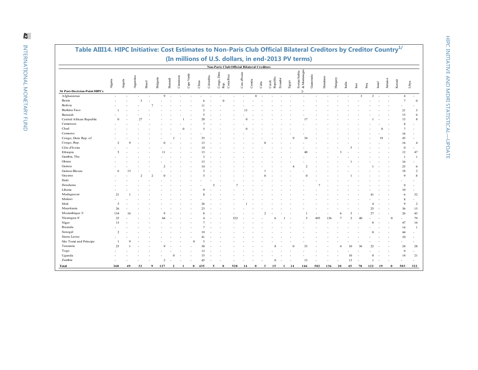| Table AIII14. HIPC Initiative: Cost Estimates to Non-Paris Club Official Bilateral Creditors by Creditor Country <sup>1/</sup> |                          |        |                         |               |          |         |          |            |       |           |          |                                                    |            |               |              |      |                   |         |       |                                                     |           |          |         |       |   |                                |             |         |        |                                  |
|--------------------------------------------------------------------------------------------------------------------------------|--------------------------|--------|-------------------------|---------------|----------|---------|----------|------------|-------|-----------|----------|----------------------------------------------------|------------|---------------|--------------|------|-------------------|---------|-------|-----------------------------------------------------|-----------|----------|---------|-------|---|--------------------------------|-------------|---------|--------|----------------------------------|
|                                                                                                                                |                          |        |                         |               |          |         |          |            |       |           |          |                                                    |            |               |              |      |                   |         |       | (In millions of U.S. dollars, in end-2013 PV terms) |           |          |         |       |   |                                |             |         |        |                                  |
|                                                                                                                                |                          |        |                         |               |          |         |          |            |       |           |          | <b>Non-Paris Club Official Bilateral Creditors</b> |            |               |              |      |                   |         |       |                                                     |           |          |         |       |   |                                |             |         |        |                                  |
|                                                                                                                                | Algeria                  | Angola | Argentina               | <b>Brazil</b> | Bulgaria | Bunundi | Cameroon | Cape Verde | China |           | Colombia | Congo, Dem<br>Rep.                                 | Costa Rica | Cote d'Ivoire | Croatia      | Cuba | Czech<br>Republic | Ecuador | Egypt | & Montenegro<br>Forner Serbia                       | Guatemala | Honduras | Hungary | India | E | $\overline{\text{Im}\text{q}}$ | <b>Srae</b> | Jamaica | Kuwait | Libya                            |
| <b>36 Post-Decision-Point HIPCs</b>                                                                                            |                          |        |                         |               |          |         |          |            |       |           |          |                                                    |            |               |              |      |                   |         |       | 2 <sup>′</sup>                                      |           |          |         |       |   |                                |             |         |        |                                  |
| Afghanistan                                                                                                                    | $\overline{\phantom{a}}$ |        |                         |               |          | 9       |          |            |       |           |          |                                                    |            |               | $\mathbf{0}$ |      |                   |         |       |                                                     |           |          |         |       | 2 |                                | 2           |         |        | $\overline{4}$<br>$\sim$         |
| Benin                                                                                                                          |                          |        | $\overline{\mathbf{3}}$ |               |          |         |          |            |       | 6         |          |                                                    |            |               |              |      |                   |         |       |                                                     |           |          |         |       |   |                                |             |         |        | $\overline{7}$<br>$\Omega$       |
| Bolivia                                                                                                                        |                          |        |                         |               |          |         |          |            |       |           |          |                                                    |            |               |              |      |                   |         |       |                                                     |           |          |         |       |   |                                |             |         |        |                                  |
| Burkina Faso                                                                                                                   |                          |        |                         |               |          |         |          |            |       |           |          |                                                    |            |               |              |      |                   |         |       |                                                     |           |          |         |       |   |                                |             |         | 21     | 5                                |
| Burundi                                                                                                                        |                          |        |                         |               |          |         |          |            |       |           |          |                                                    |            |               |              |      |                   |         |       |                                                     |           |          |         |       |   |                                |             |         |        | 15<br>6                          |
| Central African Republic                                                                                                       |                          |        | 27                      |               |          |         |          |            |       |           |          |                                                    |            |               |              |      |                   |         |       |                                                     |           |          |         |       |   |                                |             |         |        | 15<br>8                          |
| Cameroon                                                                                                                       |                          |        |                         |               |          |         |          |            |       |           |          |                                                    |            |               |              |      |                   |         |       |                                                     |           |          |         |       |   |                                |             |         |        | 8<br>$\overline{7}$              |
| Chad                                                                                                                           |                          |        |                         |               |          |         |          |            |       |           |          |                                                    |            |               |              |      |                   |         |       |                                                     |           |          |         |       |   |                                |             |         |        |                                  |
| Comoros                                                                                                                        |                          |        |                         |               |          |         |          |            |       |           |          |                                                    |            |               |              |      |                   |         |       |                                                     |           |          |         |       |   |                                |             |         |        | 16                               |
| Congo, Dem. Rep. of                                                                                                            |                          |        |                         |               |          |         |          |            |       | 35        |          |                                                    |            |               |              |      |                   |         |       | $\mathcal{L}$                                       |           |          |         |       |   |                                | 19          |         | 45     |                                  |
| Congo, Rep.                                                                                                                    | $\mathcal{D}$            |        |                         |               |          |         |          |            |       | 13        |          |                                                    |            |               |              |      |                   |         |       |                                                     |           |          |         |       |   |                                |             |         |        | 16<br>$\overline{4}$             |
| Côte d'Ivoire                                                                                                                  |                          |        |                         |               |          |         |          |            |       |           |          |                                                    |            |               |              |      |                   |         |       |                                                     |           |          |         |       |   |                                |             |         |        | $\Omega$                         |
| Ethiopia                                                                                                                       | $\sim$                   |        |                         |               |          |         |          |            |       | 13        |          |                                                    |            |               |              |      |                   |         |       | 40                                                  |           |          |         |       |   |                                |             |         |        | 12<br>47                         |
| Gambia, The                                                                                                                    |                          |        |                         |               |          |         |          |            |       | 3         |          |                                                    |            |               |              |      |                   |         |       |                                                     |           |          |         |       |   |                                |             |         |        | $\overline{1}$<br>$\overline{1}$ |
| Ghana                                                                                                                          |                          |        |                         |               |          |         |          |            |       |           |          |                                                    |            |               |              |      |                   |         |       |                                                     |           |          |         |       |   |                                |             |         |        | 16                               |
| Guinea                                                                                                                         |                          |        |                         |               |          |         |          |            |       |           |          |                                                    |            |               |              |      |                   |         |       |                                                     |           |          |         |       |   |                                |             |         | 25     | 6                                |
| Guinea-Bissau                                                                                                                  | -6                       |        |                         |               |          |         |          |            |       |           |          |                                                    |            |               |              |      |                   |         |       |                                                     |           |          |         |       |   |                                |             |         |        | 18<br>2                          |
| Guyana                                                                                                                         |                          |        |                         |               |          |         |          |            |       |           |          |                                                    |            |               |              |      |                   |         |       |                                                     |           |          |         |       |   |                                |             |         |        | $\overline{Q}$<br>8              |
| Haiti                                                                                                                          |                          |        |                         |               |          |         |          |            |       |           |          |                                                    |            |               |              |      |                   |         |       |                                                     |           |          |         |       |   |                                |             |         |        |                                  |
| Honduras                                                                                                                       |                          |        |                         |               |          |         |          |            |       |           | 5        |                                                    |            |               |              |      |                   |         |       |                                                     |           |          |         |       |   |                                |             |         |        | $\mathbf{Q}$                     |
| Liberia                                                                                                                        |                          |        |                         |               |          |         |          |            |       |           |          |                                                    |            |               |              |      |                   |         |       |                                                     |           |          |         |       |   |                                |             |         |        | 10                               |
| Madagascar                                                                                                                     | 21                       |        |                         |               |          |         |          |            |       |           |          |                                                    |            |               |              |      |                   |         |       |                                                     |           |          |         |       |   |                                |             |         |        | 32<br>6                          |
| Malawi                                                                                                                         |                          |        |                         |               |          |         |          |            |       |           |          |                                                    |            |               |              |      |                   |         |       |                                                     |           |          |         |       |   |                                |             |         |        | $\mathbf{\mathsf{R}}$<br>$\sim$  |
| Mali                                                                                                                           | $\overline{5}$           |        |                         |               |          |         |          |            |       | 26        |          |                                                    |            |               |              |      |                   |         |       |                                                     |           |          |         |       |   |                                |             |         |        | $\mathbf{Q}$<br>2                |
| Mauritania                                                                                                                     | 26                       |        |                         |               |          |         |          |            |       | 23        |          |                                                    |            |               |              |      |                   |         |       |                                                     |           |          |         |       |   | 25                             |             |         | 36     | 15                               |
| Mozambique 3/                                                                                                                  | 134                      |        |                         |               |          |         |          |            |       |           |          |                                                    |            |               |              |      |                   |         |       |                                                     |           |          |         |       |   | 27                             |             |         | 26     | 43                               |
| Nicaragua 4/                                                                                                                   | 25                       |        |                         |               |          |         |          |            |       |           |          |                                                    | 522        |               |              |      |                   |         |       |                                                     | 495       | 136      |         |       |   |                                |             |         |        | 79                               |
| Niger                                                                                                                          | 13                       |        |                         |               |          |         |          |            |       |           |          |                                                    |            |               |              |      |                   |         |       |                                                     |           |          |         |       |   |                                |             |         | 47     | 16                               |
| Rwanda                                                                                                                         |                          |        |                         |               |          |         |          |            |       |           |          |                                                    |            |               |              |      |                   |         |       |                                                     |           |          |         |       |   |                                |             |         |        | 14                               |
| Senegal                                                                                                                        | $\mathcal{D}$            |        |                         |               |          |         |          |            |       |           |          |                                                    |            |               |              |      |                   |         |       |                                                     |           |          |         |       |   |                                |             |         | 44     |                                  |
| Sierra Leone                                                                                                                   |                          |        |                         |               |          |         |          |            |       | $\Lambda$ |          |                                                    |            |               |              |      |                   |         |       |                                                     |           |          |         |       |   |                                |             |         |        | 10<br>$\sim$                     |
| São Tomé and Príncipe                                                                                                          |                          |        |                         |               |          |         |          |            |       | 3         |          |                                                    |            |               |              |      |                   |         |       |                                                     |           |          |         |       |   |                                |             |         |        | $\overline{a}$                   |
| Tanzania                                                                                                                       | 25                       |        |                         |               |          |         |          |            |       |           |          |                                                    |            |               |              |      |                   |         |       |                                                     |           |          |         | 10    |   |                                |             |         | 24     | 28                               |
| Togo                                                                                                                           |                          |        |                         |               |          |         |          |            |       | 13        |          |                                                    |            |               |              |      |                   |         |       |                                                     |           |          |         |       |   |                                |             |         |        | $\overline{Q}$<br>$\sim$         |
| Uganda                                                                                                                         |                          |        |                         |               |          |         | $\Omega$ |            |       | 15        |          |                                                    |            |               |              |      |                   |         |       |                                                     |           |          |         | 10    |   |                                | $\Omega$    |         |        | 14<br>21                         |

- - - 2 - - - 45 - - - - - - 0 - - 13 - - - 13 - 1 - - - -

**Total 268 49 32 9 127 2 1 0 435 5 0 528 14 0 3 15 1 14 146 502 136 20 45 78 122 19 0 503 322**

Zambia -

 $\sim$ 

322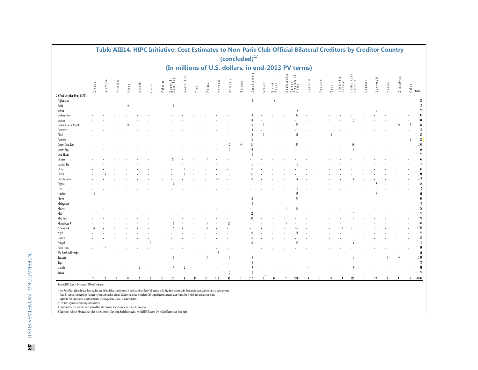|                              |           | Table AIII14. HIPC Initiative: Cost Estimates to Non-Paris Club Official Bilateral Creditors by Creditor Country |                    |       |                          |           |          |                             |                     |      |        |          |                           |             |              |                        |                    |                                        |                                                     |          |          |                     |                           |                         |            |                    |                          |                |    |                                                                                |
|------------------------------|-----------|------------------------------------------------------------------------------------------------------------------|--------------------|-------|--------------------------|-----------|----------|-----------------------------|---------------------|------|--------|----------|---------------------------|-------------|--------------|------------------------|--------------------|----------------------------------------|-----------------------------------------------------|----------|----------|---------------------|---------------------------|-------------------------|------------|--------------------|--------------------------|----------------|----|--------------------------------------------------------------------------------|
|                              |           |                                                                                                                  |                    |       |                          |           |          |                             |                     |      |        |          | (concluded) <sup>1/</sup> |             |              |                        |                    |                                        |                                                     |          |          |                     |                           |                         |            |                    |                          |                |    |                                                                                |
|                              |           |                                                                                                                  |                    |       |                          |           |          |                             |                     |      |        |          |                           |             |              |                        |                    |                                        | (In millions of U.S. dollars, in end-2013 PV terms) |          |          |                     |                           |                         |            |                    |                          |                |    |                                                                                |
|                              | $M$ exico | $M$ or occo                                                                                                      | am ib ia<br>$\geq$ | Niger | Nigeria                  | $0$ m a n | Pakistan | $K$ orea, $P$ .<br>Dem Ren. | orea. Rep<br>$\sim$ | Peru | Poland | Portugal | $\mathbb R$ o mania       | R w a n d a | Saudi Arabia | $S$ e n e g $\it{a}$ l | Slovak<br>Republic | A fric a<br>$\sqrt{3}$ outh $\sqrt{3}$ | Taiwan,<br>Province of<br>China                     | Tanzania | Thailand | $\Gamma$ o g $\,$ o | ≈<br>Trinidad d<br>Tobago | United Arab<br>Emirates | U ru gu av | enezuela<br>$\geq$ | $Z$ a m $\mathfrak b$ ia | $Z$ im bab w e |    | $\begin{array}{c}\n\frac{1}{\sqrt{2}}\\ \ominus\quad\text{Total}\n\end{array}$ |
| 36 Post-Decision-Point HIPCs |           |                                                                                                                  |                    |       |                          |           |          |                             |                     |      |        |          |                           |             |              |                        |                    |                                        |                                                     |          |          |                     |                           |                         |            |                    |                          |                |    |                                                                                |
| Afghanistan                  |           |                                                                                                                  |                    |       |                          |           |          |                             |                     |      |        |          |                           |             |              |                        | 6                  |                                        |                                                     |          |          |                     |                           |                         |            |                    |                          |                |    | 27                                                                             |
| Benin                        |           |                                                                                                                  |                    |       |                          |           |          |                             |                     |      |        |          |                           |             |              |                        |                    |                                        |                                                     |          |          |                     |                           |                         |            |                    |                          |                |    | $17\,$                                                                         |
| Bolivia                      |           |                                                                                                                  |                    |       |                          |           |          |                             |                     |      |        |          |                           |             |              |                        |                    |                                        |                                                     |          |          |                     |                           |                         |            |                    |                          |                |    | $26\,$                                                                         |
| Burkina Faso                 |           |                                                                                                                  |                    |       |                          |           |          |                             |                     |      |        |          |                           |             |              |                        |                    |                                        |                                                     |          |          |                     |                           |                         |            |                    |                          |                |    | 90                                                                             |
| Burundi                      |           |                                                                                                                  |                    |       |                          |           |          |                             |                     |      |        |          |                           |             |              |                        |                    |                                        |                                                     |          |          |                     |                           |                         |            |                    |                          |                |    | 41                                                                             |
| Central African Republic     |           |                                                                                                                  |                    |       |                          |           |          |                             |                     |      |        |          |                           |             |              |                        |                    |                                        |                                                     |          |          |                     |                           |                         |            |                    |                          |                |    | 184                                                                            |
| Cameroon                     |           |                                                                                                                  |                    |       |                          |           |          |                             |                     |      |        |          |                           |             |              |                        |                    |                                        |                                                     |          |          |                     |                           |                         |            |                    |                          |                |    | 19                                                                             |
| Chad                         |           |                                                                                                                  |                    |       |                          |           |          |                             |                     |      |        |          |                           |             |              |                        |                    |                                        |                                                     |          |          |                     |                           |                         |            |                    |                          |                |    | $27\,$                                                                         |
| Comoros                      |           |                                                                                                                  |                    |       |                          |           |          |                             |                     |      |        |          |                           |             |              |                        |                    |                                        |                                                     |          |          |                     |                           |                         |            |                    |                          |                |    | $26\,$                                                                         |
| Congo, Dem. Rep.             |           |                                                                                                                  |                    |       |                          |           |          |                             |                     |      |        |          |                           |             |              |                        |                    |                                        |                                                     |          |          |                     |                           |                         |            |                    |                          |                |    | 296                                                                            |
| Congo, Rep.                  |           |                                                                                                                  |                    |       |                          |           |          |                             |                     |      |        |          |                           |             |              |                        |                    |                                        |                                                     |          |          |                     |                           |                         |            |                    |                          |                |    | $\bf68$                                                                        |
| Côte d'Ivoire                |           |                                                                                                                  |                    |       |                          |           |          |                             |                     |      |        |          |                           |             |              |                        |                    |                                        |                                                     |          |          |                     |                           |                         |            |                    |                          |                |    | $20\,$                                                                         |
| Ethiopia                     |           |                                                                                                                  |                    |       |                          |           |          |                             |                     |      |        |          |                           |             |              |                        |                    |                                        |                                                     |          |          |                     |                           |                         |            |                    |                          |                |    | 158                                                                            |
| Gambia. The                  |           |                                                                                                                  |                    |       |                          |           |          |                             |                     |      |        |          |                           |             |              |                        |                    |                                        |                                                     |          |          |                     |                           |                         |            |                    |                          |                |    | 16                                                                             |
| Ghana                        |           |                                                                                                                  |                    |       |                          |           |          |                             |                     |      |        |          |                           |             |              |                        |                    |                                        |                                                     |          |          |                     |                           |                         |            |                    |                          |                |    | $46\,$                                                                         |
| Guinea                       |           |                                                                                                                  |                    |       |                          |           |          |                             |                     |      |        |          |                           |             |              |                        |                    |                                        |                                                     |          |          |                     |                           |                         |            |                    |                          |                |    | 91                                                                             |
| Guinea-Bissau                |           |                                                                                                                  |                    |       |                          |           |          |                             |                     |      |        |          |                           |             |              |                        |                    |                                        |                                                     |          |          |                     |                           |                         |            |                    |                          |                |    | $213$                                                                          |
| Guyana                       |           |                                                                                                                  |                    |       |                          |           |          |                             |                     |      |        |          |                           |             |              |                        |                    |                                        |                                                     |          |          |                     |                           |                         |            |                    |                          |                |    | $36\,$                                                                         |
| Haiti                        |           |                                                                                                                  |                    |       |                          |           |          |                             |                     |      |        |          |                           |             |              |                        |                    |                                        |                                                     |          |          |                     |                           |                         |            |                    |                          |                |    | $\overline{7}$                                                                 |
| Honduras                     |           |                                                                                                                  |                    |       |                          |           |          |                             |                     |      |        |          |                           |             |              |                        |                    |                                        |                                                     |          |          |                     |                           |                         |            |                    |                          |                |    | 61                                                                             |
| Liberia                      |           |                                                                                                                  |                    |       |                          |           |          |                             |                     |      |        |          |                           |             |              |                        |                    |                                        |                                                     |          |          |                     |                           |                         |            |                    |                          |                |    | 109                                                                            |
| Madagascar                   |           |                                                                                                                  |                    |       |                          |           |          |                             |                     |      |        |          |                           |             |              |                        |                    |                                        |                                                     |          |          |                     |                           |                         |            |                    |                          |                |    | $112\,$                                                                        |
| Malawi                       |           |                                                                                                                  |                    |       |                          |           |          |                             |                     |      |        |          |                           |             |              |                        |                    |                                        |                                                     |          |          |                     |                           |                         |            |                    |                          |                |    | $\sqrt{28}$                                                                    |
| Mali                         |           |                                                                                                                  |                    |       |                          |           |          |                             |                     |      |        |          |                           |             |              |                        |                    |                                        |                                                     |          |          |                     |                           |                         |            |                    |                          |                |    | 76                                                                             |
| Mauritania                   |           |                                                                                                                  |                    |       |                          |           |          |                             |                     |      |        |          |                           |             |              |                        |                    |                                        |                                                     |          |          |                     |                           |                         |            |                    |                          |                |    | $173\,$                                                                        |
| Mozambique 3                 |           |                                                                                                                  |                    |       |                          |           |          |                             |                     |      |        |          |                           |             |              |                        |                    |                                        |                                                     |          |          |                     |                           |                         |            |                    |                          |                |    | 332                                                                            |
| Nicaragua 4                  |           |                                                                                                                  |                    |       |                          |           |          |                             |                     |      |        |          |                           |             |              |                        |                    |                                        |                                                     |          |          |                     |                           |                         |            |                    |                          |                |    | 1,746                                                                          |
| Niger                        |           |                                                                                                                  |                    |       |                          |           |          |                             |                     |      |        |          |                           |             |              |                        |                    |                                        |                                                     |          |          |                     |                           |                         |            |                    |                          |                |    | 170                                                                            |
| Rwanda                       |           |                                                                                                                  |                    |       |                          |           |          |                             |                     |      |        |          |                           |             |              |                        |                    |                                        |                                                     |          |          |                     |                           |                         |            |                    |                          |                |    | 39                                                                             |
| Senegal                      |           |                                                                                                                  |                    |       |                          |           |          |                             |                     |      |        |          |                           |             |              |                        |                    |                                        |                                                     |          |          |                     |                           |                         |            |                    |                          |                |    | 119                                                                            |
| Sierra Leone                 |           |                                                                                                                  |                    |       |                          |           |          |                             |                     |      |        |          |                           |             |              |                        |                    |                                        |                                                     |          |          |                     |                           |                         |            |                    |                          |                |    | 55                                                                             |
| São Tomé and Príncipe        |           |                                                                                                                  |                    |       |                          |           |          |                             |                     |      |        |          |                           |             |              |                        |                    |                                        |                                                     |          |          |                     |                           |                         |            |                    |                          |                |    | $21\,$                                                                         |
| Tanzania                     |           |                                                                                                                  |                    |       |                          |           |          |                             |                     |      |        |          |                           |             |              |                        |                    |                                        |                                                     |          |          |                     |                           |                         |            |                    |                          |                |    | $253\,$                                                                        |
| Togo                         |           |                                                                                                                  |                    |       |                          |           |          |                             |                     |      |        |          |                           |             |              |                        |                    |                                        |                                                     |          |          |                     |                           |                         |            |                    |                          |                |    | $22\,$                                                                         |
| Uganda                       |           |                                                                                                                  |                    |       |                          |           |          |                             |                     |      |        |          |                           |             |              |                        |                    |                                        |                                                     |          |          |                     |                           |                         |            |                    |                          |                |    | 81                                                                             |
| Zambia                       |           |                                                                                                                  |                    |       |                          |           |          |                             |                     |      |        |          |                           |             |              |                        |                    |                                        |                                                     |          |          |                     |                           |                         |            |                    |                          |                |    | 78                                                                             |
|                              |           |                                                                                                                  |                    |       |                          |           |          |                             |                     |      |        |          |                           |             |              |                        |                    |                                        |                                                     |          |          |                     |                           |                         |            |                    |                          |                |    |                                                                                |
|                              | 71        |                                                                                                                  |                    |       | $\overline{\phantom{a}}$ |           | -5       | 32                          | 8                   | 11   | 22     | 111      | 46                        |             | 312          |                        | 44                 |                                        | 594                                                 |          |          |                     |                           | 129                     |            | 77                 |                          |                | -5 | 4,888                                                                          |

Sources: HIPC Country Documents; IMF staff estimates.

I/ Non-Paris Club creditors include those creditors that did not individue their interpretation that Paris Club meeting at the time the completion point document for a particular country was being prepared.<br>Thus, the claim

signed the Paris Club Agreed Minutes at the end of this negotiation, are not considered in here.

2/Listed as Yugoslavia in decision point documents.<br>3 Fextudes claims hell by the Ceslosbversta Orbordni Banka on Mozumbique at the time of decision point.<br>4 Guatemalis claims on Nearagua were taken over by Spain in a debt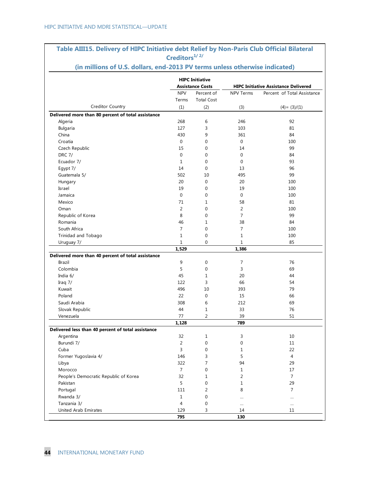| (in millions of U.S. dollars, end-2013 PV terms unless otherwise indicated) | Creditors <sup>1/2/</sup> |                                 |                                             |                             |  |
|-----------------------------------------------------------------------------|---------------------------|---------------------------------|---------------------------------------------|-----------------------------|--|
|                                                                             |                           |                                 |                                             |                             |  |
|                                                                             |                           | <b>HIPC Initiative</b>          |                                             |                             |  |
|                                                                             | <b>Assistance Costs</b>   |                                 | <b>HIPC Initiative Assistance Delivered</b> |                             |  |
|                                                                             | <b>NPV</b><br>Terms       | Percent of<br><b>Total Cost</b> | NPV Terms                                   | Percent of Total Assistance |  |
| Creditor Country                                                            | (1)                       | (2)                             | (3)                                         | $(4) = (3)/(1)$             |  |
| Delivered more than 80 percent of total assistance                          |                           |                                 |                                             |                             |  |
| Algeria                                                                     | 268                       | 6                               | 246                                         | 92                          |  |
| Bulgaria                                                                    | 127                       | 3                               | 103                                         | 81                          |  |
| China                                                                       | 430                       | 9                               | 361                                         | 84                          |  |
| Croatia                                                                     | 0                         | 0                               | $\mathbf 0$                                 | 100                         |  |
| Czech Republic                                                              | 15                        | $\mathbf{0}$                    | 14                                          | 99                          |  |
| <b>DRC 7/</b>                                                               | $\mathbf 0$               | $\mathbf 0$                     | $\mathbf{0}$                                | 84                          |  |
| Ecuador 7/                                                                  | $\mathbf{1}$              | $\mathbf 0$                     | 0                                           | 93                          |  |
| Egypt 7/                                                                    | 14                        | $\mathbf{0}$                    | 13                                          | 96                          |  |
| Guatemala 5/                                                                | 502                       | 10                              | 495                                         | 99                          |  |
| Hungary                                                                     | 20                        | $\mathbf{0}$                    | 20                                          | 100                         |  |
| Israel                                                                      | 19                        | 0                               | 19                                          | 100                         |  |
| Jamaica                                                                     | $\mathbf 0$               | $\mathbf 0$                     | 0                                           | 100                         |  |
| Mexico                                                                      | 71                        | $\mathbf{1}$                    | 58                                          | 81                          |  |
| Oman                                                                        | 2                         | $\mathbf 0$                     | $\overline{2}$                              | 100                         |  |
| Republic of Korea                                                           | 8                         | $\mathbf 0$                     | $\overline{7}$                              | 99                          |  |
| Romania                                                                     | 46                        | $\mathbf{1}$                    | 38                                          | 84                          |  |
| South Africa                                                                | $\overline{7}$            | 0                               | $\overline{7}$                              | 100                         |  |
|                                                                             |                           |                                 |                                             |                             |  |
| Trinidad and Tobago                                                         | $\mathbf{1}$              | $\mathbf 0$                     | $\mathbf{1}$                                | 100                         |  |
| Uruguay 7/                                                                  | 1                         | 0                               | 1                                           | 85                          |  |
| Delivered more than 40 percent of total assistance                          | 1,529                     |                                 | 1,386                                       |                             |  |
| <b>Brazil</b>                                                               |                           |                                 |                                             | 76                          |  |
|                                                                             | 9                         | 0                               | 7                                           |                             |  |
| Colombia                                                                    | 5                         | $\boldsymbol{0}$                | 3                                           | 69                          |  |
| India 6/                                                                    | 45                        | $\mathbf{1}$                    | 20                                          | 44                          |  |
| Iraq $7/$                                                                   | 122                       | 3                               | 66                                          | 54                          |  |
| Kuwait                                                                      | 496                       | 10                              | 393                                         | 79                          |  |
| Poland                                                                      | 22                        | $\mathbf{0}$                    | 15                                          | 66                          |  |
| Saudi Arabia                                                                | 308                       | 6                               | 212                                         | 69                          |  |
| Slovak Republic                                                             | 44                        | 1                               | 33                                          | 76                          |  |
| Venezuela                                                                   | 77                        | 2                               | 39                                          | 51                          |  |
|                                                                             | 1,128                     |                                 | 789                                         |                             |  |
| Delivered less than 40 percent of total assistance                          |                           |                                 |                                             |                             |  |
| Argentina                                                                   | 32                        | $\mathbf{1}$                    | 3                                           | 10                          |  |
| Burundi 7/                                                                  | $\overline{2}$            | 0                               | 0                                           | 11                          |  |
| Cuba                                                                        | 3                         | 0                               | 1                                           | 22                          |  |
| Former Yugoslavia 4/                                                        | 146                       | 3                               | 5                                           | 4                           |  |
| Libya                                                                       | 322                       | $\overline{7}$                  | 94                                          | 29                          |  |
| Morocco                                                                     | $\overline{7}$            | 0                               | $\mathbf{1}$                                | 17                          |  |
| People's Democratic Republic of Korea                                       | 32                        | $\mathbf{1}$                    | $\overline{2}$                              | $\overline{7}$              |  |
| Pakistan                                                                    | 5                         | 0                               | 1                                           | 29                          |  |
| Portugal                                                                    | 111                       | $\overline{2}$                  | 8                                           | 7                           |  |
| Rwanda 3/                                                                   | 1                         | 0                               |                                             |                             |  |
| Tanzania 3/                                                                 | 4                         | 0                               |                                             | $\cdots$                    |  |
| United Arab Emirates                                                        | 129                       | 3                               | $\cdots$<br>14                              | $\cdots$<br>11              |  |
|                                                                             | 795                       |                                 | 130                                         |                             |  |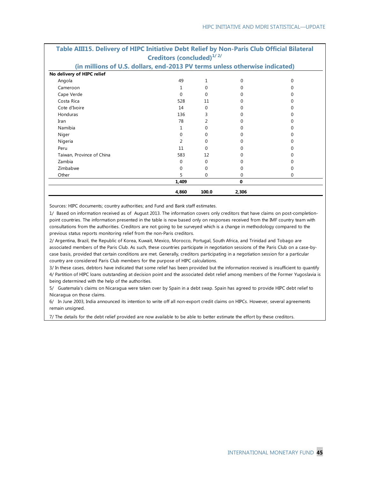|                                                                             | Creditors (concluded) <sup>1/2/</sup> |       |          |   |
|-----------------------------------------------------------------------------|---------------------------------------|-------|----------|---|
| (in millions of U.S. dollars, end-2013 PV terms unless otherwise indicated) |                                       |       |          |   |
| No delivery of HIPC relief                                                  |                                       |       |          |   |
| Angola                                                                      | 49                                    |       | $\Omega$ | ი |
| Cameroon                                                                    | 1                                     |       | U        |   |
| Cape Verde                                                                  | $\Omega$                              | U     | U        |   |
| Costa Rica                                                                  | 528                                   | 11    | O        |   |
| Cote d'Ivoire                                                               | 14                                    | 0     | O        |   |
| Honduras                                                                    | 136                                   | 3     | ∩        |   |
| Iran                                                                        | 78                                    | 2     |          |   |
| Namibia                                                                     |                                       | 0     | O        |   |
| Niger                                                                       | $\Omega$                              |       | U        |   |
| Nigeria                                                                     | $\mathcal{P}$                         | U     | O        |   |
| Peru                                                                        | 11                                    | U     | O        |   |
| Taiwan, Province of China                                                   | 583                                   | 12    | O        |   |
| Zambia                                                                      | 0                                     | 0     |          |   |
| Zimbabwe                                                                    | $\Omega$                              | O     | 0        |   |
| Other                                                                       | 5                                     | 0     | $\Omega$ | 0 |
|                                                                             | 1,409                                 |       | 0        |   |
|                                                                             | 4,860                                 | 100.0 | 2,306    |   |

# **Table AIII15. Delivery of HIPC Initiative Debt Relief by Non-Paris Club Official Bilateral**

Sources: HIPC documents; country authorities; and Fund and Bank staff estimates.

1/ Based on information received as of August 2013. The information covers only creditors that have claims on post-completionpoint countries. The information presented in the table is now based only on responses received from the IMF country team with consultations from the authorities. Creditors are not going to be surveyed which is a change in methodology compared to the previous status reports monitoring relief from the non-Paris creditors.

2/ Argentina, Brazil, the Republic of Korea, Kuwait, Mexico, Morocco, Portugal, South Africa, and Trinidad and Tobago are associated members of the Paris Club. As such, these countries participate in negotiation sessions of the Paris Club on a case-bycase basis, provided that certain conditions are met. Generally, creditors participating in a negotiation session for a particular country are considered Paris Club members for the purpose of HIPC calculations.

3/ In these cases, debtors have indicated that some relief has been provided but the information received is insufficient to quantify 4/ Partition of HIPC loans outstanding at decision point and the associated debt relief among members of the Former Yugoslavia is being determined with the help of the authorities.

5/ Guatemala's claims on Nicaragua were taken over by Spain in a debt swap. Spain has agreed to provide HIPC debt relief to Nicaragua on those claims.

6/ In June 2003, India announced its intention to write off all non-export credit claims on HIPCs. However, several agreements remain unsigned.

7/ The details for the debt relief provided are now available to be able to better estimate the effort by these creditors.